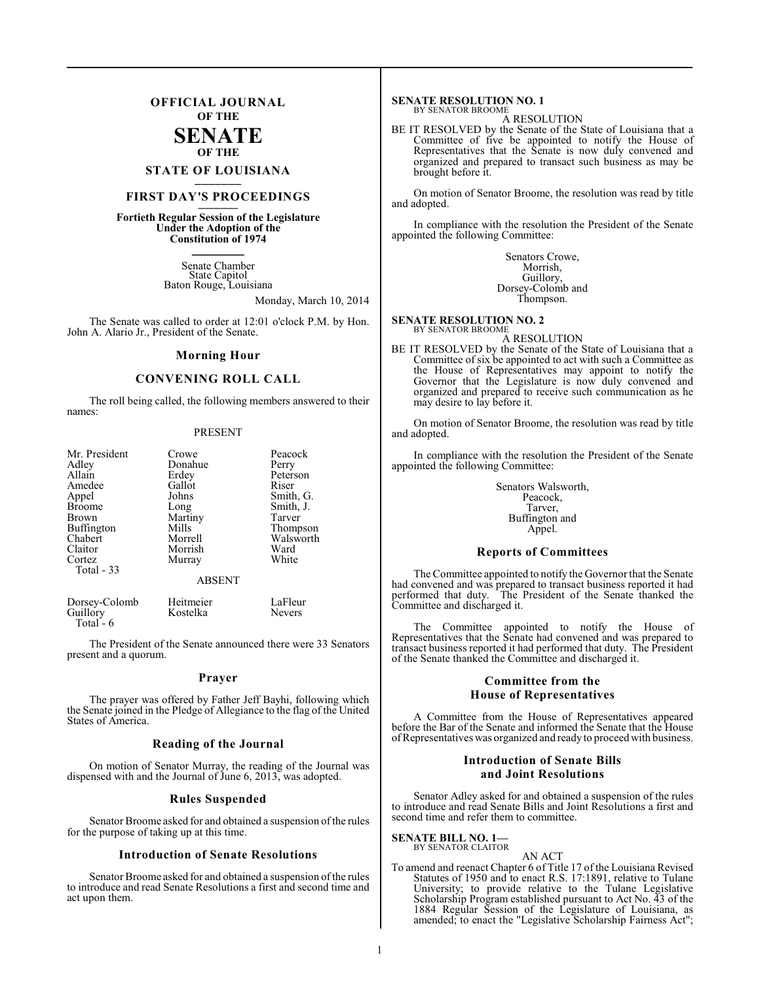# **OFFICIAL JOURNAL OF THE SENATE OF THE**

# **STATE OF LOUISIANA \_\_\_\_\_\_\_**

# **FIRST DAY'S PROCEEDINGS \_\_\_\_\_\_\_**

**Fortieth Regular Session of the Legislature Under the Adoption of the Constitution of 1974 \_\_\_\_\_\_\_**

> Senate Chamber State Capitol Baton Rouge, Louisiana

> > Monday, March 10, 2014

The Senate was called to order at 12:01 o'clock P.M. by Hon. John A. Alario Jr., President of the Senate.

## **Morning Hour**

## **CONVENING ROLL CALL**

The roll being called, the following members answered to their names:

## PRESENT

| Mr. President | Crowe         | Peacock   |
|---------------|---------------|-----------|
| Adley         | Donahue       | Perry     |
| Allain        | Erdey         | Peterson  |
| Amedee        | Gallot        | Riser     |
| Appel         | Johns         | Smith, G. |
| <b>Broome</b> | Long          | Smith, J. |
| Brown         | Martiny       | Tarver    |
| Buffington    | Mills         | Thompson  |
| Chabert       | Morrell       | Walsworth |
| Claitor       | Morrish       | Ward      |
| Cortez        | Murray        | White     |
| Total - 33    |               |           |
|               | <b>ABSENT</b> |           |

| Dorsey-Colomb | Heitmeier | LaFleur       |
|---------------|-----------|---------------|
| Guillory      | Kostelka  | <b>Nevers</b> |
| Total $-6$    |           |               |

The President of the Senate announced there were 33 Senators present and a quorum.

## **Prayer**

The prayer was offered by Father Jeff Bayhi, following which the Senate joined in the Pledge of Allegiance to the flag of the United States of America.

## **Reading of the Journal**

On motion of Senator Murray, the reading of the Journal was dispensed with and the Journal of June 6, 2013, was adopted.

## **Rules Suspended**

Senator Broome asked for and obtained a suspension of the rules for the purpose of taking up at this time.

## **Introduction of Senate Resolutions**

Senator Broome asked for and obtained a suspension of the rules to introduce and read Senate Resolutions a first and second time and act upon them.

## **SENATE RESOLUTION NO. 1** BY SENATOR BROOME

A RESOLUTION

BE IT RESOLVED by the Senate of the State of Louisiana that a Committee of five be appointed to notify the House of Representatives that the Senate is now duly convened and organized and prepared to transact such business as may be brought before it.

On motion of Senator Broome, the resolution was read by title and adopted.

In compliance with the resolution the President of the Senate appointed the following Committee:

> Senators Crowe, Morrish, Guillory, Dorsey-Colomb and Thompson.

## **SENATE RESOLUTION NO. 2**

BY SENATOR BROOME A RESOLUTION

BE IT RESOLVED by the Senate of the State of Louisiana that a Committee of six be appointed to act with such a Committee as the House of Representatives may appoint to notify the Governor that the Legislature is now duly convened and organized and prepared to receive such communication as he may desire to lay before it.

On motion of Senator Broome, the resolution was read by title and adopted.

In compliance with the resolution the President of the Senate appointed the following Committee:

> Senators Walsworth, Peacock, Tarver, Buffington and Appel.

## **Reports of Committees**

The Committee appointed to notify the Governor that the Senate had convened and was prepared to transact business reported it had performed that duty. The President of the Senate thanked the Committee and discharged it.

The Committee appointed to notify the House of Representatives that the Senate had convened and was prepared to transact business reported it had performed that duty. The President of the Senate thanked the Committee and discharged it.

# **Committee from the House of Representatives**

A Committee from the House of Representatives appeared before the Bar of the Senate and informed the Senate that the House of Representatives was organized and ready to proceed with business.

# **Introduction of Senate Bills and Joint Resolutions**

Senator Adley asked for and obtained a suspension of the rules to introduce and read Senate Bills and Joint Resolutions a first and second time and refer them to committee.

**SENATE BILL NO. 1—** BY SENATOR CLAITOR

## AN ACT

To amend and reenact Chapter 6 of Title 17 of the Louisiana Revised Statutes of 1950 and to enact R.S. 17:1891, relative to Tulane University; to provide relative to the Tulane Legislative Scholarship Program established pursuant to Act No. 43 of the 1884 Regular Session of the Legislature of Louisiana, as amended; to enact the "Legislative Scholarship Fairness Act";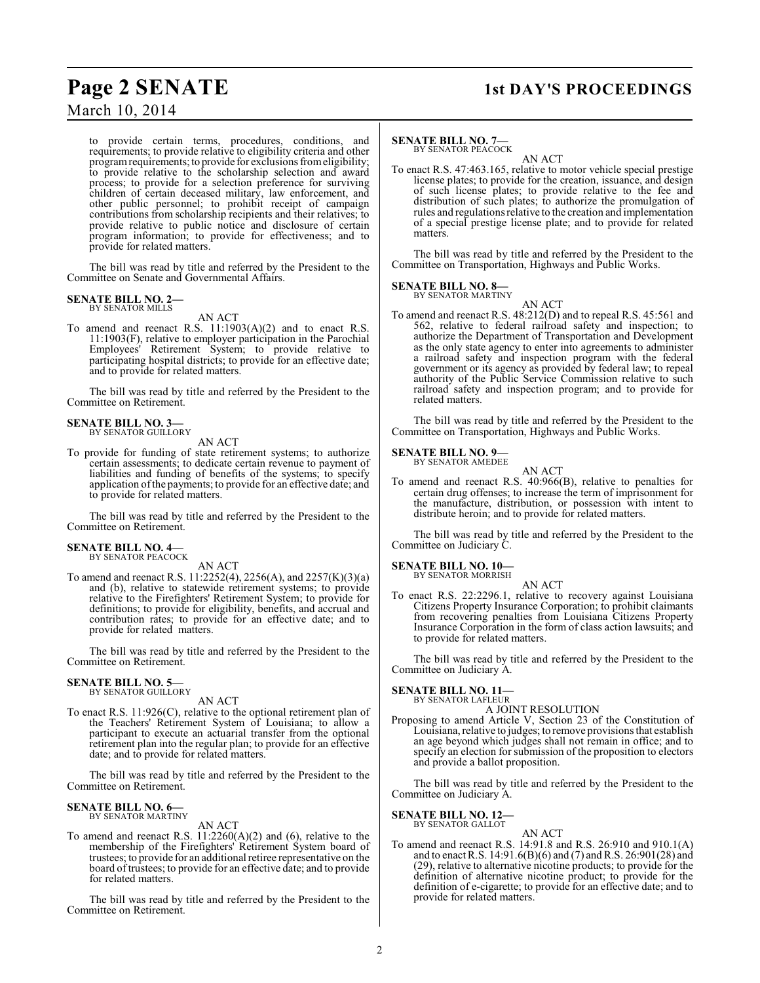# **Page 2 SENATE 1st DAY'S PROCEEDINGS**

# March 10, 2014

to provide certain terms, procedures, conditions, and requirements; to provide relative to eligibility criteria and other program requirements; to provide for exclusions from eligibility; to provide relative to the scholarship selection and award process; to provide for a selection preference for surviving children of certain deceased military, law enforcement, and other public personnel; to prohibit receipt of campaign contributions from scholarship recipients and their relatives; to provide relative to public notice and disclosure of certain program information; to provide for effectiveness; and to provide for related matters.

The bill was read by title and referred by the President to the Committee on Senate and Governmental Affairs.

## **SENATE BILL NO. 2—** BY SENATOR MILLS

AN ACT

To amend and reenact R.S. 11:1903(A)(2) and to enact R.S. 11:1903(F), relative to employer participation in the Parochial Employees' Retirement System; to provide relative to participating hospital districts; to provide for an effective date; and to provide for related matters.

The bill was read by title and referred by the President to the Committee on Retirement.

## **SENATE BILL NO. 3—** BY SENATOR GUILLORY

AN ACT

To provide for funding of state retirement systems; to authorize certain assessments; to dedicate certain revenue to payment of liabilities and funding of benefits of the systems; to specify application of the payments; to provide for an effective date; and to provide for related matters.

The bill was read by title and referred by the President to the Committee on Retirement.

## **SENATE BILL NO. 4—** BY SENATOR PEACOCK

AN ACT

To amend and reenact R.S. 11:2252(4), 2256(A), and 2257(K)(3)(a) and (b), relative to statewide retirement systems; to provide relative to the Firefighters' Retirement System; to provide for definitions; to provide for eligibility, benefits, and accrual and contribution rates; to provide for an effective date; and to provide for related matters.

The bill was read by title and referred by the President to the Committee on Retirement.

## **SENATE BILL NO. 5—** BY SENATOR GUILLORY

AN ACT

To enact R.S. 11:926(C), relative to the optional retirement plan of the Teachers' Retirement System of Louisiana; to allow a participant to execute an actuarial transfer from the optional retirement plan into the regular plan; to provide for an effective date; and to provide for related matters.

The bill was read by title and referred by the President to the Committee on Retirement.

# **SENATE BILL NO. 6—** BY SENATOR MARTINY

AN ACT

To amend and reenact R.S.  $11:2260(A)(2)$  and (6), relative to the membership of the Firefighters' Retirement System board of trustees; to provide for an additional retiree representative on the board of trustees; to provide for an effective date; and to provide for related matters.

The bill was read by title and referred by the President to the Committee on Retirement.

# **SENATE BILL NO. 7—**

BY SENATOR PEACOCK

AN ACT To enact R.S. 47:463.165, relative to motor vehicle special prestige license plates; to provide for the creation, issuance, and design of such license plates; to provide relative to the fee and distribution of such plates; to authorize the promulgation of rules and regulationsrelative to the creation and implementation of a special prestige license plate; and to provide for related matters.

The bill was read by title and referred by the President to the Committee on Transportation, Highways and Public Works.

## **SENATE BILL NO. 8—** BY SENATOR MARTINY

AN ACT

To amend and reenact R.S. 48:212(D) and to repeal R.S. 45:561 and 562, relative to federal railroad safety and inspection; to authorize the Department of Transportation and Development as the only state agency to enter into agreements to administer a railroad safety and inspection program with the federal government or its agency as provided by federal law; to repeal authority of the Public Service Commission relative to such railroad safety and inspection program; and to provide for related matters.

The bill was read by title and referred by the President to the Committee on Transportation, Highways and Public Works.

#### **SENATE BILL NO. 9—** BY SENATOR AMEDEE

AN ACT

To amend and reenact R.S. 40:966(B), relative to penalties for certain drug offenses; to increase the term of imprisonment for the manufacture, distribution, or possession with intent to distribute heroin; and to provide for related matters.

The bill was read by title and referred by the President to the Committee on Judiciary C.

# **SENATE BILL NO. 10—**

BY SENATOR MORRISH AN ACT

To enact R.S. 22:2296.1, relative to recovery against Louisiana Citizens Property Insurance Corporation; to prohibit claimants from recovering penalties from Louisiana Citizens Property Insurance Corporation in the form of class action lawsuits; and to provide for related matters.

The bill was read by title and referred by the President to the Committee on Judiciary A.

### **SENATE BILL NO. 11—** BY SENATOR LAFLEUR

A JOINT RESOLUTION

Proposing to amend Article V, Section 23 of the Constitution of Louisiana, relative to judges; to remove provisions that establish an age beyond which judges shall not remain in office; and to specify an election for submission of the proposition to electors and provide a ballot proposition.

The bill was read by title and referred by the President to the Committee on Judiciary A.

# **SENATE BILL NO. 12—**

BY SENATOR GALLOT

AN ACT To amend and reenact R.S. 14:91.8 and R.S. 26:910 and 910.1(A) and to enact R.S. 14:91.6(B)(6) and (7) and R.S. 26:901(28) and (29), relative to alternative nicotine products; to provide for the definition of alternative nicotine product; to provide for the definition of e-cigarette; to provide for an effective date; and to provide for related matters.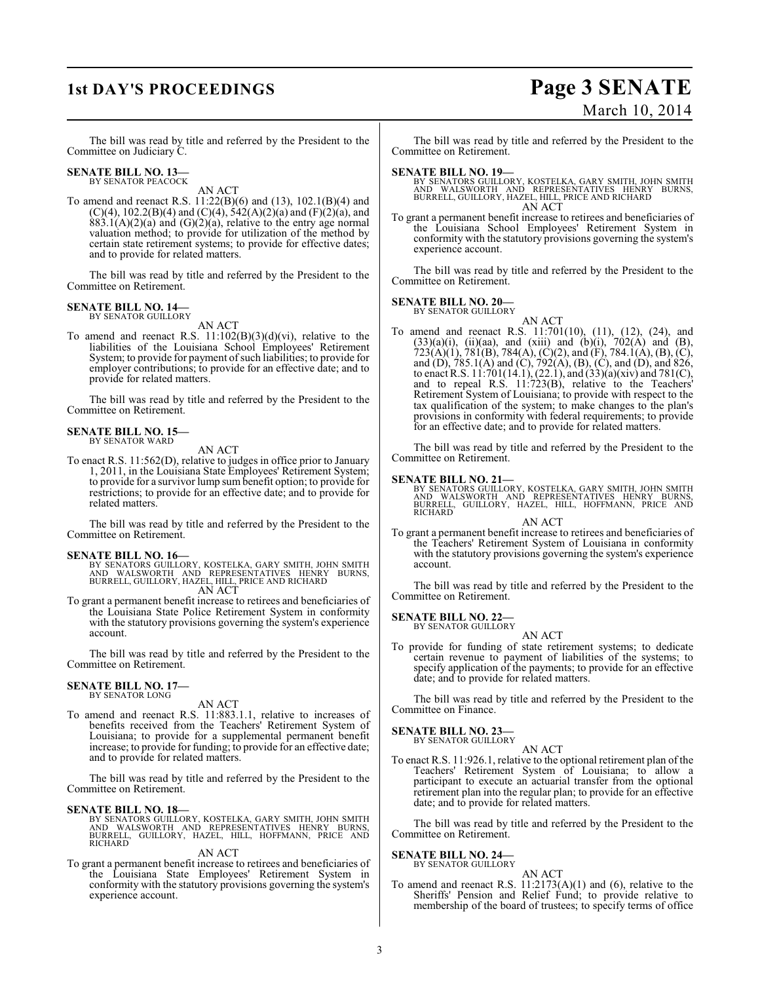# **1st DAY'S PROCEEDINGS Page 3 SENATE** March 10, 2014

The bill was read by title and referred by the President to the Committee on Judiciary C.

# **SENATE BILL NO. 13—** BY SENATOR PEACOCK

AN ACT

To amend and reenact R.S. 11:22(B)(6) and (13), 102.1(B)(4) and  $(C)(4)$ , 102.2(B)(4) and  $(C)(4)$ , 542(A)(2)(a) and (F)(2)(a), and  $883.1(A)(2)(a)$  and  $(G)(2)(a)$ , relative to the entry age normal valuation method; to provide for utilization of the method by certain state retirement systems; to provide for effective dates; and to provide for related matters.

The bill was read by title and referred by the President to the Committee on Retirement.

# **SENATE BILL NO. 14—**<br>BY SENATOR GUILLORY

AN ACT

To amend and reenact R.S.  $11:102(B)(3)(d)(vi)$ , relative to the liabilities of the Louisiana School Employees' Retirement System; to provide for payment of such liabilities; to provide for employer contributions; to provide for an effective date; and to provide for related matters.

The bill was read by title and referred by the President to the Committee on Retirement.

#### **SENATE BILL NO. 15—** BY SENATOR WARD

AN ACT

To enact R.S. 11:562(D), relative to judges in office prior to January 1, 2011, in the Louisiana State Employees' Retirement System; to provide for a survivor lump sum benefit option; to provide for restrictions; to provide for an effective date; and to provide for related matters.

The bill was read by title and referred by the President to the Committee on Retirement.

- **SENATE BILL NO. 16—**<br>BY SENATORS GUILLORY, KOSTELKA, GARY SMITH, JOHN SMITH<br>AND WALSWORTH AND REPRESENTATIVES HENRY BURNS,<br>BURRELL, GUILLORY, HAZEL, HILL, PRICE AND RICHARD<br>AN ACT
- To grant a permanent benefit increase to retirees and beneficiaries of the Louisiana State Police Retirement System in conformity with the statutory provisions governing the system's experience account.

The bill was read by title and referred by the President to the Committee on Retirement.

#### **SENATE BILL NO. 17—** BY SENATOR LONG

AN ACT

To amend and reenact R.S. 11:883.1.1, relative to increases of benefits received from the Teachers' Retirement System of Louisiana; to provide for a supplemental permanent benefit increase; to provide for funding; to provide for an effective date; and to provide for related matters.

The bill was read by title and referred by the President to the Committee on Retirement.

**SENATE BILL NO. 18—**<br>BY SENATORS GUILLORY, KOSTELKA, GARY SMITH, JOHN SMITH<br>AND WALSWORTH AND REPRESENTATIVES HENRY BURNS,<br>BURRELL, GUILLORY, HAZEL, HILL, HOFFMANN, PRICE AND<br>RICHARD

## AN ACT

To grant a permanent benefit increase to retirees and beneficiaries of the Louisiana State Employees' Retirement System in conformity with the statutory provisions governing the system's experience account.

The bill was read by title and referred by the President to the Committee on Retirement.

- **SENATE BILL NO. 19—**<br>BY SENATORS GUILLORY, KOSTELKA, GARY SMITH, JOHN SMITH<br>AND WALSWORTH AND REPRESENTATIVES HENRY BURNS,<br>BURRELL, GUILLORY, HAZEL, HILL, PRICE AND RICHARD AN ACT
- To grant a permanent benefit increase to retirees and beneficiaries of the Louisiana School Employees' Retirement System in conformity with the statutory provisions governing the system's experience account.

The bill was read by title and referred by the President to the Committee on Retirement.

# **SENATE BILL NO. 20—**

BY SENATOR GUILLORY AN ACT

To amend and reenact R.S. 11:701(10), (11), (12), (24), and  $(33)(a)(i)$ ,  $(ii)(aa)$ , and  $(xiii)$  and  $(b)(i)$ ,  $702(A)$  and  $(B)$ ,  $723(A)(1), 781(B), 784(A), (C)(2),$  and  $(F), 784.1(A), (B), (C),$ and (D), 785.1(A) and (C), 792(A), (B), (C), and (D), and 826, to enact R.S. 11:701(14.1), (22.1), and (33)(a)(xiv) and 781(C), and to repeal R.S. 11:723(B), relative to the Teachers' Retirement System of Louisiana; to provide with respect to the tax qualification of the system; to make changes to the plan's provisions in conformity with federal requirements; to provide for an effective date; and to provide for related matters.

The bill was read by title and referred by the President to the Committee on Retirement.

**SENATE BILL NO. 21—**<br>BY SENATORS GUILLORY, KOSTELKA, GARY SMITH, JOHN SMITH<br>AND WALSWORTH AND REPRESENTATIVES HENRY BURNS,<br>BURRELL, GUILLORY, HAZEL, HILL, HOFFMANN, PRICE AND<br>RICHARD

AN ACT To grant a permanent benefit increase to retirees and beneficiaries of the Teachers' Retirement System of Louisiana in conformity with the statutory provisions governing the system's experience account.

The bill was read by title and referred by the President to the Committee on Retirement.

**SENATE BILL NO. 22—**<br>BY SENATOR GUILLORY

AN ACT

To provide for funding of state retirement systems; to dedicate certain revenue to payment of liabilities of the systems; to specify application of the payments; to provide for an effective date; and to provide for related matters.

The bill was read by title and referred by the President to the Committee on Finance.

#### **SENATE BILL NO. 23—** BY SENATOR GUILLORY

AN ACT

To enact R.S. 11:926.1, relative to the optional retirement plan of the Teachers' Retirement System of Louisiana; to allow a participant to execute an actuarial transfer from the optional retirement plan into the regular plan; to provide for an effective date; and to provide for related matters.

The bill was read by title and referred by the President to the Committee on Retirement.

#### **SENATE BILL NO. 24—** BY SENATOR GUILLORY

AN ACT

To amend and reenact R.S.  $11:2173(A)(1)$  and  $(6)$ , relative to the Sheriffs' Pension and Relief Fund; to provide relative to membership of the board of trustees; to specify terms of office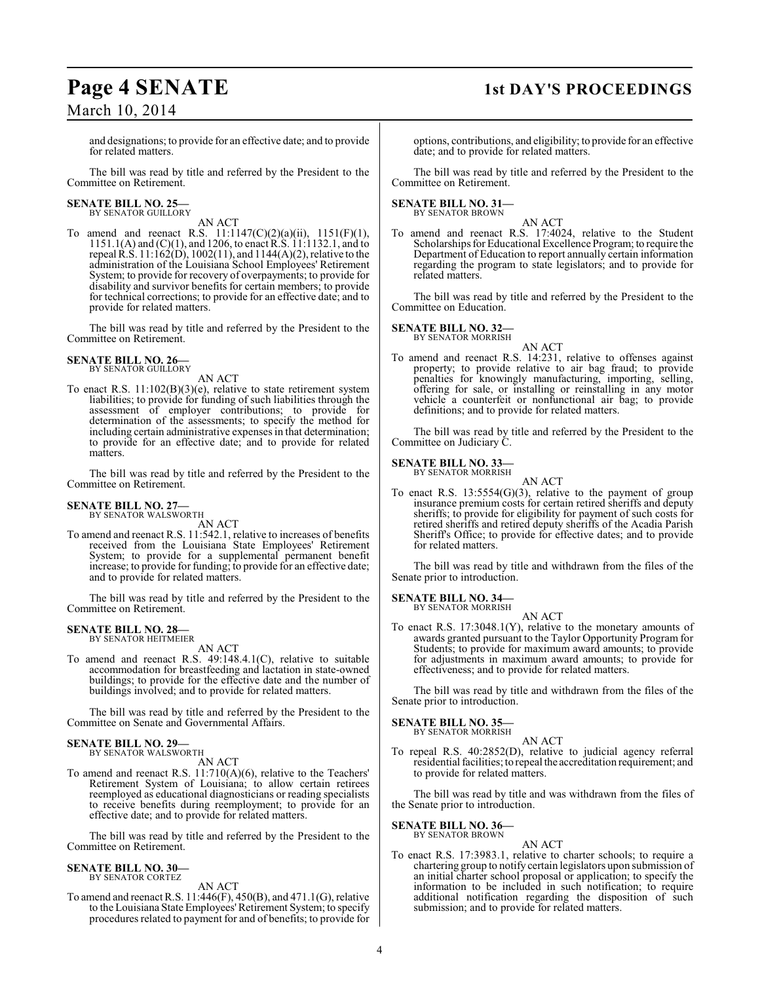# **Page 4 SENATE 1st DAY'S PROCEEDINGS**

March 10, 2014

and designations; to provide for an effective date; and to provide for related matters.

The bill was read by title and referred by the President to the Committee on Retirement.

# **SENATE BILL NO. 25—**<br>BY SENATOR GUILLORY

AN ACT

To amend and reenact R.S.  $11:1147(C)(2)(a)(ii)$ ,  $1151(F)(1)$ , 1151.1(A) and (C)(1), and 1206, to enactR.S. 11:1132.1, and to repeal R.S. 11:162(D), 1002(11), and 1144(A)(2), relative to the administration of the Louisiana School Employees' Retirement System; to provide for recovery of overpayments; to provide for disability and survivor benefits for certain members; to provide for technical corrections; to provide for an effective date; and to provide for related matters.

The bill was read by title and referred by the President to the Committee on Retirement.

# **SENATE BILL NO. 26—**<br>BY SENATOR GUILLORY

AN ACT

To enact R.S. 11:102(B)(3)(e), relative to state retirement system liabilities; to provide for funding of such liabilities through the assessment of employer contributions; to provide for determination of the assessments; to specify the method for including certain administrative expenses in that determination; to provide for an effective date; and to provide for related matters.

The bill was read by title and referred by the President to the Committee on Retirement.

# **SENATE BILL NO. 27—** BY SENATOR WALSWORTH

AN ACT

To amend and reenact R.S. 11:542.1, relative to increases of benefits received from the Louisiana State Employees' Retirement System; to provide for a supplemental permanent benefit increase; to provide for funding; to provide for an effective date; and to provide for related matters.

The bill was read by title and referred by the President to the Committee on Retirement.

# **SENATE BILL NO. 28—** BY SENATOR HEITMEIER

AN ACT

To amend and reenact R.S. 49:148.4.1(C), relative to suitable accommodation for breastfeeding and lactation in state-owned buildings; to provide for the effective date and the number of buildings involved; and to provide for related matters.

The bill was read by title and referred by the President to the Committee on Senate and Governmental Affairs.

## **SENATE BILL NO. 29—** BY SENATOR WALSWORTH

AN ACT

To amend and reenact R.S. 11:710(A)(6), relative to the Teachers' Retirement System of Louisiana; to allow certain retirees reemployed as educational diagnosticians or reading specialists to receive benefits during reemployment; to provide for an effective date; and to provide for related matters.

The bill was read by title and referred by the President to the Committee on Retirement.

## **SENATE BILL NO. 30—** BY SENATOR CORTEZ

AN ACT

To amend and reenact R.S. 11:446(F), 450(B), and 471.1(G), relative to the Louisiana State Employees' Retirement System; to specify procedures related to payment for and of benefits; to provide for options, contributions, and eligibility; to provide for an effective date; and to provide for related matters.

The bill was read by title and referred by the President to the Committee on Retirement.

# **SENATE BILL NO. 31—**<br>BY SENATOR BROWN

AN ACT

To amend and reenact R.S. 17:4024, relative to the Student Scholarships for Educational Excellence Program; to require the Department of Education to report annually certain information regarding the program to state legislators; and to provide for related matters.

The bill was read by title and referred by the President to the Committee on Education.

# **SENATE BILL NO. 32—** BY SENATOR MORRISH

AN ACT To amend and reenact R.S. 14:231, relative to offenses against property; to provide relative to air bag fraud; to provide penalties for knowingly manufacturing, importing, selling, offering for sale, or installing or reinstalling in any motor vehicle a counterfeit or nonfunctional air bag; to provide definitions; and to provide for related matters.

The bill was read by title and referred by the President to the Committee on Judiciary C.

### **SENATE BILL NO. 33—** BY SENATOR MORRISH

AN ACT To enact R.S.  $13:5554(G)(3)$ , relative to the payment of group insurance premium costs for certain retired sheriffs and deputy sheriffs; to provide for eligibility for payment of such costs for retired sheriffs and retired deputy sheriffs of the Acadia Parish Sheriff's Office; to provide for effective dates; and to provide for related matters.

The bill was read by title and withdrawn from the files of the Senate prior to introduction.

**SENATE BILL NO. 34—** BY SENATOR MORRISH

# AN ACT

To enact R.S. 17:3048.1(Y), relative to the monetary amounts of awards granted pursuant to the Taylor Opportunity Program for Students; to provide for maximum award amounts; to provide for adjustments in maximum award amounts; to provide for effectiveness; and to provide for related matters.

The bill was read by title and withdrawn from the files of the Senate prior to introduction.

**SENATE BILL NO. 35—** BY SENATOR MORRISH

## AN ACT

To repeal R.S. 40:2852(D), relative to judicial agency referral residential facilities; to repeal the accreditation requirement; and to provide for related matters.

The bill was read by title and was withdrawn from the files of the Senate prior to introduction.

**SENATE BILL NO. 36—** BY SENATOR BROWN

AN ACT

To enact R.S. 17:3983.1, relative to charter schools; to require a chartering group to notify certain legislators upon submission of an initial charter school proposal or application; to specify the information to be included in such notification; to require additional notification regarding the disposition of such submission; and to provide for related matters.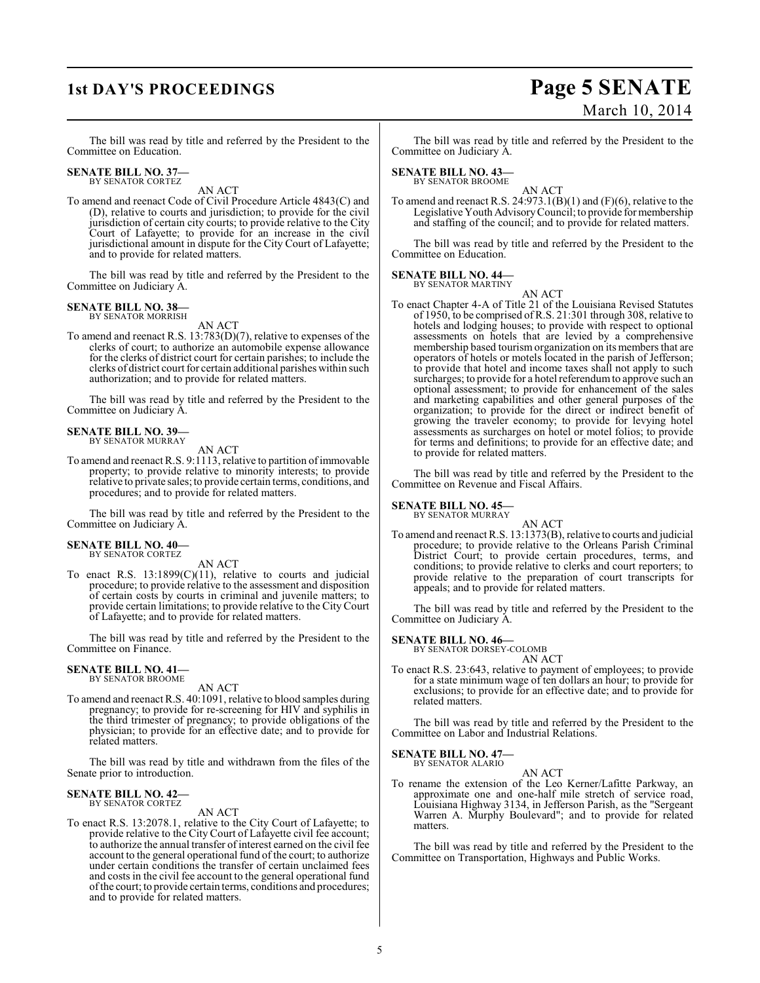# **1st DAY'S PROCEEDINGS Page 5 SENATE** March 10, 2014

The bill was read by title and referred by the President to the Committee on Education.

# **SENATE BILL NO. 37—** BY SENATOR CORTEZ

AN ACT

To amend and reenact Code of Civil Procedure Article 4843(C) and (D), relative to courts and jurisdiction; to provide for the civil jurisdiction of certain city courts; to provide relative to the City Court of Lafayette; to provide for an increase in the civil jurisdictional amount in dispute for the City Court of Lafayette; and to provide for related matters.

The bill was read by title and referred by the President to the Committee on Judiciary A.

# **SENATE BILL NO. 38—** BY SENATOR MORRISH

AN ACT

To amend and reenact R.S. 13:783(D)(7), relative to expenses of the clerks of court; to authorize an automobile expense allowance for the clerks of district court for certain parishes; to include the clerks of district court for certain additional parishes within such authorization; and to provide for related matters.

The bill was read by title and referred by the President to the Committee on Judiciary A.

### **SENATE BILL NO. 39—** BY SENATOR MURRAY

AN ACT

To amend and reenact R.S. 9:1113, relative to partition of immovable property; to provide relative to minority interests; to provide relative to private sales; to provide certain terms, conditions, and procedures; and to provide for related matters.

The bill was read by title and referred by the President to the Committee on Judiciary A.

# **SENATE BILL NO. 40—** BY SENATOR CORTEZ

AN ACT

To enact R.S.  $13:1899(C)(11)$ , relative to courts and judicial procedure; to provide relative to the assessment and disposition of certain costs by courts in criminal and juvenile matters; to provide certain limitations; to provide relative to the City Court of Lafayette; and to provide for related matters.

The bill was read by title and referred by the President to the Committee on Finance.

# **SENATE BILL NO. 41—** BY SENATOR BROOME

AN ACT

To amend and reenact R.S. 40:1091, relative to blood samples during pregnancy; to provide for re-screening for HIV and syphilis in the third trimester of pregnancy; to provide obligations of the physician; to provide for an effective date; and to provide for related matters.

The bill was read by title and withdrawn from the files of the Senate prior to introduction.

# **SENATE BILL NO. 42—** BY SENATOR CORTEZ

AN ACT

To enact R.S. 13:2078.1, relative to the City Court of Lafayette; to provide relative to the City Court of Lafayette civil fee account; to authorize the annual transfer of interest earned on the civil fee account to the general operational fund of the court; to authorize under certain conditions the transfer of certain unclaimed fees and costs in the civil fee account to the general operational fund of the court; to provide certain terms, conditions and procedures; and to provide for related matters.

The bill was read by title and referred by the President to the Committee on Judiciary A.

# **SENATE BILL NO. 43—** BY SENATOR BROOME

AN ACT To amend and reenact R.S.  $24:973.1(B)(1)$  and  $(F)(6)$ , relative to the Legislative Youth Advisory Council; to provide for membership and staffing of the council; and to provide for related matters.

The bill was read by title and referred by the President to the Committee on Education.

#### **SENATE BILL NO. 44—** BY SENATOR MARTINY

AN ACT

To enact Chapter 4-A of Title 21 of the Louisiana Revised Statutes of 1950, to be comprised ofR.S. 21:301 through 308, relative to hotels and lodging houses; to provide with respect to optional assessments on hotels that are levied by a comprehensive membership based tourism organization on its members that are operators of hotels or motels located in the parish of Jefferson; to provide that hotel and income taxes shall not apply to such surcharges; to provide for a hotel referendum to approve such an optional assessment; to provide for enhancement of the sales and marketing capabilities and other general purposes of the organization; to provide for the direct or indirect benefit of growing the traveler economy; to provide for levying hotel assessments as surcharges on hotel or motel folios; to provide for terms and definitions; to provide for an effective date; and to provide for related matters.

The bill was read by title and referred by the President to the Committee on Revenue and Fiscal Affairs.

# **SENATE BILL NO. 45—** BY SENATOR MURRAY

AN ACT To amend and reenact R.S. 13:1373(B), relative to courts and judicial procedure; to provide relative to the Orleans Parish Criminal District Court; to provide certain procedures, terms, and conditions; to provide relative to clerks and court reporters; to provide relative to the preparation of court transcripts for appeals; and to provide for related matters.

The bill was read by title and referred by the President to the Committee on Judiciary A.

# **SENATE BILL NO. 46—** BY SENATOR DORSEY-COLOMB

AN ACT

To enact R.S. 23:643, relative to payment of employees; to provide for a state minimum wage of ten dollars an hour; to provide for exclusions; to provide for an effective date; and to provide for related matters.

The bill was read by title and referred by the President to the Committee on Labor and Industrial Relations.

# **SENATE BILL NO. 47—** BY SENATOR ALARIO

AN ACT

To rename the extension of the Leo Kerner/Lafitte Parkway, an approximate one and one-half mile stretch of service road, Louisiana Highway 3134, in Jefferson Parish, as the "Sergeant Warren A. Murphy Boulevard"; and to provide for related matters.

The bill was read by title and referred by the President to the Committee on Transportation, Highways and Public Works.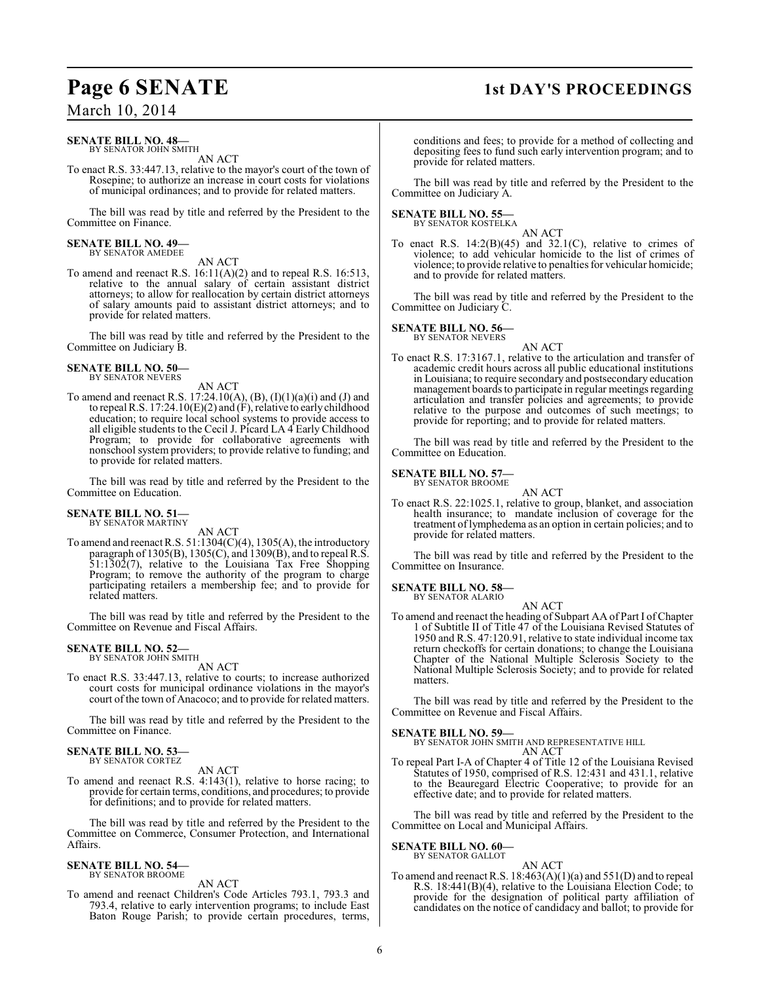# **Page 6 SENATE** 1st DAY'S PROCEEDINGS

March 10, 2014

## **SENATE BILL NO. 48—** BY SENATOR JOHN SMITH

AN ACT

To enact R.S. 33:447.13, relative to the mayor's court of the town of Rosepine; to authorize an increase in court costs for violations of municipal ordinances; and to provide for related matters.

The bill was read by title and referred by the President to the Committee on Finance.

# **SENATE BILL NO. 49—** BY SENATOR AMEDEE

AN ACT

To amend and reenact R.S. 16:11(A)(2) and to repeal R.S. 16:513, relative to the annual salary of certain assistant district attorneys; to allow for reallocation by certain district attorneys of salary amounts paid to assistant district attorneys; and to provide for related matters.

The bill was read by title and referred by the President to the Committee on Judiciary B.

## **SENATE BILL NO. 50—** BY SENATOR NEVERS

AN ACT

To amend and reenact R.S.  $17:24.10(A), (B), (I)(1)(a)(i)$  and (J) and to repeal R.S. 17:24.10(E)(2) and (F), relative to early childhood education; to require local school systems to provide access to all eligible students to the Cecil J. Picard LA 4 Early Childhood Program; to provide for collaborative agreements with nonschool system providers; to provide relative to funding; and to provide for related matters.

The bill was read by title and referred by the President to the Committee on Education.

#### **SENATE BILL NO. 51—** BY SENATOR MARTINY

AN ACT

To amend and reenact R.S. 51:1304(C)(4), 1305(A), the introductory paragraph of 1305(B), 1305(C), and 1309(B), and to repeal R.S. 51:1302(7), relative to the Louisiana Tax Free Shopping Program; to remove the authority of the program to charge participating retailers a membership fee; and to provide for related matters.

The bill was read by title and referred by the President to the Committee on Revenue and Fiscal Affairs.

## **SENATE BILL NO. 52—** BY SENATOR JOHN SMITH

AN ACT

To enact R.S. 33:447.13, relative to courts; to increase authorized court costs for municipal ordinance violations in the mayor's court of the town of Anacoco; and to provide for related matters.

The bill was read by title and referred by the President to the Committee on Finance.

## **SENATE BILL NO. 53—** BY SENATOR CORTEZ

AN ACT

To amend and reenact R.S. 4:143(1), relative to horse racing; to provide for certain terms, conditions, and procedures; to provide for definitions; and to provide for related matters.

The bill was read by title and referred by the President to the Committee on Commerce, Consumer Protection, and International Affairs.

## **SENATE BILL NO. 54—** BY SENATOR BROOME

AN ACT

To amend and reenact Children's Code Articles 793.1, 793.3 and 793.4, relative to early intervention programs; to include East Baton Rouge Parish; to provide certain procedures, terms,

conditions and fees; to provide for a method of collecting and depositing fees to fund such early intervention program; and to provide for related matters.

The bill was read by title and referred by the President to the Committee on Judiciary A.

# **SENATE BILL NO. 55—**

BY SENATOR KOSTELKA AN ACT

To enact R.S.  $14:2(B)(45)$  and  $32.1(C)$ , relative to crimes of violence; to add vehicular homicide to the list of crimes of violence; to provide relative to penalties for vehicular homicide; and to provide for related matters.

The bill was read by title and referred by the President to the Committee on Judiciary C.

# **SENATE BILL NO. 56—** BY SENATOR NEVERS

AN ACT

To enact R.S. 17:3167.1, relative to the articulation and transfer of academic credit hours across all public educational institutions in Louisiana; to require secondary and postsecondary education management boards to participate in regular meetings regarding articulation and transfer policies and agreements; to provide relative to the purpose and outcomes of such meetings; to provide for reporting; and to provide for related matters.

The bill was read by title and referred by the President to the Committee on Education.

#### **SENATE BILL NO. 57—** BY SENATOR BROOME

AN ACT

To enact R.S. 22:1025.1, relative to group, blanket, and association health insurance; to mandate inclusion of coverage for the treatment of lymphedema as an option in certain policies; and to provide for related matters.

The bill was read by title and referred by the President to the Committee on Insurance.

#### **SENATE BILL NO. 58—** BY SENATOR ALARIO

AN ACT

To amend and reenact the heading of Subpart AA of Part I of Chapter 1 of Subtitle II of Title 47 of the Louisiana Revised Statutes of 1950 and R.S. 47:120.91, relative to state individual income tax return checkoffs for certain donations; to change the Louisiana Chapter of the National Multiple Sclerosis Society to the National Multiple Sclerosis Society; and to provide for related matters.

The bill was read by title and referred by the President to the Committee on Revenue and Fiscal Affairs.

# **SENATE BILL NO. 59—**

BY SENATOR JOHN SMITH AND REPRESENTATIVE HILL AN ACT

To repeal Part I-A of Chapter 4 of Title 12 of the Louisiana Revised Statutes of 1950, comprised of R.S. 12:431 and 431.1, relative to the Beauregard Electric Cooperative; to provide for an effective date; and to provide for related matters.

The bill was read by title and referred by the President to the Committee on Local and Municipal Affairs.

#### **SENATE BILL NO. 60—** BY SENATOR GALLOT

## AN ACT

To amend and reenact R.S.  $18:463(A)(1)(a)$  and  $551(D)$  and to repeal R.S. 18:441(B)(4), relative to the Louisiana Election Code; to provide for the designation of political party affiliation of candidates on the notice of candidacy and ballot; to provide for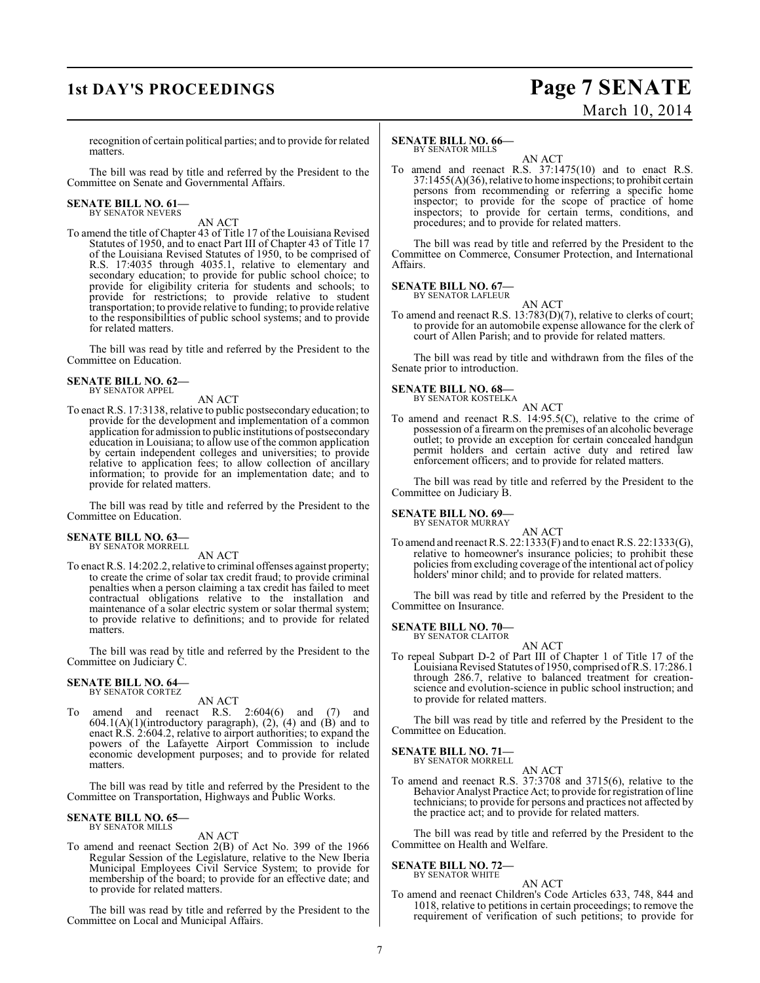# **1st DAY'S PROCEEDINGS Page 7 SENATE**

# March 10, 2014

recognition of certain political parties; and to provide for related matters.

The bill was read by title and referred by the President to the Committee on Senate and Governmental Affairs.

# **SENATE BILL NO. 61—** BY SENATOR NEVERS

AN ACT

To amend the title of Chapter 43 of Title 17 of the Louisiana Revised Statutes of 1950, and to enact Part III of Chapter 43 of Title 17 of the Louisiana Revised Statutes of 1950, to be comprised of R.S. 17:4035 through 4035.1, relative to elementary and secondary education; to provide for public school choice; to provide for eligibility criteria for students and schools; to provide for restrictions; to provide relative to student transportation; to provide relative to funding; to provide relative to the responsibilities of public school systems; and to provide for related matters.

The bill was read by title and referred by the President to the Committee on Education.

### **SENATE BILL NO. 62—** BY SENATOR APPEL

AN ACT

To enact R.S. 17:3138, relative to public postsecondary education; to provide for the development and implementation of a common application for admission to public institutions of postsecondary education in Louisiana; to allow use of the common application by certain independent colleges and universities; to provide relative to application fees; to allow collection of ancillary information; to provide for an implementation date; and to provide for related matters.

The bill was read by title and referred by the President to the Committee on Education.

### **SENATE BILL NO. 63—** BY SENATOR MORRELL

AN ACT

To enact R.S. 14:202.2, relative to criminal offenses against property; to create the crime of solar tax credit fraud; to provide criminal penalties when a person claiming a tax credit has failed to meet contractual obligations relative to the installation and maintenance of a solar electric system or solar thermal system; to provide relative to definitions; and to provide for related matters.

The bill was read by title and referred by the President to the Committee on Judiciary C.

### **SENATE BILL NO. 64—** BY SENATOR CORTEZ

AN ACT

To amend and reenact R.S. 2:604(6) and (7) and  $604.1(A)(1)(introductory paragraph), (2), (4) and (B) and to$ enact R.S. 2:604.2, relative to airport authorities; to expand the powers of the Lafayette Airport Commission to include economic development purposes; and to provide for related matters.

The bill was read by title and referred by the President to the Committee on Transportation, Highways and Public Works.

## **SENATE BILL NO. 65—** BY SENATOR MILLS

AN ACT

To amend and reenact Section 2(B) of Act No. 399 of the 1966 Regular Session of the Legislature, relative to the New Iberia Municipal Employees Civil Service System; to provide for membership of the board; to provide for an effective date; and to provide for related matters.

The bill was read by title and referred by the President to the Committee on Local and Municipal Affairs.

### **SENATE BILL NO. 66—** BY SENATOR MILLS

AN ACT To amend and reenact R.S. 37:1475(10) and to enact R.S. 37:1455(A)(36), relative to home inspections; to prohibit certain persons from recommending or referring a specific home inspector; to provide for the scope of practice of home inspectors; to provide for certain terms, conditions, and procedures; and to provide for related matters.

The bill was read by title and referred by the President to the Committee on Commerce, Consumer Protection, and International Affairs.

## **SENATE BILL NO. 67—** BY SENATOR LAFLEUR

AN ACT

To amend and reenact R.S. 13:783(D)(7), relative to clerks of court; to provide for an automobile expense allowance for the clerk of court of Allen Parish; and to provide for related matters.

The bill was read by title and withdrawn from the files of the Senate prior to introduction.

# **SENATE BILL NO. 68—**

BY SENATOR KOSTELKA

AN ACT To amend and reenact R.S. 14:95.5(C), relative to the crime of possession of a firearm on the premises of an alcoholic beverage outlet; to provide an exception for certain concealed handgun permit holders and certain active duty and retired law enforcement officers; and to provide for related matters.

The bill was read by title and referred by the President to the Committee on Judiciary B.

**SENATE BILL NO. 69—** BY SENATOR MURRAY

AN ACT

To amend and reenactR.S. 22:1333(F) and to enact R.S. 22:1333(G), relative to homeowner's insurance policies; to prohibit these policies from excluding coverage of the intentional act of policy holders' minor child; and to provide for related matters.

The bill was read by title and referred by the President to the Committee on Insurance.

# **SENATE BILL NO. 70—**

BY SENATOR CLAITOR

AN ACT To repeal Subpart D-2 of Part III of Chapter 1 of Title 17 of the Louisiana Revised Statutes of 1950, comprised of R.S. 17:286.1 through 286.7, relative to balanced treatment for creationscience and evolution-science in public school instruction; and to provide for related matters.

The bill was read by title and referred by the President to the Committee on Education.

# **SENATE BILL NO. 71—** BY SENATOR MORRELL

AN ACT

To amend and reenact R.S. 37:3708 and 3715(6), relative to the Behavior Analyst Practice Act; to provide for registration of line technicians; to provide for persons and practices not affected by the practice act; and to provide for related matters.

The bill was read by title and referred by the President to the Committee on Health and Welfare.

# **SENATE BILL NO. 72—**<br>BY SENATOR WHITE

# AN ACT

To amend and reenact Children's Code Articles 633, 748, 844 and 1018, relative to petitions in certain proceedings; to remove the requirement of verification of such petitions; to provide for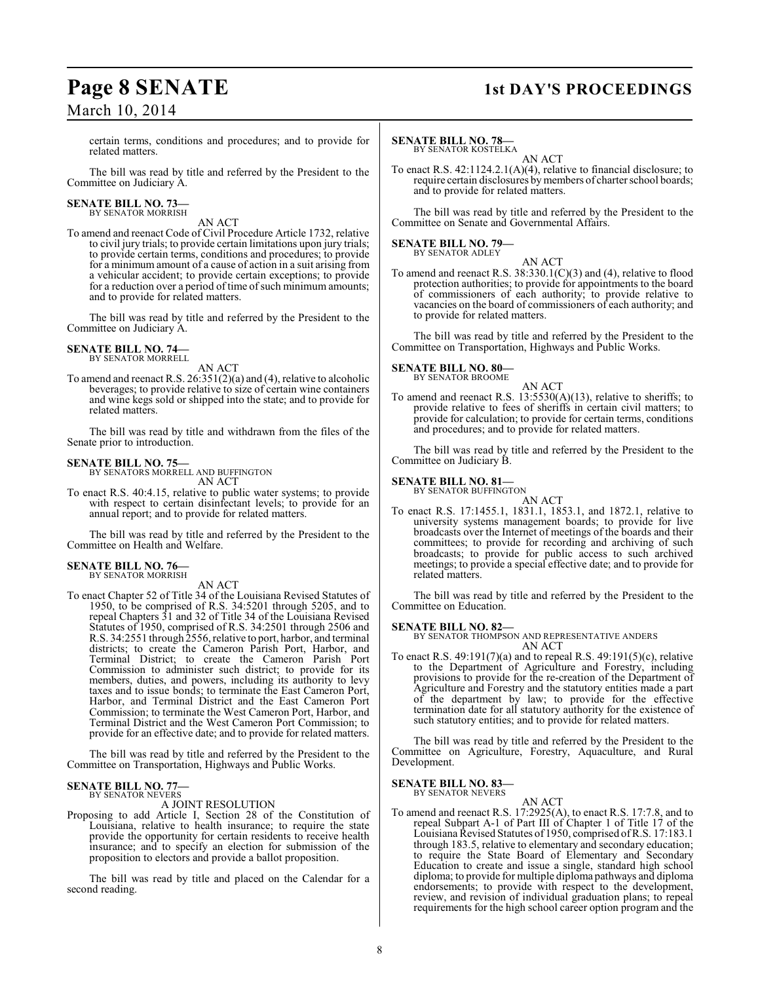# March 10, 2014

# **Page 8 SENATE** 1st DAY'S PROCEEDINGS

certain terms, conditions and procedures; and to provide for related matters.

The bill was read by title and referred by the President to the Committee on Judiciary A.

# **SENATE BILL NO. 73—** BY SENATOR MORRISH

AN ACT

To amend and reenact Code of Civil Procedure Article 1732, relative to civil jury trials; to provide certain limitations upon jury trials; to provide certain terms, conditions and procedures; to provide for a minimum amount of a cause of action in a suit arising from a vehicular accident; to provide certain exceptions; to provide for a reduction over a period of time of such minimum amounts; and to provide for related matters.

The bill was read by title and referred by the President to the Committee on Judiciary A.

## **SENATE BILL NO. 74—** BY SENATOR MORRELL

AN ACT

To amend and reenact R.S. 26:351(2)(a) and (4), relative to alcoholic beverages; to provide relative to size of certain wine containers and wine kegs sold or shipped into the state; and to provide for related matters.

The bill was read by title and withdrawn from the files of the Senate prior to introduction.

# **SENATE BILL NO. 75—** BY SENATORS MORRELL AND BUFFINGTON

AN ACT

To enact R.S. 40:4.15, relative to public water systems; to provide with respect to certain disinfectant levels; to provide for an annual report; and to provide for related matters.

The bill was read by title and referred by the President to the Committee on Health and Welfare.

## **SENATE BILL NO. 76—** BY SENATOR MORRISH

AN ACT

To enact Chapter 52 of Title 34 of the Louisiana Revised Statutes of 1950, to be comprised of R.S. 34:5201 through 5205, and to repeal Chapters 31 and 32 of Title 34 of the Louisiana Revised Statutes of 1950, comprised of R.S. 34:2501 through 2506 and R.S. 34:2551 through 2556, relative to port, harbor, and terminal districts; to create the Cameron Parish Port, Harbor, and Terminal District; to create the Cameron Parish Port Commission to administer such district; to provide for its members, duties, and powers, including its authority to levy taxes and to issue bonds; to terminate the East Cameron Port, Harbor, and Terminal District and the East Cameron Port Commission; to terminate the West Cameron Port, Harbor, and Terminal District and the West Cameron Port Commission; to provide for an effective date; and to provide for related matters.

The bill was read by title and referred by the President to the Committee on Transportation, Highways and Public Works.

### **SENATE BILL NO. 77—** BY SENATOR NEVERS

A JOINT RESOLUTION

Proposing to add Article I, Section 28 of the Constitution of Louisiana, relative to health insurance; to require the state provide the opportunity for certain residents to receive health insurance; and to specify an election for submission of the proposition to electors and provide a ballot proposition.

The bill was read by title and placed on the Calendar for a second reading.

# **SENATE BILL NO. 78—**

BY SENATOR KOSTELKA AN ACT

To enact R.S. 42:1124.2.1(A)(4), relative to financial disclosure; to require certain disclosures by members of charter school boards; and to provide for related matters.

The bill was read by title and referred by the President to the Committee on Senate and Governmental Affairs.

**SENATE BILL NO. 79—**<br>BY SENATOR ADLEY

AN ACT

To amend and reenact R.S. 38:330.1(C)(3) and (4), relative to flood protection authorities; to provide for appointments to the board of commissioners of each authority; to provide relative to vacancies on the board of commissioners of each authority; and to provide for related matters.

The bill was read by title and referred by the President to the Committee on Transportation, Highways and Public Works.

## **SENATE BILL NO. 80—** BY SENATOR BROOME

AN ACT

To amend and reenact R.S. 13:5530(A)(13), relative to sheriffs; to provide relative to fees of sheriffs in certain civil matters; to provide for calculation; to provide for certain terms, conditions and procedures; and to provide for related matters.

The bill was read by title and referred by the President to the Committee on Judiciary B.

# **SENATE BILL NO. 81—**

BY SENATOR BUFFINGTON

AN ACT To enact R.S. 17:1455.1, 1831.1, 1853.1, and 1872.1, relative to university systems management boards; to provide for live broadcasts over the Internet of meetings of the boards and their committees; to provide for recording and archiving of such broadcasts; to provide for public access to such archived meetings; to provide a special effective date; and to provide for related matters.

The bill was read by title and referred by the President to the Committee on Education.

# **SENATE BILL NO. 82—**

BY SENATOR THOMPSON AND REPRESENTATIVE ANDERS AN ACT

To enact R.S. 49:191(7)(a) and to repeal R.S. 49:191(5)(c), relative to the Department of Agriculture and Forestry, including provisions to provide for the re-creation of the Department of Agriculture and Forestry and the statutory entities made a part of the department by law; to provide for the effective termination date for all statutory authority for the existence of such statutory entities; and to provide for related matters.

The bill was read by title and referred by the President to the Committee on Agriculture, Forestry, Aquaculture, and Rural Development.

**SENATE BILL NO. 83—** BY SENATOR NEVERS

AN ACT

To amend and reenact R.S. 17:2925(A), to enact R.S. 17:7.8, and to repeal Subpart A-1 of Part III of Chapter 1 of Title 17 of the Louisiana Revised Statutes of 1950, comprised ofR.S. 17:183.1 through 183.5, relative to elementary and secondary education; to require the State Board of Elementary and Secondary Education to create and issue a single, standard high school diploma; to provide for multiple diploma pathways and diploma endorsements; to provide with respect to the development, review, and revision of individual graduation plans; to repeal requirements for the high school career option program and the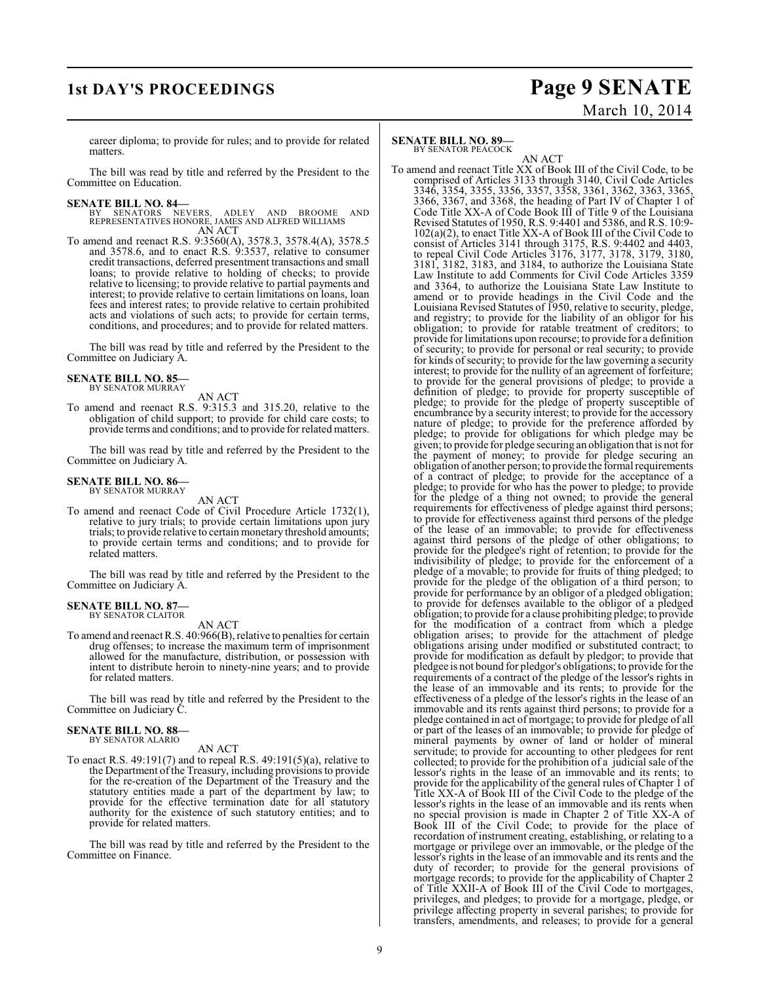# **1st DAY'S PROCEEDINGS Page 9 SENATE**

# March 10, 2014

career diploma; to provide for rules; and to provide for related matters.

The bill was read by title and referred by the President to the Committee on Education.

# **SENATE BILL NO. 84–**<br>BY SENATORS NE

BY SENATORS NEVERS, ADLEY AND BROOME AND REPRESENTATIVES HONORE, JAMES AND ALFRED WILLIAMS AN ACT

To amend and reenact R.S. 9:3560(A), 3578.3, 3578.4(A), 3578.5 and 3578.6, and to enact R.S. 9:3537, relative to consumer credit transactions, deferred presentment transactions and small loans; to provide relative to holding of checks; to provide relative to licensing; to provide relative to partial payments and interest; to provide relative to certain limitations on loans, loan fees and interest rates; to provide relative to certain prohibited acts and violations of such acts; to provide for certain terms, conditions, and procedures; and to provide for related matters.

The bill was read by title and referred by the President to the Committee on Judiciary A.

### **SENATE BILL NO. 85—** BY SENATOR MURRAY

AN ACT

To amend and reenact R.S. 9:315.3 and 315.20, relative to the obligation of child support; to provide for child care costs; to provide terms and conditions; and to provide for related matters.

The bill was read by title and referred by the President to the Committee on Judiciary A.

## **SENATE BILL NO. 86—** BY SENATOR MURRAY

AN ACT

To amend and reenact Code of Civil Procedure Article 1732(1), relative to jury trials; to provide certain limitations upon jury trials; to provide relative to certain monetary threshold amounts; to provide certain terms and conditions; and to provide for related matters.

The bill was read by title and referred by the President to the Committee on Judiciary A.

## **SENATE BILL NO. 87—** BY SENATOR CLAITOR

AN ACT

To amend and reenact R.S. 40:966(B), relative to penalties for certain drug offenses; to increase the maximum term of imprisonment allowed for the manufacture, distribution, or possession with intent to distribute heroin to ninety-nine years; and to provide for related matters.

The bill was read by title and referred by the President to the Committee on Judiciary C.

#### **SENATE BILL NO. 88—** BY SENATOR ALARIO

AN ACT

To enact R.S. 49:191(7) and to repeal R.S. 49:191(5)(a), relative to the Department of the Treasury, including provisions to provide for the re-creation of the Department of the Treasury and the statutory entities made a part of the department by law; to provide for the effective termination date for all statutory authority for the existence of such statutory entities; and to provide for related matters.

The bill was read by title and referred by the President to the Committee on Finance.

### **SENATE BILL NO. 89—** BY SENATOR PEACOCK

AN ACT To amend and reenact Title XX of Book III of the Civil Code, to be comprised of Articles 3133 through 3140, Civil Code Articles 3346, 3354, 3355, 3356, 3357, 3358, 3361, 3362, 3363, 3365, 3366, 3367, and 3368, the heading of Part IV of Chapter 1 of Code Title XX-A of Code Book III of Title 9 of the Louisiana Revised Statutes of 1950, R.S. 9:4401 and 5386, and R.S. 10:9- 102(a)(2), to enact Title XX-A of Book III of the Civil Code to consist of Articles 3141 through 3175, R.S. 9:4402 and 4403, to repeal Civil Code Articles 3176, 3177, 3178, 3179, 3180, 3181, 3182, 3183, and 3184, to authorize the Louisiana State Law Institute to add Comments for Civil Code Articles 3359 and 3364, to authorize the Louisiana State Law Institute to amend or to provide headings in the Civil Code and the Louisiana Revised Statutes of 1950, relative to security, pledge, and registry; to provide for the liability of an obligor for his obligation; to provide for ratable treatment of creditors; to provide for limitations upon recourse; to provide for a definition of security; to provide for personal or real security; to provide for kinds of security; to provide for the law governing a security interest; to provide for the nullity of an agreement of forfeiture; to provide for the general provisions of pledge; to provide a definition of pledge; to provide for property susceptible of pledge; to provide for the pledge of property susceptible of encumbrance by a security interest; to provide for the accessory nature of pledge; to provide for the preference afforded by pledge; to provide for obligations for which pledge may be given; to provide for pledge securing an obligation that is not for the payment of money; to provide for pledge securing an obligation of another person; to provide the formal requirements of a contract of pledge; to provide for the acceptance of a pledge; to provide for who has the power to pledge; to provide for the pledge of a thing not owned; to provide the general requirements for effectiveness of pledge against third persons; to provide for effectiveness against third persons of the pledge of the lease of an immovable; to provide for effectiveness against third persons of the pledge of other obligations; to provide for the pledgee's right of retention; to provide for the indivisibility of pledge; to provide for the enforcement of a pledge of a movable; to provide for fruits of thing pledged; to provide for the pledge of the obligation of a third person; to provide for performance by an obligor of a pledged obligation; to provide for defenses available to the obligor of a pledged obligation; to provide for a clause prohibiting pledge; to provide for the modification of a contract from which a pledge obligation arises; to provide for the attachment of pledge obligations arising under modified or substituted contract; to provide for modification as default by pledgor; to provide that pledgee is not bound for pledgor's obligations; to provide for the requirements of a contract of the pledge of the lessor's rights in the lease of an immovable and its rents; to provide for the effectiveness of a pledge of the lessor's rights in the lease of an immovable and its rents against third persons; to provide for a pledge contained in act of mortgage; to provide for pledge of all or part of the leases of an immovable; to provide for pledge of mineral payments by owner of land or holder of mineral servitude; to provide for accounting to other pledgees for rent collected; to provide for the prohibition of a judicial sale of the lessor's rights in the lease of an immovable and its rents; to provide for the applicability of the general rules of Chapter 1 of Title XX-A of Book III of the Civil Code to the pledge of the lessor's rights in the lease of an immovable and its rents when no special provision is made in Chapter 2 of Title XX-A of Book III of the Civil Code; to provide for the place of recordation of instrument creating, establishing, or relating to a mortgage or privilege over an immovable, or the pledge of the lessor's rights in the lease of an immovable and its rents and the duty of recorder; to provide for the general provisions of mortgage records; to provide for the applicability of Chapter 2 of Title XXII-A of Book III of the Civil Code to mortgages, privileges, and pledges; to provide for a mortgage, pledge, or privilege affecting property in several parishes; to provide for transfers, amendments, and releases; to provide for a general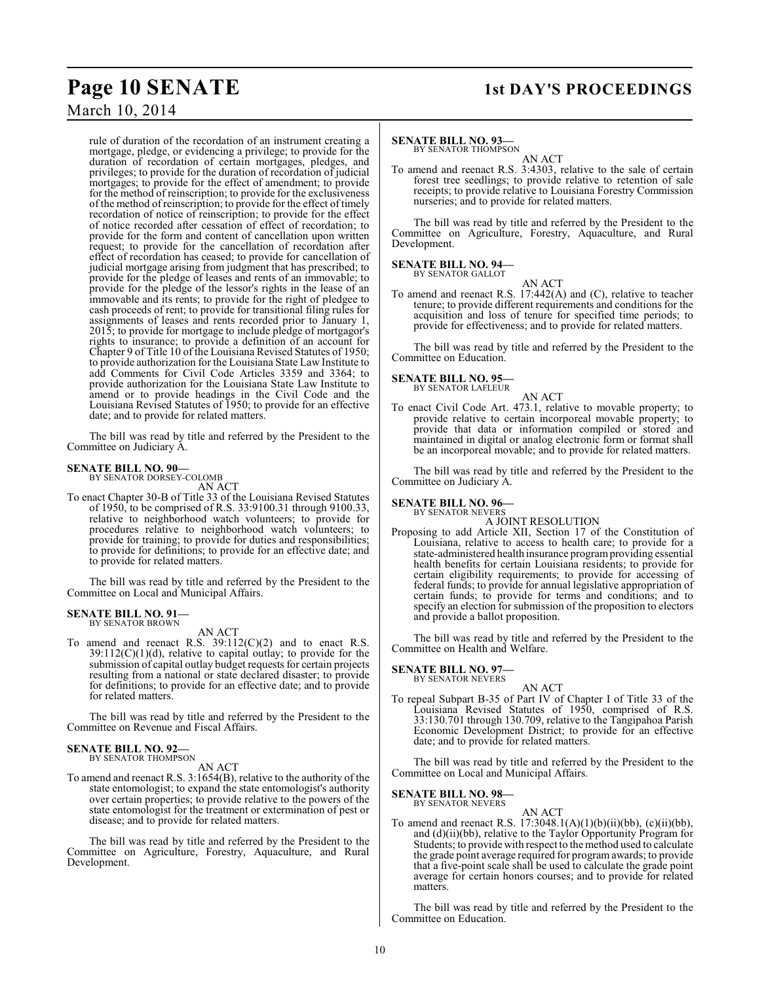# March 10, 2014

rule of duration of the recordation of an instrument creating a mortgage, pledge, or evidencing a privilege; to provide for the duration of recordation of certain mortgages, pledges, and privileges; to provide for the duration of recordation of judicial mortgages; to provide for the effect of amendment; to provide for the method of reinscription; to provide for the exclusiveness of the method ofreinscription; to provide for the effect of timely recordation of notice of reinscription; to provide for the effect of notice recorded after cessation of effect of recordation; to provide for the form and content of cancellation upon written request; to provide for the cancellation of recordation after effect of recordation has ceased; to provide for cancellation of judicial mortgage arising from judgment that has prescribed; to provide for the pledge of leases and rents of an immovable; to provide for the pledge of the lessor's rights in the lease of an immovable and its rents; to provide for the right of pledgee to cash proceeds of rent; to provide for transitional filing rules for assignments of leases and rents recorded prior to January 1, 2015; to provide for mortgage to include pledge of mortgagor's rights to insurance; to provide a definition of an account for Chapter 9 of Title 10 of the Louisiana Revised Statutes of 1950; to provide authorization for the Louisiana State Law Institute to add Comments for Civil Code Articles 3359 and 3364; to provide authorization for the Louisiana State Law Institute to amend or to provide headings in the Civil Code and the Louisiana Revised Statutes of 1950; to provide for an effective date; and to provide for related matters.

The bill was read by title and referred by the President to the Committee on Judiciary A.

### **SENATE BILL NO. 90—** BY SENATOR DORSEY-COLOMB

AN ACT

To enact Chapter 30-B of Title 33 of the Louisiana Revised Statutes of 1950, to be comprised of R.S. 33:9100.31 through 9100.33, relative to neighborhood watch volunteers; to provide for procedures relative to neighborhood watch volunteers; to provide for training; to provide for duties and responsibilities; to provide for definitions; to provide for an effective date; and to provide for related matters.

The bill was read by title and referred by the President to the Committee on Local and Municipal Affairs.

### **SENATE BILL NO. 91—** BY SENATOR BROWN

AN ACT

To amend and reenact R.S. 39:112(C)(2) and to enact R.S.  $39:112(C)(1)(d)$ , relative to capital outlay; to provide for the submission of capital outlay budget requests for certain projects resulting from a national or state declared disaster; to provide for definitions; to provide for an effective date; and to provide for related matters.

The bill was read by title and referred by the President to the Committee on Revenue and Fiscal Affairs.

# **SENATE BILL NO. 92—**<br>BY SENATOR THOMPSON

AN ACT

To amend and reenact R.S. 3:1654(B), relative to the authority of the state entomologist; to expand the state entomologist's authority over certain properties; to provide relative to the powers of the state entomologist for the treatment or extermination of pest or disease; and to provide for related matters.

The bill was read by title and referred by the President to the Committee on Agriculture, Forestry, Aquaculture, and Rural Development.

# **Page 10 SENATE** 1st DAY'S PROCEEDINGS

# **SENATE BILL NO. 93—**

BY SENATOR THOMPSON

AN ACT To amend and reenact R.S. 3:4303, relative to the sale of certain forest tree seedlings; to provide relative to retention of sale receipts; to provide relative to Louisiana Forestry Commission nurseries; and to provide for related matters.

The bill was read by title and referred by the President to the Committee on Agriculture, Forestry, Aquaculture, and Rural Development.

## **SENATE BILL NO. 94—**

BY SENATOR GALLOT

AN ACT To amend and reenact R.S. 17:442(A) and (C), relative to teacher tenure; to provide different requirements and conditions for the acquisition and loss of tenure for specified time periods; to provide for effectiveness; and to provide for related matters.

The bill was read by title and referred by the President to the Committee on Education.

### **SENATE BILL NO. 95—** BY SENATOR LAFLEUR

AN ACT To enact Civil Code Art. 473.1, relative to movable property; to provide relative to certain incorporeal movable property; to provide that data or information compiled or stored and maintained in digital or analog electronic form or format shall be an incorporeal movable; and to provide for related matters.

The bill was read by title and referred by the President to the Committee on Judiciary A.

# **SENATE BILL NO. 96—** BY SENATOR NEVERS

A JOINT RESOLUTION

Proposing to add Article XII, Section 17 of the Constitution of Louisiana, relative to access to health care; to provide for a state-administered health insurance program providing essential health benefits for certain Louisiana residents; to provide for certain eligibility requirements; to provide for accessing of federal funds; to provide for annual legislative appropriation of certain funds; to provide for terms and conditions; and to specify an election for submission of the proposition to electors and provide a ballot proposition.

The bill was read by title and referred by the President to the Committee on Health and Welfare.

# **SENATE BILL NO. 97—** BY SENATOR NEVERS

AN ACT

To repeal Subpart B-35 of Part IV of Chapter I of Title 33 of the Louisiana Revised Statutes of 1950, comprised of R.S. 33:130.701 through 130.709, relative to the Tangipahoa Parish Economic Development District; to provide for an effective date; and to provide for related matters.

The bill was read by title and referred by the President to the Committee on Local and Municipal Affairs.

# **SENATE BILL NO. 98—** BY SENATOR NEVERS

AN ACT

To amend and reenact R.S.  $17:3048.1(A)(1)(b)(ii)(bb)$ , (c)(ii)(bb), and (d)(ii)(bb), relative to the Taylor Opportunity Program for Students; to provide with respect to themethod used to calculate the grade point average required for programawards; to provide that a five-point scale shall be used to calculate the grade point average for certain honors courses; and to provide for related matters.

The bill was read by title and referred by the President to the Committee on Education.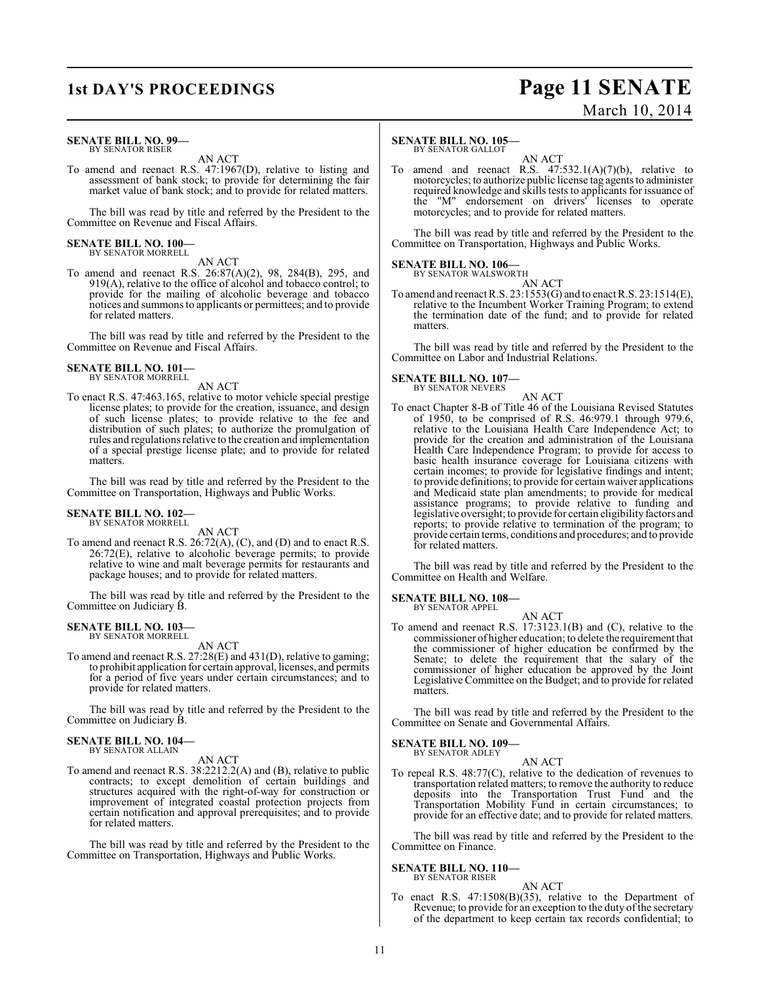### **SENATE BILL NO. 99—** BY SENATOR RISER

AN ACT

To amend and reenact R.S. 47:1967(D), relative to listing and assessment of bank stock; to provide for determining the fair market value of bank stock; and to provide for related matters.

The bill was read by title and referred by the President to the Committee on Revenue and Fiscal Affairs.

# **SENATE BILL NO. 100—** BY SENATOR MORRELL

AN ACT

To amend and reenact R.S. 26:87(A)(2), 98, 284(B), 295, and 919(A), relative to the office of alcohol and tobacco control; to provide for the mailing of alcoholic beverage and tobacco notices and summons to applicants or permittees; and to provide for related matters.

The bill was read by title and referred by the President to the Committee on Revenue and Fiscal Affairs.

# **SENATE BILL NO. 101—** BY SENATOR MORRELL

AN ACT

To enact R.S. 47:463.165, relative to motor vehicle special prestige license plates; to provide for the creation, issuance, and design of such license plates; to provide relative to the fee and distribution of such plates; to authorize the promulgation of rules and regulations relative to the creation and implementation of a special prestige license plate; and to provide for related matters.

The bill was read by title and referred by the President to the Committee on Transportation, Highways and Public Works.

#### **SENATE BILL NO. 102—** BY SENATOR MORRELL

AN ACT

To amend and reenact R.S. 26:72(A), (C), and (D) and to enact R.S. 26:72(E), relative to alcoholic beverage permits; to provide relative to wine and malt beverage permits for restaurants and package houses; and to provide for related matters.

The bill was read by title and referred by the President to the Committee on Judiciary B.

# **SENATE BILL NO. 103—** BY SENATOR MORRELL

AN ACT

To amend and reenact R.S. 27:28(E) and 431(D), relative to gaming; to prohibit application for certain approval, licenses, and permits for a period of five years under certain circumstances; and to provide for related matters.

The bill was read by title and referred by the President to the Committee on Judiciary B.

## **SENATE BILL NO. 104—** BY SENATOR ALLAIN

AN ACT

To amend and reenact R.S. 38:2212.2(A) and (B), relative to public contracts; to except demolition of certain buildings and structures acquired with the right-of-way for construction or improvement of integrated coastal protection projects from certain notification and approval prerequisites; and to provide for related matters.

The bill was read by title and referred by the President to the Committee on Transportation, Highways and Public Works.

# **SENATE BILL NO. 105—**

BY SENATOR GALLOT

AN ACT To amend and reenact R.S.  $47:532.1(A)(7)(b)$ , relative to motorcycles; to authorize public license tag agents to administer required knowledge and skills tests to applicants for issuance of the "M" endorsement on drivers' licenses to operate motorcycles; and to provide for related matters.

The bill was read by title and referred by the President to the Committee on Transportation, Highways and Public Works.

# **SENATE BILL NO. 106—**

BY SENATOR WALSWORTH AN ACT

To amend and reenact R.S. 23:1553(G) and to enact R.S. 23:1514(E), relative to the Incumbent Worker Training Program; to extend the termination date of the fund; and to provide for related matters.

The bill was read by title and referred by the President to the Committee on Labor and Industrial Relations.

# **SENATE BILL NO. 107—**

BY SENATOR NEVERS

AN ACT To enact Chapter 8-B of Title 46 of the Louisiana Revised Statutes of 1950, to be comprised of R.S. 46:979.1 through 979.6, relative to the Louisiana Health Care Independence Act; to provide for the creation and administration of the Louisiana Health Care Independence Program; to provide for access to basic health insurance coverage for Louisiana citizens with certain incomes; to provide for legislative findings and intent; to provide definitions; to provide for certain waiver applications and Medicaid state plan amendments; to provide for medical assistance programs; to provide relative to funding and legislative oversight; to provide for certain eligibility factors and reports; to provide relative to termination of the program; to provide certain terms, conditions and procedures; and to provide for related matters.

The bill was read by title and referred by the President to the Committee on Health and Welfare.

**SENATE BILL NO. 108—** BY SENATOR APPEL

AN ACT

To amend and reenact R.S. 17:3123.1(B) and (C), relative to the commissioner of higher education; to delete the requirement that the commissioner of higher education be confirmed by the Senate; to delete the requirement that the salary of the commissioner of higher education be approved by the Joint Legislative Committee on the Budget; and to provide for related matters.

The bill was read by title and referred by the President to the Committee on Senate and Governmental Affairs.

## **SENATE BILL NO. 109—** BY SENATOR ADLEY

AN ACT

To repeal R.S. 48:77(C), relative to the dedication of revenues to transportation related matters; to remove the authority to reduce deposits into the Transportation Trust Fund and the Transportation Mobility Fund in certain circumstances; to provide for an effective date; and to provide for related matters.

The bill was read by title and referred by the President to the Committee on Finance.

## **SENATE BILL NO. 110—** BY SENATOR RISER

AN ACT

To enact R.S. 47:1508(B)(35), relative to the Department of Revenue; to provide for an exception to the duty of the secretary of the department to keep certain tax records confidential; to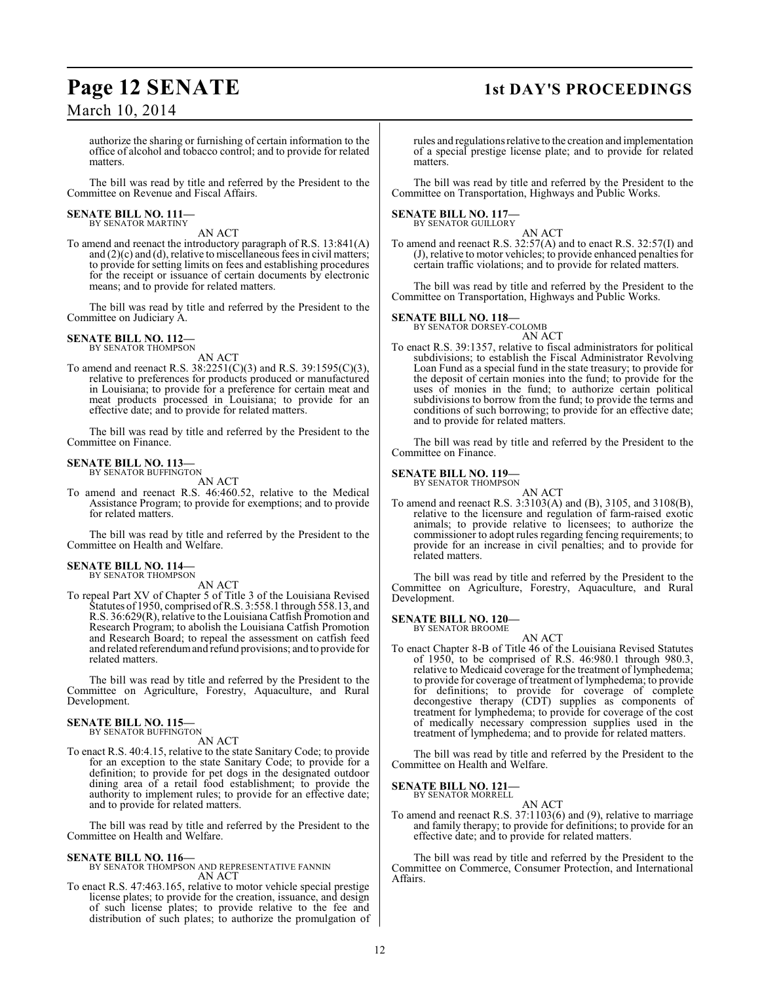# **Page 12 SENATE** 1st DAY'S PROCEEDINGS

March 10, 2014

authorize the sharing or furnishing of certain information to the office of alcohol and tobacco control; and to provide for related matters.

The bill was read by title and referred by the President to the Committee on Revenue and Fiscal Affairs.

### **SENATE BILL NO. 111—** BY SENATOR MARTINY

AN ACT

To amend and reenact the introductory paragraph of R.S. 13:841(A) and (2)(c) and (d), relative to miscellaneous fees in civil matters; to provide for setting limits on fees and establishing procedures for the receipt or issuance of certain documents by electronic means; and to provide for related matters.

The bill was read by title and referred by the President to the Committee on Judiciary A.

# **SENATE BILL NO. 112—**<br>BY SENATOR THOMPSON

AN ACT

To amend and reenact R.S. 38:2251(C)(3) and R.S. 39:1595(C)(3), relative to preferences for products produced or manufactured in Louisiana; to provide for a preference for certain meat and meat products processed in Louisiana; to provide for an effective date; and to provide for related matters.

The bill was read by title and referred by the President to the Committee on Finance.

# **SENATE BILL NO. 113—**<br>BY SENATOR BUFFINGTON

AN ACT

To amend and reenact R.S. 46:460.52, relative to the Medical Assistance Program; to provide for exemptions; and to provide for related matters.

The bill was read by title and referred by the President to the Committee on Health and Welfare.

# **SENATE BILL NO. 114—**

BY SENATOR THOMPSON AN ACT

To repeal Part XV of Chapter 5 of Title 3 of the Louisiana Revised Statutes of 1950, comprised of R.S. 3:558.1 through 558.13, and R.S. 36:629(R), relative to the Louisiana Catfish Promotion and Research Program; to abolish the Louisiana Catfish Promotion and Research Board; to repeal the assessment on catfish feed and related referendum and refund provisions; and to provide for related matters.

The bill was read by title and referred by the President to the Committee on Agriculture, Forestry, Aquaculture, and Rural Development.

# **SENATE BILL NO. 115—**<br>BY SENATOR BUFFINGTON

AN ACT

To enact R.S. 40:4.15, relative to the state Sanitary Code; to provide for an exception to the state Sanitary Code; to provide for a definition; to provide for pet dogs in the designated outdoor dining area of a retail food establishment; to provide the authority to implement rules; to provide for an effective date; and to provide for related matters.

The bill was read by title and referred by the President to the Committee on Health and Welfare.

**SENATE BILL NO. 116—** BY SENATOR THOMPSON AND REPRESENTATIVE FANNIN AN ACT

To enact R.S. 47:463.165, relative to motor vehicle special prestige license plates; to provide for the creation, issuance, and design of such license plates; to provide relative to the fee and distribution of such plates; to authorize the promulgation of

rules and regulationsrelative to the creation and implementation of a special prestige license plate; and to provide for related matters.

The bill was read by title and referred by the President to the Committee on Transportation, Highways and Public Works.

# **SENATE BILL NO. 117—**

BY SENATOR GUILLORY AN ACT

To amend and reenact R.S. 32:57(A) and to enact R.S. 32:57(I) and (J), relative to motor vehicles; to provide enhanced penalties for certain traffic violations; and to provide for related matters.

The bill was read by title and referred by the President to the Committee on Transportation, Highways and Public Works.

## **SENATE BILL NO. 118—**

BY SENATOR DORSEY-COLOMB AN ACT

To enact R.S. 39:1357, relative to fiscal administrators for political subdivisions; to establish the Fiscal Administrator Revolving Loan Fund as a special fund in the state treasury; to provide for the deposit of certain monies into the fund; to provide for the uses of monies in the fund; to authorize certain political subdivisions to borrow from the fund; to provide the terms and conditions of such borrowing; to provide for an effective date; and to provide for related matters.

The bill was read by title and referred by the President to the Committee on Finance.

## **SENATE BILL NO. 119—**

BY SENATOR THOMPSON

AN ACT To amend and reenact R.S. 3:3103(A) and (B), 3105, and 3108(B), relative to the licensure and regulation of farm-raised exotic animals; to provide relative to licensees; to authorize the commissioner to adopt rules regarding fencing requirements; to provide for an increase in civil penalties; and to provide for related matters.

The bill was read by title and referred by the President to the Committee on Agriculture, Forestry, Aquaculture, and Rural Development.

**SENATE BILL NO. 120—** BY SENATOR BROOME

AN ACT

To enact Chapter 8-B of Title 46 of the Louisiana Revised Statutes of 1950, to be comprised of R.S. 46:980.1 through 980.3, relative to Medicaid coverage for the treatment of lymphedema; to provide for coverage of treatment of lymphedema; to provide for definitions; to provide for coverage of complete decongestive therapy (CDT) supplies as components of treatment for lymphedema; to provide for coverage of the cost of medically necessary compression supplies used in the treatment of lymphedema; and to provide for related matters.

The bill was read by title and referred by the President to the Committee on Health and Welfare.

**SENATE BILL NO. 121** 

BY SENATOR MORRELL AN ACT

To amend and reenact R.S. 37:1103(6) and (9), relative to marriage and family therapy; to provide for definitions; to provide for an effective date; and to provide for related matters.

The bill was read by title and referred by the President to the Committee on Commerce, Consumer Protection, and International Affairs.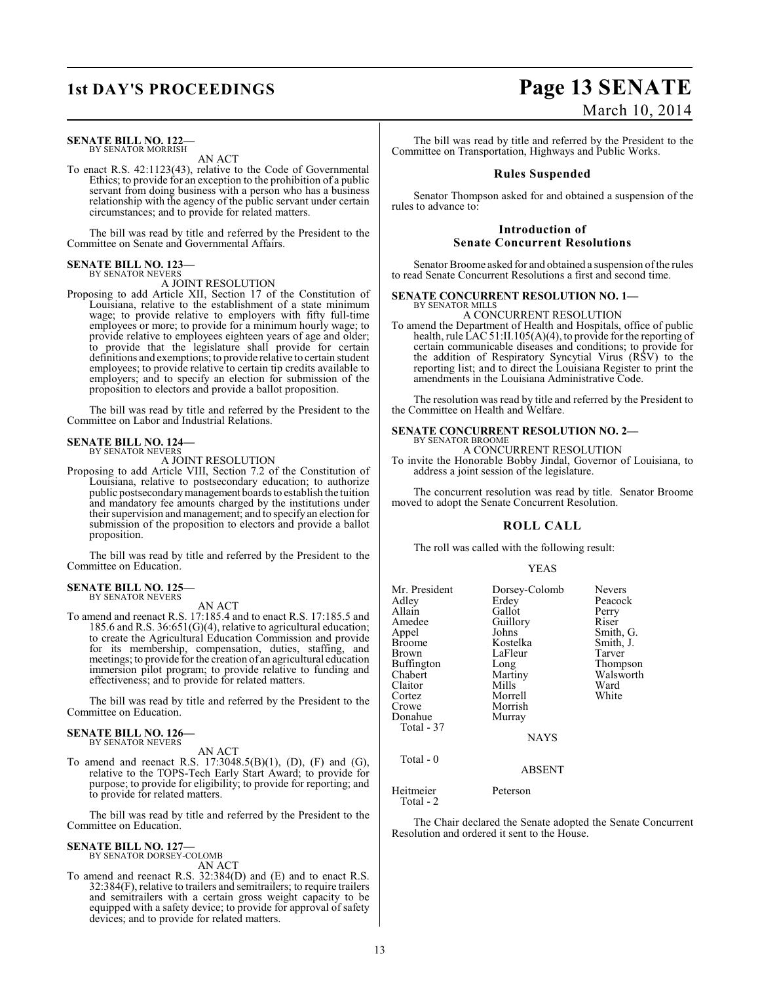### **SENATE BILL NO. 122—** BY SENATOR MORRISH

AN ACT

To enact R.S. 42:1123(43), relative to the Code of Governmental Ethics; to provide for an exception to the prohibition of a public servant from doing business with a person who has a business relationship with the agency of the public servant under certain circumstances; and to provide for related matters.

The bill was read by title and referred by the President to the Committee on Senate and Governmental Affairs.

## **SENATE BILL NO. 123—** BY SENATOR NEVERS

A JOINT RESOLUTION

Proposing to add Article XII, Section 17 of the Constitution of Louisiana, relative to the establishment of a state minimum wage; to provide relative to employers with fifty full-time employees or more; to provide for a minimum hourly wage; to provide relative to employees eighteen years of age and older; to provide that the legislature shall provide for certain definitions and exemptions; to provide relative to certain student employees; to provide relative to certain tip credits available to employers; and to specify an election for submission of the proposition to electors and provide a ballot proposition.

The bill was read by title and referred by the President to the Committee on Labor and Industrial Relations.

## **SENATE BILL NO. 124—** BY SENATOR NEVERS

A JOINT RESOLUTION

Proposing to add Article VIII, Section 7.2 of the Constitution of Louisiana, relative to postsecondary education; to authorize public postsecondary management boards to establish the tuition and mandatory fee amounts charged by the institutions under their supervision and management; and to specify an election for submission of the proposition to electors and provide a ballot proposition.

The bill was read by title and referred by the President to the Committee on Education.

#### **SENATE BILL NO. 125—** BY SENATOR NEVERS

AN ACT

To amend and reenact R.S. 17:185.4 and to enact R.S. 17:185.5 and 185.6 and R.S. 36:651(G)(4), relative to agricultural education; to create the Agricultural Education Commission and provide for its membership, compensation, duties, staffing, and meetings; to provide for the creation of an agricultural education immersion pilot program; to provide relative to funding and effectiveness; and to provide for related matters.

The bill was read by title and referred by the President to the Committee on Education.

## **SENATE BILL NO. 126—** BY SENATOR NEVERS

AN ACT

To amend and reenact R.S. 17:3048.5(B)(1), (D), (F) and (G), relative to the TOPS-Tech Early Start Award; to provide for purpose; to provide for eligibility; to provide for reporting; and to provide for related matters.

The bill was read by title and referred by the President to the Committee on Education.

# **SENATE BILL NO. 127—** BY SENATOR DORSEY-COLOMB

AN ACT

To amend and reenact R.S. 32:384(D) and (E) and to enact R.S. 32:384(F), relative to trailers and semitrailers; to require trailers and semitrailers with a certain gross weight capacity to be equipped with a safety device; to provide for approval of safety devices; and to provide for related matters.

# **1st DAY'S PROCEEDINGS Page 13 SENATE** March 10, 2014

The bill was read by title and referred by the President to the Committee on Transportation, Highways and Public Works.

# **Rules Suspended**

Senator Thompson asked for and obtained a suspension of the rules to advance to:

# **Introduction of Senate Concurrent Resolutions**

Senator Broome asked for and obtained a suspension of the rules to read Senate Concurrent Resolutions a first and second time.

# **SENATE CONCURRENT RESOLUTION NO. 1—**

BY SENATOR MILLS A CONCURRENT RESOLUTION

To amend the Department of Health and Hospitals, office of public health, rule LAC 51:II.105(A)(4), to provide for the reporting of certain communicable diseases and conditions; to provide for the addition of Respiratory Syncytial Virus (RSV) to the reporting list; and to direct the Louisiana Register to print the amendments in the Louisiana Administrative Code.

The resolution was read by title and referred by the President to the Committee on Health and Welfare.

#### **SENATE CONCURRENT RESOLUTION NO. 2—** BY SENATOR BROOME

A CONCURRENT RESOLUTION

To invite the Honorable Bobby Jindal, Governor of Louisiana, to address a joint session of the legislature.

The concurrent resolution was read by title. Senator Broome moved to adopt the Senate Concurrent Resolution.

# **ROLL CALL**

The roll was called with the following result:

## YEAS

| Mr. President          | Dorsey-Colomb | <b>Nevers</b> |
|------------------------|---------------|---------------|
| Adley                  | Erdey         | Peacock       |
| Allain                 | Gallot        | Perry         |
| Amedee                 | Guillory      | Riser         |
| Appel                  | Johns         | Smith, G.     |
| Broome                 | Kostelka      | Smith, J.     |
| Brown                  | LaFleur       | Tarver        |
| Buffington             | Long          | Thompson      |
| Chabert                | Martiny       | Walsworth     |
| Claitor                | Mills         | Ward          |
| Cortez                 | Morrell       | White         |
| Crowe                  | Morrish       |               |
| Donahue                | Murray        |               |
| Total - 37             |               |               |
|                        | <b>NAYS</b>   |               |
| Total - 0              |               |               |
|                        | <b>ABSENT</b> |               |
| Heitmeier<br>Total - 2 | Peterson      |               |

The Chair declared the Senate adopted the Senate Concurrent Resolution and ordered it sent to the House.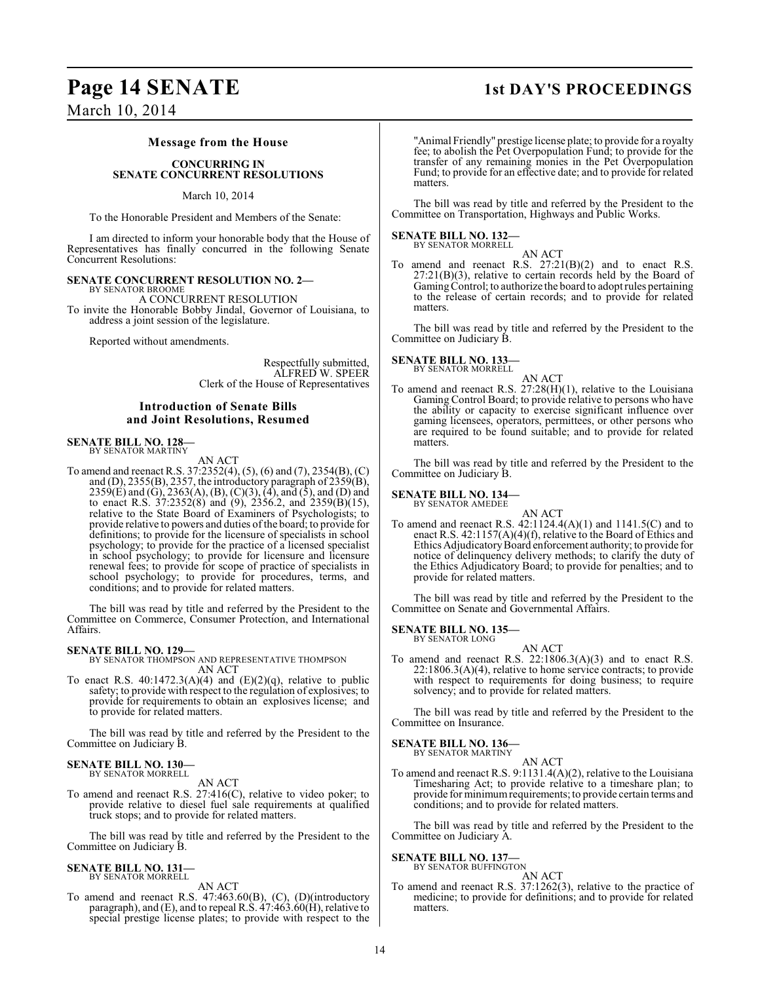# **Page 14 SENATE** 1st DAY'S PROCEEDINGS

# March 10, 2014

## **Message from the House**

## **CONCURRING IN SENATE CONCURRENT RESOLUTIONS**

## March 10, 2014

To the Honorable President and Members of the Senate:

I am directed to inform your honorable body that the House of Representatives has finally concurred in the following Senate Concurrent Resolutions:

# **SENATE CONCURRENT RESOLUTION NO. 2—**

BY SENATOR BROOME A CONCURRENT RESOLUTION To invite the Honorable Bobby Jindal, Governor of Louisiana, to address a joint session of the legislature.

Reported without amendments.

Respectfully submitted, ALFRED W. SPEER Clerk of the House of Representatives

# **Introduction of Senate Bills and Joint Resolutions, Resumed**

### **SENATE BILL NO. 128—** BY SENATOR MARTINY

AN ACT

To amend and reenact R.S. 37:2352(4), (5), (6) and (7), 2354(B), (C) and (D),  $2355(B)$ ,  $2357$ , the introductory paragraph of  $2359(B)$ , 2359(E) and (G), 2363(A), (B), (C)(3), (4), and (5), and (D) and to enact R.S. 37:2352(8) and (9), 2356.2, and 2359(B)(15), relative to the State Board of Examiners of Psychologists; to provide relative to powers and duties of the board; to provide for definitions; to provide for the licensure of specialists in school psychology; to provide for the practice of a licensed specialist in school psychology; to provide for licensure and licensure renewal fees; to provide for scope of practice of specialists in school psychology; to provide for procedures, terms, and conditions; and to provide for related matters.

The bill was read by title and referred by the President to the Committee on Commerce, Consumer Protection, and International Affairs.

## **SENATE BILL NO. 129—**

## BY SENATOR THOMPSON AND REPRESENTATIVE THOMPSON AN ACT

To enact R.S.  $40:1472.3(A)(4)$  and  $(E)(2)(q)$ , relative to public safety; to provide with respect to the regulation of explosives; to provide for requirements to obtain an explosives license; and to provide for related matters.

The bill was read by title and referred by the President to the Committee on Judiciary B.

## **SENATE BILL NO. 130—** BY SENATOR MORRELL

AN ACT

To amend and reenact R.S. 27:416(C), relative to video poker; to provide relative to diesel fuel sale requirements at qualified truck stops; and to provide for related matters.

The bill was read by title and referred by the President to the Committee on Judiciary B.

## **SENATE BILL NO. 131** BY SENATOR MORRELL

AN ACT

To amend and reenact R.S. 47:463.60(B), (C), (D)(introductory paragraph), and (E), and to repeal R.S. 47:463.60(H), relative to special prestige license plates; to provide with respect to the

"Animal Friendly" prestige license plate; to provide for a royalty fee; to abolish the Pet Overpopulation Fund; to provide for the transfer of any remaining monies in the Pet Overpopulation Fund; to provide for an effective date; and to provide for related matters.

The bill was read by title and referred by the President to the Committee on Transportation, Highways and Public Works.

### **SENATE BILL NO. 132—** BY SENATOR MORRELL

AN ACT To amend and reenact R.S. 27:21(B)(2) and to enact R.S.  $27:21(B)(3)$ , relative to certain records held by the Board of Gaming Control; to authorize the board to adopt rules pertaining to the release of certain records; and to provide for related matters.

The bill was read by title and referred by the President to the Committee on Judiciary B.

## **SENATE BILL NO. 133—** BY SENATOR MORRELL

AN ACT To amend and reenact R.S. 27:28(H)(1), relative to the Louisiana Gaming Control Board; to provide relative to persons who have the ability or capacity to exercise significant influence over gaming licensees, operators, permittees, or other persons who are required to be found suitable; and to provide for related matters.

The bill was read by title and referred by the President to the Committee on Judiciary B.

## **SENATE BILL NO. 134—** BY SENATOR AMEDEE

AN ACT

To amend and reenact R.S. 42:1124.4(A)(1) and 1141.5(C) and to enact R.S. 42:1157(A)(4)(f), relative to the Board of Ethics and Ethics Adjudicatory Board enforcement authority; to provide for notice of delinquency delivery methods; to clarify the duty of the Ethics Adjudicatory Board; to provide for penalties; and to provide for related matters.

The bill was read by title and referred by the President to the Committee on Senate and Governmental Affairs.

# **SENATE BILL NO. 135—** BY SENATOR LONG

AN ACT To amend and reenact R.S. 22:1806.3(A)(3) and to enact R.S. 22:1806.3(A)(4), relative to home service contracts; to provide with respect to requirements for doing business; to require solvency; and to provide for related matters.

The bill was read by title and referred by the President to the Committee on Insurance.

**SENATE BILL NO. 136—**

BY SENATOR MARTINY

AN ACT To amend and reenact R.S. 9:1131.4(A)(2), relative to the Louisiana Timesharing Act; to provide relative to a timeshare plan; to provide for minimum requirements; to provide certain terms and conditions; and to provide for related matters.

The bill was read by title and referred by the President to the Committee on Judiciary A.

# **SENATE BILL NO. 137—**<br>BY SENATOR BUFFINGTON

AN ACT

To amend and reenact R.S. 37:1262(3), relative to the practice of medicine; to provide for definitions; and to provide for related matters.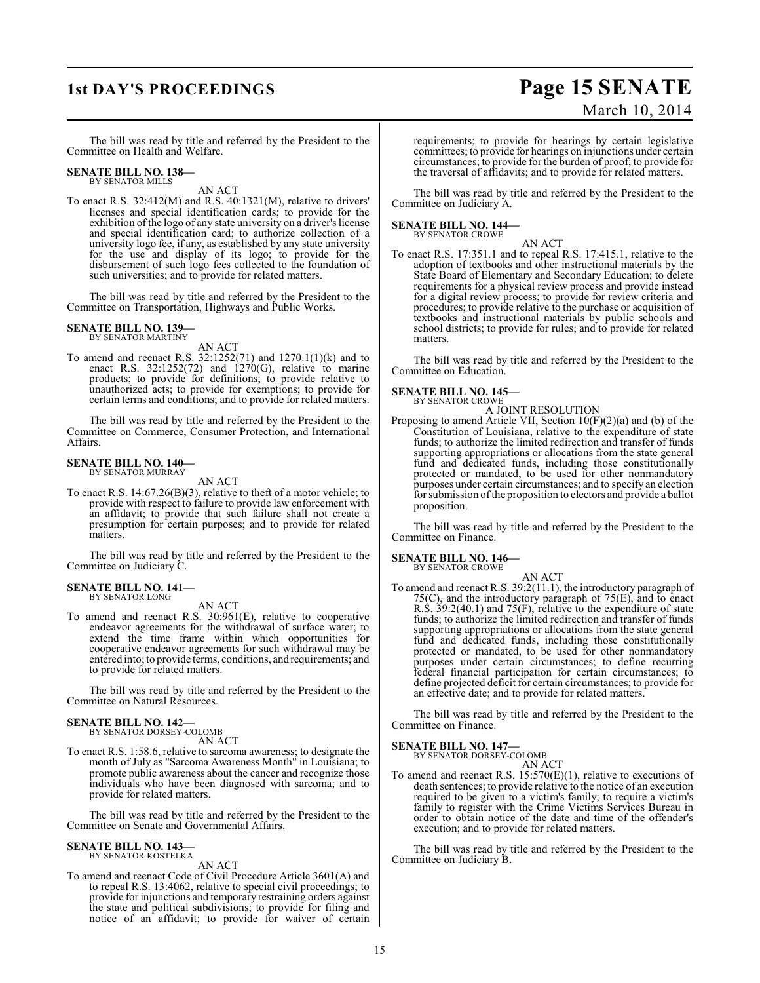# **1st DAY'S PROCEEDINGS Page 15 SENATE** March 10, 2014

The bill was read by title and referred by the President to the Committee on Health and Welfare.

# **SENATE BILL NO. 138—** BY SENATOR MILLS

AN ACT

To enact R.S. 32:412(M) and R.S. 40:1321(M), relative to drivers' licenses and special identification cards; to provide for the exhibition of the logo of any state university on a driver's license and special identification card; to authorize collection of a university logo fee, if any, as established by any state university for the use and display of its logo; to provide for the disbursement of such logo fees collected to the foundation of such universities; and to provide for related matters.

The bill was read by title and referred by the President to the Committee on Transportation, Highways and Public Works.

# **SENATE BILL NO. 139—** BY SENATOR MARTINY

AN ACT

To amend and reenact R.S. 32:1252(71) and 1270.1(1)(k) and to enact R.S.  $32:1252(72)$  and  $1270(G)$ , relative to marine products; to provide for definitions; to provide relative to unauthorized acts; to provide for exemptions; to provide for certain terms and conditions; and to provide for related matters.

The bill was read by title and referred by the President to the Committee on Commerce, Consumer Protection, and International Affairs.

# **SENATE BILL NO. 140—** BY SENATOR MURRAY

AN ACT

To enact R.S. 14:67.26(B)(3), relative to theft of a motor vehicle; to provide with respect to failure to provide law enforcement with an affidavit; to provide that such failure shall not create a presumption for certain purposes; and to provide for related matters.

The bill was read by title and referred by the President to the Committee on Judiciary C.

#### **SENATE BILL NO. 141—** BY SENATOR LONG

AN ACT

To amend and reenact R.S. 30:961(E), relative to cooperative endeavor agreements for the withdrawal of surface water; to extend the time frame within which opportunities for cooperative endeavor agreements for such withdrawal may be entered into; to provide terms, conditions, and requirements; and to provide for related matters.

The bill was read by title and referred by the President to the Committee on Natural Resources.

# **SENATE BILL NO. 142—** BY SENATOR DORSEY-COLOMB

AN ACT

To enact R.S. 1:58.6, relative to sarcoma awareness; to designate the month of July as "Sarcoma Awareness Month" in Louisiana; to promote public awareness about the cancer and recognize those individuals who have been diagnosed with sarcoma; and to provide for related matters.

The bill was read by title and referred by the President to the Committee on Senate and Governmental Affairs.

# **SENATE BILL NO. 143—** BY SENATOR KOSTELKA

AN ACT

To amend and reenact Code of Civil Procedure Article 3601(A) and to repeal R.S. 13:4062, relative to special civil proceedings; to provide for injunctions and temporary restraining orders against the state and political subdivisions; to provide for filing and notice of an affidavit; to provide for waiver of certain requirements; to provide for hearings by certain legislative committees; to provide for hearings on injunctions under certain circumstances; to provide for the burden of proof; to provide for the traversal of affidavits; and to provide for related matters.

The bill was read by title and referred by the President to the Committee on Judiciary A.

**SENATE BILL NO. 144—** BY SENATOR CROWE

AN ACT

To enact R.S. 17:351.1 and to repeal R.S. 17:415.1, relative to the adoption of textbooks and other instructional materials by the State Board of Elementary and Secondary Education; to delete requirements for a physical review process and provide instead for a digital review process; to provide for review criteria and procedures; to provide relative to the purchase or acquisition of textbooks and instructional materials by public schools and school districts; to provide for rules; and to provide for related matters.

The bill was read by title and referred by the President to the Committee on Education.

### **SENATE BILL NO. 145—** BY SENATOR CROWE

A JOINT RESOLUTION

Proposing to amend Article VII, Section 10(F)(2)(a) and (b) of the Constitution of Louisiana, relative to the expenditure of state funds; to authorize the limited redirection and transfer of funds supporting appropriations or allocations from the state general fund and dedicated funds, including those constitutionally protected or mandated, to be used for other nonmandatory purposes under certain circumstances; and to specify an election for submission of the proposition to electors and provide a ballot proposition.

The bill was read by title and referred by the President to the Committee on Finance.

# **SENATE BILL NO. 146—** BY SENATOR CROWE

AN ACT

To amend and reenact R.S. 39:2(11.1), the introductory paragraph of 75(C), and the introductory paragraph of 75(E), and to enact R.S. 39:2(40.1) and 75(F), relative to the expenditure of state funds; to authorize the limited redirection and transfer of funds supporting appropriations or allocations from the state general fund and dedicated funds, including those constitutionally protected or mandated, to be used for other nonmandatory purposes under certain circumstances; to define recurring federal financial participation for certain circumstances; to define projected deficit for certain circumstances; to provide for an effective date; and to provide for related matters.

The bill was read by title and referred by the President to the Committee on Finance.

## **SENATE BILL NO. 147—**

BY SENATOR DORSEY-COLOMB AN ACT

To amend and reenact R.S. 15:570(E)(1), relative to executions of death sentences; to provide relative to the notice of an execution required to be given to a victim's family; to require a victim's family to register with the Crime Victims Services Bureau in order to obtain notice of the date and time of the offender's execution; and to provide for related matters.

The bill was read by title and referred by the President to the Committee on Judiciary B.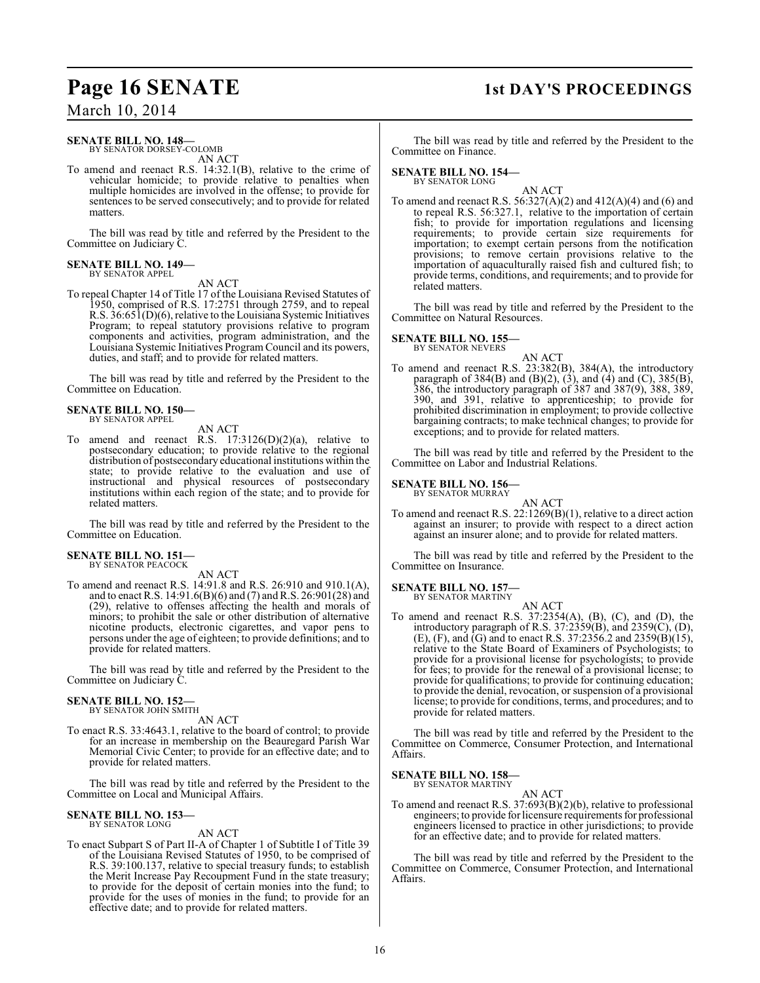# **Page 16 SENATE** 1st DAY'S PROCEEDINGS

March 10, 2014

# **SENATE BILL NO. 148—**

BY SENATOR DORSEY-COLOMB AN ACT

To amend and reenact R.S. 14:32.1(B), relative to the crime of vehicular homicide; to provide relative to penalties when multiple homicides are involved in the offense; to provide for sentences to be served consecutively; and to provide for related matters.

The bill was read by title and referred by the President to the Committee on Judiciary C.

## **SENATE BILL NO. 149—** BY SENATOR APPEL

AN ACT

To repeal Chapter 14 of Title 17 of the Louisiana Revised Statutes of 1950, comprised of R.S. 17:2751 through 2759, and to repeal R.S. 36:651(D)(6), relative to the Louisiana Systemic Initiatives Program; to repeal statutory provisions relative to program components and activities, program administration, and the Louisiana Systemic Initiatives Program Council and its powers, duties, and staff; and to provide for related matters.

The bill was read by title and referred by the President to the Committee on Education.

## **SENATE BILL NO. 150—** BY SENATOR APPEL

AN ACT

To amend and reenact R.S. 17:3126(D)(2)(a), relative to postsecondary education; to provide relative to the regional distribution of postsecondary educational institutions within the state; to provide relative to the evaluation and use of instructional and physical resources of postsecondary institutions within each region of the state; and to provide for related matters.

The bill was read by title and referred by the President to the Committee on Education.

# **SENATE BILL NO. 151—**

BY SENATOR PEACOCK AN ACT

To amend and reenact R.S. 14:91.8 and R.S. 26:910 and 910.1(A), and to enact R.S. 14:91.6(B)(6) and (7) and R.S. 26:901(28) and (29), relative to offenses affecting the health and morals of minors; to prohibit the sale or other distribution of alternative nicotine products, electronic cigarettes, and vapor pens to persons under the age of eighteen; to provide definitions; and to provide for related matters.

The bill was read by title and referred by the President to the Committee on Judiciary C.

## **SENATE BILL NO. 152—** BY SENATOR JOHN SMITH

AN ACT

To enact R.S. 33:4643.1, relative to the board of control; to provide for an increase in membership on the Beauregard Parish War Memorial Civic Center; to provide for an effective date; and to provide for related matters.

The bill was read by title and referred by the President to the Committee on Local and Municipal Affairs.

## **SENATE BILL NO. 153—** BY SENATOR LONG

# AN ACT

To enact Subpart S of Part II-A of Chapter 1 of Subtitle I of Title 39 of the Louisiana Revised Statutes of 1950, to be comprised of R.S. 39:100.137, relative to special treasury funds; to establish the Merit Increase Pay Recoupment Fund in the state treasury; to provide for the deposit of certain monies into the fund; to provide for the uses of monies in the fund; to provide for an effective date; and to provide for related matters.

The bill was read by title and referred by the President to the Committee on Finance.

#### **SENATE BILL NO. 154—** BY SENATOR LONG

AN ACT

To amend and reenact R.S.  $56:327(A)(2)$  and  $412(A)(4)$  and  $(6)$  and to repeal R.S. 56:327.1, relative to the importation of certain fish; to provide for importation regulations and licensing requirements; to provide certain size requirements for importation; to exempt certain persons from the notification provisions; to remove certain provisions relative to the importation of aquaculturally raised fish and cultured fish; to provide terms, conditions, and requirements; and to provide for related matters.

The bill was read by title and referred by the President to the Committee on Natural Resources.

# **SENATE BILL NO. 155—**

BY SENATOR NEVERS

AN ACT To amend and reenact R.S. 23:382(B), 384(A), the introductory paragraph of  $384(B)$  and  $(B)(2)$ ,  $(3)$ , and  $(4)$  and  $(C)$ ,  $385(B)$ , 386, the introductory paragraph of 387 and 387(9), 388, 389, 390, and 391, relative to apprenticeship; to provide for prohibited discrimination in employment; to provide collective bargaining contracts; to make technical changes; to provide for exceptions; and to provide for related matters.

The bill was read by title and referred by the President to the Committee on Labor and Industrial Relations.

# **SENATE BILL NO. 156—**

BY SENATOR MURRAY

AN ACT To amend and reenact R.S. 22:1269(B)(1), relative to a direct action against an insurer; to provide with respect to a direct action against an insurer alone; and to provide for related matters.

The bill was read by title and referred by the President to the Committee on Insurance.

#### **SENATE BILL NO. 157—** BY SENATOR MARTINY

AN ACT To amend and reenact R.S. 37:2354(A), (B), (C), and (D), the introductory paragraph of R.S. 37:2359(B), and 2359(C), (D),  $(E)$ ,  $(F)$ , and  $\overline{G}$  and to enact R.S. 37:2356.2 and 2359 $\overline{B}$  $\overline{D}$  $\overline{D}$  $\overline{D}$  $\overline{D}$  $\overline{D}$ relative to the State Board of Examiners of Psychologists; to provide for a provisional license for psychologists; to provide for fees; to provide for the renewal of a provisional license; to provide for qualifications; to provide for continuing education; to provide the denial, revocation, or suspension of a provisional license; to provide for conditions, terms, and procedures; and to provide for related matters.

The bill was read by title and referred by the President to the Committee on Commerce, Consumer Protection, and International Affairs.

#### **SENATE BILL NO. 158—** BY SENATOR MARTINY

AN ACT

To amend and reenact R.S. 37:693(B)(2)(b), relative to professional engineers; to provide for licensure requirements for professional engineers licensed to practice in other jurisdictions; to provide for an effective date; and to provide for related matters.

The bill was read by title and referred by the President to the Committee on Commerce, Consumer Protection, and International Affairs.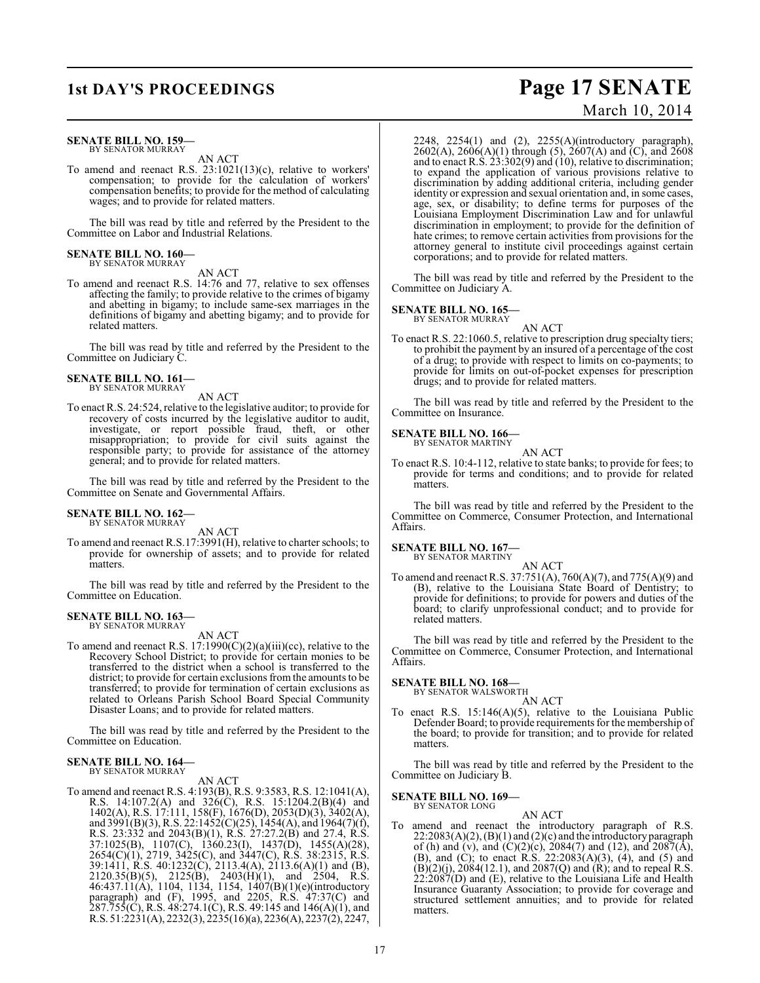### **SENATE BILL NO. 159—** BY SENATOR MURRAY

AN ACT

To amend and reenact R.S. 23:1021(13)(c), relative to workers' compensation; to provide for the calculation of workers' compensation benefits; to provide for the method of calculating wages; and to provide for related matters.

The bill was read by title and referred by the President to the Committee on Labor and Industrial Relations.

#### **SENATE BILL NO. 160—** BY SENATOR MURRAY

AN ACT

To amend and reenact R.S. 14:76 and 77, relative to sex offenses affecting the family; to provide relative to the crimes of bigamy and abetting in bigamy; to include same-sex marriages in the definitions of bigamy and abetting bigamy; and to provide for related matters.

The bill was read by title and referred by the President to the Committee on Judiciary C.

#### **SENATE BILL NO. 161—** BY SENATOR MURRAY

AN ACT

To enact R.S. 24:524, relative to the legislative auditor; to provide for recovery of costs incurred by the legislative auditor to audit, investigate, or report possible fraud, theft, or other misappropriation; to provide for civil suits against the responsible party; to provide for assistance of the attorney general; and to provide for related matters.

The bill was read by title and referred by the President to the Committee on Senate and Governmental Affairs.

#### **SENATE BILL NO. 162—** BY SENATOR MURRAY

AN ACT

To amend and reenact R.S.17:3991(H), relative to charter schools; to provide for ownership of assets; and to provide for related matters.

The bill was read by title and referred by the President to the Committee on Education.

# **SENATE BILL NO. 163—** BY SENATOR MURRAY

AN ACT

To amend and reenact R.S. 17:1990(C)(2)(a)(iii)(cc), relative to the Recovery School District; to provide for certain monies to be transferred to the district when a school is transferred to the district; to provide for certain exclusions from the amounts to be transferred; to provide for termination of certain exclusions as related to Orleans Parish School Board Special Community Disaster Loans; and to provide for related matters.

The bill was read by title and referred by the President to the Committee on Education.

#### **SENATE BILL NO. 164—** BY SENATOR MURRAY

AN ACT

To amend and reenact R.S. 4:193(B), R.S. 9:3583, R.S. 12:1041(A), R.S. 14:107.2(A) and 326(C), R.S. 15:1204.2(B)(4) and 1402(A), R.S. 17:111, 158(F), 1676(D), 2053(D)(3), 3402(A), and 3991(B)(3), R.S. 22:1452(C)(25), 1454(A), and 1964(7)(f), R.S. 23:332 and 2043(B)(1), R.S. 27:27.2(B) and 27.4, R.S. 37:1025(B), 1107(C), 1360.23(I), 1437(D), 1455(A)(28), 2654(C)(1), 2719, 3425(C), and 3447(C), R.S. 38:2315, R.S. 39:1411, R.S. 40:1232(C), 2113.4(A), 2113.6(A)(1) and (B),  $2120.35(B)(5)$ ,  $2125(B)$ ,  $2403(H)(1)$ , and  $2504$ , R.S. 46:437.11(A), 1104, 1134, 1154, 1407(B)(1)(e)(introductory paragraph) and (F), 1995, and 2205, R.S. 47:37(C) and 287.755(C), R.S. 48:274.1(C), R.S. 49:145 and 146(A)(1), and R.S. 51:2231(A), 2232(3), 2235(16)(a), 2236(A), 2237(2), 2247,

2248, 2254(1) and (2), 2255(A)(introductory paragraph), 2602(A), 2606(A)(1) through (5), 2607(A) and (C), and 2608 and to enact R.S.  $23:302(9)$  and  $(10)$ , relative to discrimination; to expand the application of various provisions relative to discrimination by adding additional criteria, including gender identity or expression and sexual orientation and, in some cases, age, sex, or disability; to define terms for purposes of the Louisiana Employment Discrimination Law and for unlawful discrimination in employment; to provide for the definition of hate crimes; to remove certain activities from provisions for the attorney general to institute civil proceedings against certain corporations; and to provide for related matters.

The bill was read by title and referred by the President to the Committee on Judiciary A.

#### **SENATE BILL NO. 165—** BY SENATOR MURRAY

AN ACT

To enact R.S. 22:1060.5, relative to prescription drug specialty tiers; to prohibit the payment by an insured of a percentage of the cost of a drug; to provide with respect to limits on co-payments; to provide for limits on out-of-pocket expenses for prescription drugs; and to provide for related matters.

The bill was read by title and referred by the President to the Committee on Insurance.

# **SENATE BILL NO. 166—** BY SENATOR MARTINY

AN ACT

To enact R.S. 10:4-112, relative to state banks; to provide for fees; to provide for terms and conditions; and to provide for related matters.

The bill was read by title and referred by the President to the Committee on Commerce, Consumer Protection, and International Affairs.

## **SENATE BILL NO. 167—**

BY SENATOR MARTINY AN ACT

To amend and reenact R.S. 37:751(A), 760(A)(7), and 775(A)(9) and (B), relative to the Louisiana State Board of Dentistry; to provide for definitions; to provide for powers and duties of the board; to clarify unprofessional conduct; and to provide for related matters.

The bill was read by title and referred by the President to the Committee on Commerce, Consumer Protection, and International Affairs.

## **SENATE BILL NO. 168—**

BY SENATOR WALSWORTH

AN ACT To enact R.S. 15:146(A)(5), relative to the Louisiana Public Defender Board; to provide requirements for the membership of the board; to provide for transition; and to provide for related matters.

The bill was read by title and referred by the President to the Committee on Judiciary B.

## **SENATE BILL NO. 169—**

BY SENATOR LONG

AN ACT To amend and reenact the introductory paragraph of R.S.  $22:2083(A)(2)$ ,  $(B)(1)$  and  $(2)(c)$  and the introductory paragraph of (h) and (v), and (C)(2)(c), 2084(7) and (12), and 2087( $\bar{A}$ ), (B), and (C); to enact R.S. 22:2083(A)(3), (4), and (5) and  $(B)(2)(j)$ , 2084(12.1), and 2087(Q) and  $(R)$ ; and to repeal R.S. 22:2087(D) and (E), relative to the Louisiana Life and Health Insurance Guaranty Association; to provide for coverage and structured settlement annuities; and to provide for related matters.

# **1st DAY'S PROCEEDINGS Page 17 SENATE** March 10, 2014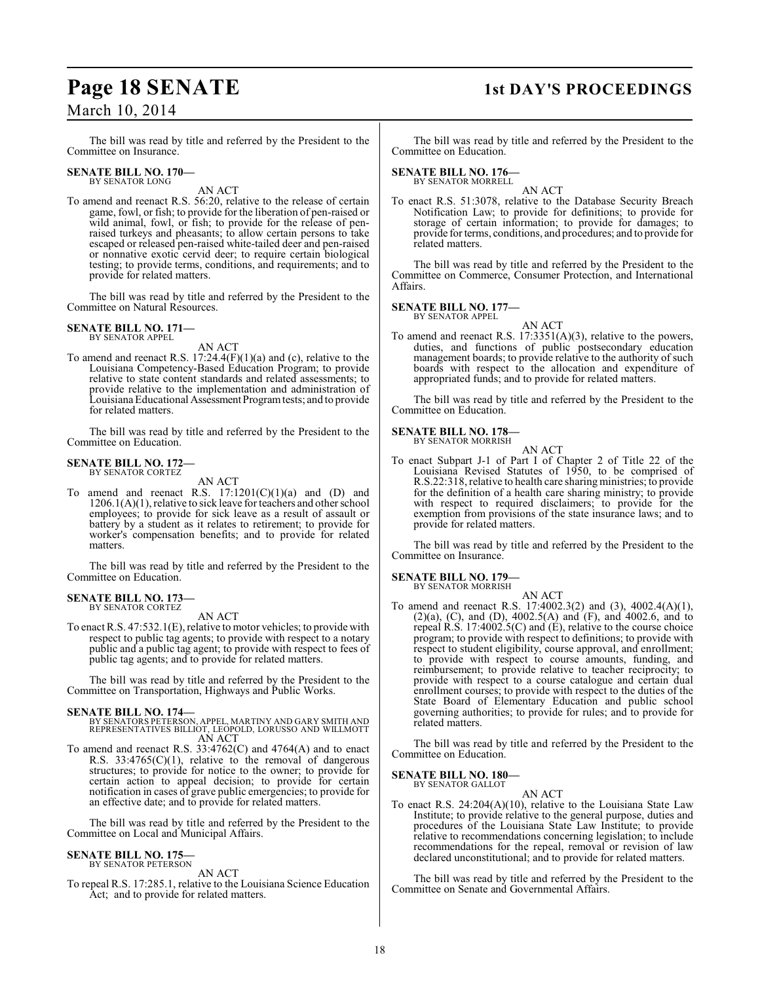# **Page 18 SENATE** 1st DAY'S PROCEEDINGS

March 10, 2014

The bill was read by title and referred by the President to the Committee on Insurance.

#### **SENATE BILL NO. 170—** BY SENATOR LONG

AN ACT

To amend and reenact R.S. 56:20, relative to the release of certain game, fowl, or fish; to provide for the liberation of pen-raised or wild animal, fowl, or fish; to provide for the release of penraised turkeys and pheasants; to allow certain persons to take escaped or released pen-raised white-tailed deer and pen-raised or nonnative exotic cervid deer; to require certain biological testing; to provide terms, conditions, and requirements; and to provide for related matters.

The bill was read by title and referred by the President to the Committee on Natural Resources.

# **SENATE BILL NO. 171—** BY SENATOR APPEL

AN ACT

To amend and reenact R.S. 17:24.4(F)(1)(a) and (c), relative to the Louisiana Competency-Based Education Program; to provide relative to state content standards and related assessments; to provide relative to the implementation and administration of Louisiana Educational Assessment Program tests; and to provide for related matters.

The bill was read by title and referred by the President to the Committee on Education.

### **SENATE BILL NO. 172—** BY SENATOR CORTEZ

AN ACT

To amend and reenact R.S.  $17:1201(C)(1)(a)$  and  $(D)$  and 1206.1(A)(1), relative to sick leave for teachers and other school employees; to provide for sick leave as a result of assault or battery by a student as it relates to retirement; to provide for worker's compensation benefits; and to provide for related matters.

The bill was read by title and referred by the President to the Committee on Education.

#### **SENATE BILL NO. 173—** BY SENATOR CORTEZ

AN ACT

To enact R.S. 47:532.1(E), relative to motor vehicles; to provide with respect to public tag agents; to provide with respect to a notary public and a public tag agent; to provide with respect to fees of public tag agents; and to provide for related matters.

The bill was read by title and referred by the President to the Committee on Transportation, Highways and Public Works.

- **SENATE BILL NO. 174—** BY SENATORS PETERSON, APPEL, MARTINY AND GARY SMITH AND REPRESENTATIVES BILLIOT, LEOPOLD, LORUSSO AND WILLMOTT AN ACT
- To amend and reenact R.S. 33:4762(C) and 4764(A) and to enact R.S.  $33:4765(C)(1)$ , relative to the removal of dangerous structures; to provide for notice to the owner; to provide for certain action to appeal decision; to provide for certain notification in cases of grave public emergencies; to provide for an effective date; and to provide for related matters.

The bill was read by title and referred by the President to the Committee on Local and Municipal Affairs.

### **SENATE BILL NO. 175—** BY SENATOR PETERSON

AN ACT

To repeal R.S. 17:285.1, relative to the Louisiana Science Education Act; and to provide for related matters.

The bill was read by title and referred by the President to the Committee on Education.

#### **SENATE BILL NO. 176—** BY SENATOR MORRELL

AN ACT

To enact R.S. 51:3078, relative to the Database Security Breach Notification Law; to provide for definitions; to provide for storage of certain information; to provide for damages; to provide for terms, conditions, and procedures; and to provide for related matters.

The bill was read by title and referred by the President to the Committee on Commerce, Consumer Protection, and International Affairs.

**SENATE BILL NO. 177—**

BY SENATOR APPEL AN ACT

To amend and reenact R.S. 17:3351(A)(3), relative to the powers, duties, and functions of public postsecondary education management boards; to provide relative to the authority of such boards with respect to the allocation and expenditure of appropriated funds; and to provide for related matters.

The bill was read by title and referred by the President to the Committee on Education.

# **SENATE BILL NO. 178—**

BY SENATOR MORRISH AN ACT

To enact Subpart J-1 of Part I of Chapter 2 of Title 22 of the Louisiana Revised Statutes of 1950, to be comprised of R.S.22:318, relative to health care sharing ministries; to provide for the definition of a health care sharing ministry; to provide with respect to required disclaimers; to provide for the exemption from provisions of the state insurance laws; and to provide for related matters.

The bill was read by title and referred by the President to the Committee on Insurance.

# **SENATE BILL NO. 179—**

BY SENATOR MORRISH

AN ACT To amend and reenact R.S. 17:4002.3(2) and (3), 4002.4(A)(1), (2)(a), (C), and (D), 4002.5(A) and (F), and 4002.6, and to repeal R.S. 17:4002.5(C) and (E), relative to the course choice program; to provide with respect to definitions; to provide with respect to student eligibility, course approval, and enrollment; to provide with respect to course amounts, funding, and reimbursement; to provide relative to teacher reciprocity; to provide with respect to a course catalogue and certain dual enrollment courses; to provide with respect to the duties of the State Board of Elementary Education and public school governing authorities; to provide for rules; and to provide for related matters.

The bill was read by title and referred by the President to the Committee on Education.

#### **SENATE BILL NO. 180—** BY SENATOR GALLOT

AN ACT

To enact R.S. 24:204(A)(10), relative to the Louisiana State Law Institute; to provide relative to the general purpose, duties and procedures of the Louisiana State Law Institute; to provide relative to recommendations concerning legislation; to include recommendations for the repeal, removal or revision of law declared unconstitutional; and to provide for related matters.

The bill was read by title and referred by the President to the Committee on Senate and Governmental Affairs.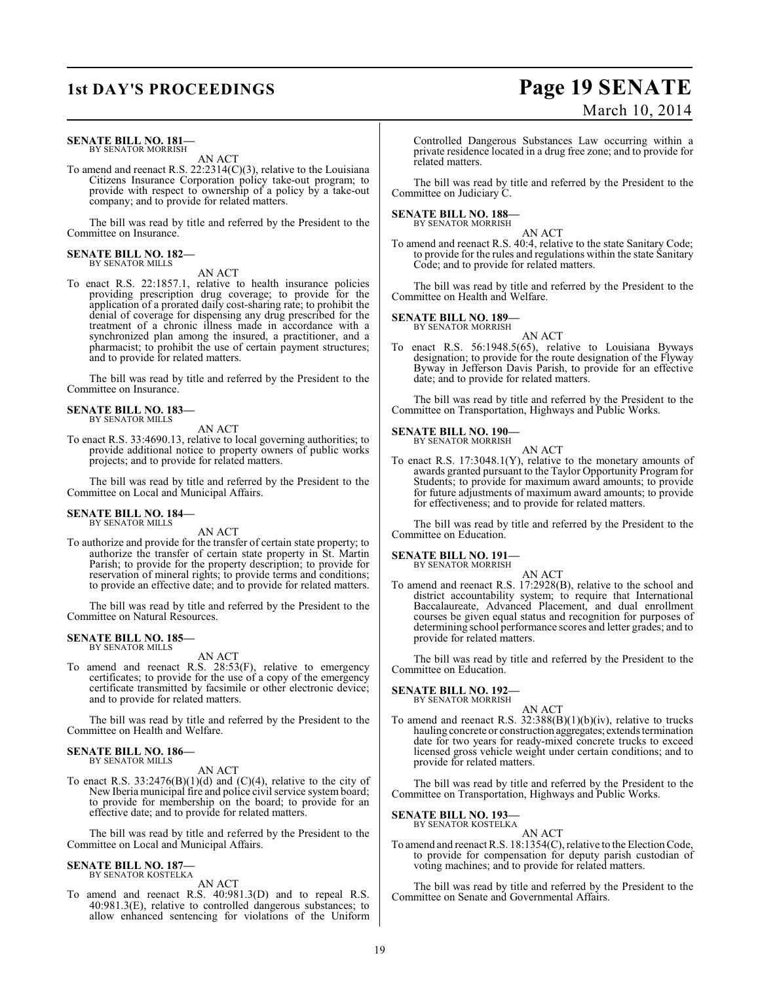### **SENATE BILL NO. 181—** BY SENATOR MORRISH

AN ACT

To amend and reenact R.S. 22:2314(C)(3), relative to the Louisiana Citizens Insurance Corporation policy take-out program; to provide with respect to ownership of a policy by a take-out company; and to provide for related matters.

The bill was read by title and referred by the President to the Committee on Insurance.

#### **SENATE BILL NO. 182—** BY SENATOR MILLS

AN ACT

To enact R.S. 22:1857.1, relative to health insurance policies providing prescription drug coverage; to provide for the application of a prorated daily cost-sharing rate; to prohibit the denial of coverage for dispensing any drug prescribed for the treatment of a chronic illness made in accordance with a synchronized plan among the insured, a practitioner, and a pharmacist; to prohibit the use of certain payment structures; and to provide for related matters.

The bill was read by title and referred by the President to the Committee on Insurance.

## **SENATE BILL NO. 183—** BY SENATOR MILLS

AN ACT

To enact R.S. 33:4690.13, relative to local governing authorities; to provide additional notice to property owners of public works projects; and to provide for related matters.

The bill was read by title and referred by the President to the Committee on Local and Municipal Affairs.

#### **SENATE BILL NO. 184—** BY SENATOR MILLS

AN ACT

To authorize and provide for the transfer of certain state property; to authorize the transfer of certain state property in St. Martin Parish; to provide for the property description; to provide for reservation of mineral rights; to provide terms and conditions; to provide an effective date; and to provide for related matters.

The bill was read by title and referred by the President to the Committee on Natural Resources.

#### **SENATE BILL NO. 185—** BY SENATOR MILLS

AN ACT

To amend and reenact R.S. 28:53(F), relative to emergency certificates; to provide for the use of a copy of the emergency certificate transmitted by facsimile or other electronic device; and to provide for related matters.

The bill was read by title and referred by the President to the Committee on Health and Welfare.

#### **SENATE BILL NO. 186—** BY SENATOR MILLS

AN ACT

To enact R.S.  $33:2476(B)(1)(d)$  and  $(C)(4)$ , relative to the city of New Iberia municipal fire and police civil service system board; to provide for membership on the board; to provide for an effective date; and to provide for related matters.

The bill was read by title and referred by the President to the Committee on Local and Municipal Affairs.

## **SENATE BILL NO. 187** BY SENATOR KOSTELKA

AN ACT

To amend and reenact R.S. 40:981.3(D) and to repeal R.S. 40:981.3(E), relative to controlled dangerous substances; to allow enhanced sentencing for violations of the Uniform

Controlled Dangerous Substances Law occurring within a private residence located in a drug free zone; and to provide for related matters.

The bill was read by title and referred by the President to the Committee on Judiciary C.

### **SENATE BILL NO. 188—** BY SENATOR MORRISH

AN ACT

To amend and reenact R.S. 40:4, relative to the state Sanitary Code; to provide for the rules and regulations within the state Sanitary Code; and to provide for related matters.

The bill was read by title and referred by the President to the Committee on Health and Welfare.

### **SENATE BILL NO. 189—** BY SENATOR MORRISH

AN ACT

To enact R.S. 56:1948.5(65), relative to Louisiana Byways designation; to provide for the route designation of the Flyway Byway in Jefferson Davis Parish, to provide for an effective date; and to provide for related matters.

The bill was read by title and referred by the President to the Committee on Transportation, Highways and Public Works.

## **SENATE BILL NO. 190—**

BY SENATOR MORRISH AN ACT

To enact R.S. 17:3048.1(Y), relative to the monetary amounts of awards granted pursuant to the Taylor Opportunity Program for Students; to provide for maximum award amounts; to provide for future adjustments of maximum award amounts; to provide for effectiveness; and to provide for related matters.

The bill was read by title and referred by the President to the Committee on Education.

**SENATE BILL NO. 191—** BY SENATOR MORRISH

AN ACT

To amend and reenact R.S. 17:2928(B), relative to the school and district accountability system; to require that International Baccalaureate, Advanced Placement, and dual enrollment courses be given equal status and recognition for purposes of determining school performance scores and letter grades; and to provide for related matters.

The bill was read by title and referred by the President to the Committee on Education.

#### **SENATE BILL NO. 192—** BY SENATOR MORRISH

AN ACT

To amend and reenact R.S. 32:388(B)(1)(b)(iv), relative to trucks hauling concrete or construction aggregates; extends termination date for two years for ready-mixed concrete trucks to exceed licensed gross vehicle weight under certain conditions; and to provide for related matters.

The bill was read by title and referred by the President to the Committee on Transportation, Highways and Public Works.

## **SENATE BILL NO. 193—**

BY SENATOR KOSTELKA

AN ACT To amend and reenact R.S. 18:1354(C), relative to the Election Code, to provide for compensation for deputy parish custodian of voting machines; and to provide for related matters.

The bill was read by title and referred by the President to the Committee on Senate and Governmental Affairs.

# **1st DAY'S PROCEEDINGS Page 19 SENATE** March 10, 2014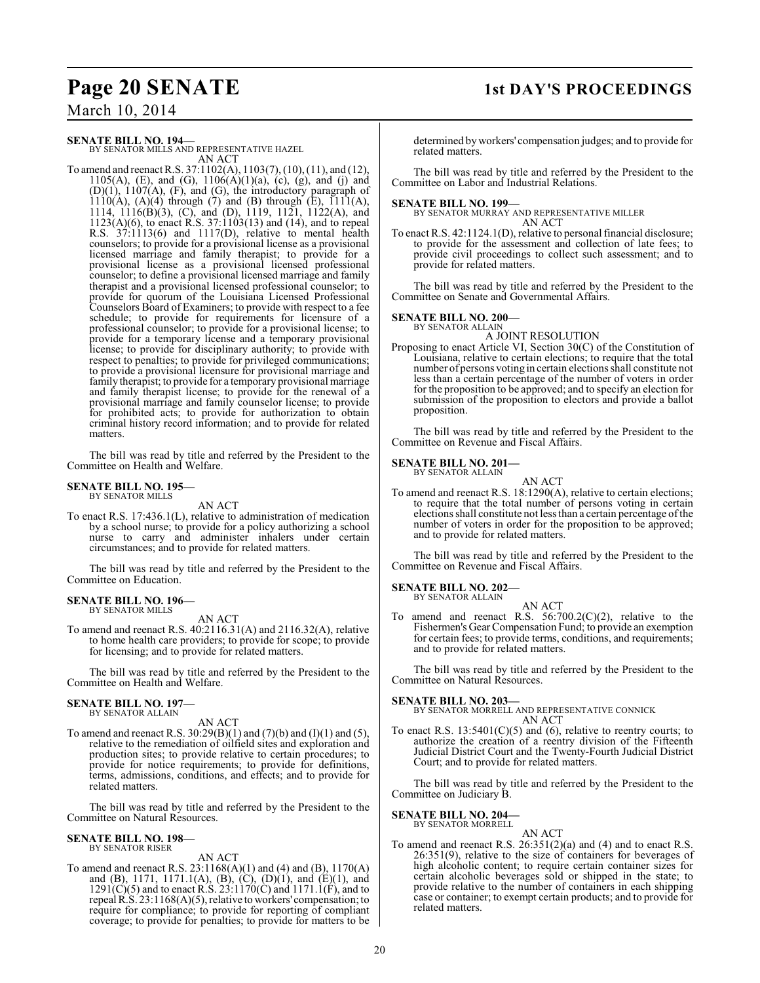# **Page 20 SENATE 1st DAY'S PROCEEDINGS**

March 10, 2014

## **SENATE BILL NO. 194—**

BY SENATOR MILLS AND REPRESENTATIVE HAZEL AN ACT

To amend and reenact R.S. 37:1102(A), 1103(7), (10), (11), and (12), 1105(A), (E), and (G),  $1106(A)(1)(a)$ , (c), (g), and (j) and (D)(1), 1107(A), (F), and (G), the introductory paragraph of  $1110(A)$ ,  $(A)(4)$  through  $(7)$  and  $(B)$  through  $(E)$ ,  $1111(A)$ , 1114, 1116(B)(3), (C), and (D), 1119, 1121, 1122(A), and 1123(A)(6), to enact R.S. 37:1103(13) and (14), and to repeal R.S. 37:1113(6) and 1117(D), relative to mental health counselors; to provide for a provisional license as a provisional licensed marriage and family therapist; to provide for a provisional license as a provisional licensed professional counselor; to define a provisional licensed marriage and family therapist and a provisional licensed professional counselor; to provide for quorum of the Louisiana Licensed Professional Counselors Board of Examiners; to provide with respect to a fee schedule; to provide for requirements for licensure of a professional counselor; to provide for a provisional license; to provide for a temporary license and a temporary provisional license; to provide for disciplinary authority; to provide with respect to penalties; to provide for privileged communications; to provide a provisional licensure for provisional marriage and family therapist; to provide for a temporary provisional marriage and family therapist license; to provide for the renewal of a provisional marriage and family counselor license; to provide for prohibited acts; to provide for authorization to obtain criminal history record information; and to provide for related matters.

The bill was read by title and referred by the President to the Committee on Health and Welfare.

#### **SENATE BILL NO. 195—** BY SENATOR MILLS

AN ACT

To enact R.S. 17:436.1(L), relative to administration of medication by a school nurse; to provide for a policy authorizing a school nurse to carry and administer inhalers under certain circumstances; and to provide for related matters.

The bill was read by title and referred by the President to the Committee on Education.

## **SENATE BILL NO. 196—** BY SENATOR MILLS

AN ACT

To amend and reenact R.S. 40:2116.31(A) and 2116.32(A), relative to home health care providers; to provide for scope; to provide for licensing; and to provide for related matters.

The bill was read by title and referred by the President to the Committee on Health and Welfare.

### **SENATE BILL NO. 197—** BY SENATOR ALLAIN

AN ACT

To amend and reenact R.S.  $30:29(B)(1)$  and  $(7)(b)$  and  $(1)(1)$  and  $(5)$ , relative to the remediation of oilfield sites and exploration and production sites; to provide relative to certain procedures; to provide for notice requirements; to provide for definitions, terms, admissions, conditions, and effects; and to provide for related matters.

The bill was read by title and referred by the President to the Committee on Natural Resources.

## **SENATE BILL NO. 198—** BY SENATOR RISER

AN ACT

To amend and reenact R.S. 23:1168(A)(1) and (4) and (B), 1170(A) and (B), 1171, 1171.1(A), (B), (C), (D)(1), and (E)(1), and  $1291(C)(5)$  and to enact R.S.  $23:1170(C)$  and  $1171.1(F)$ , and to repeal R.S. 23:1168(A)(5), relative to workers' compensation; to require for compliance; to provide for reporting of compliant coverage; to provide for penalties; to provide for matters to be

determined by workers' compensation judges; and to provide for related matters.

The bill was read by title and referred by the President to the Committee on Labor and Industrial Relations.

**SENATE BILL NO. 199—** BY SENATOR MURRAY AND REPRESENTATIVE MILLER AN ACT

To enact R.S. 42:1124.1(D), relative to personal financial disclosure; to provide for the assessment and collection of late fees; to provide civil proceedings to collect such assessment; and to provide for related matters.

The bill was read by title and referred by the President to the Committee on Senate and Governmental Affairs.

## **SENATE BILL NO. 200—**

BY SENATOR ALLAIN

A JOINT RESOLUTION Proposing to enact Article VI, Section 30(C) of the Constitution of Louisiana, relative to certain elections; to require that the total number of persons voting in certain elections shall constitute not less than a certain percentage of the number of voters in order for the proposition to be approved; and to specify an election for submission of the proposition to electors and provide a ballot proposition.

The bill was read by title and referred by the President to the Committee on Revenue and Fiscal Affairs.

#### **SENATE BILL NO. 201—** BY SENATOR ALLAIN

AN ACT To amend and reenact R.S. 18:1290(A), relative to certain elections; to require that the total number of persons voting in certain elections shall constitute not lessthan a certain percentage of the number of voters in order for the proposition to be approved; and to provide for related matters.

The bill was read by title and referred by the President to the Committee on Revenue and Fiscal Affairs.

#### **SENATE BILL NO. 202—** BY SENATOR ALLAIN

AN ACT To amend and reenact R.S. 56:700.2(C)(2), relative to the Fishermen's Gear Compensation Fund; to provide an exemption for certain fees; to provide terms, conditions, and requirements; and to provide for related matters.

The bill was read by title and referred by the President to the Committee on Natural Resources.

# **SENATE BILL NO. 203—**

BY SENATOR MORRELL AND REPRESENTATIVE CONNICK AN ACT

To enact R.S.  $13:5401(C)(5)$  and (6), relative to reentry courts; to authorize the creation of a reentry division of the Fifteenth Judicial District Court and the Twenty-Fourth Judicial District Court; and to provide for related matters.

The bill was read by title and referred by the President to the Committee on Judiciary B.

# **SENATE BILL NO. 204—**

BY SENATOR MORRELL

AN ACT To amend and reenact R.S. 26:351(2)(a) and (4) and to enact R.S. 26:351(9), relative to the size of containers for beverages of high alcoholic content; to require certain container sizes for certain alcoholic beverages sold or shipped in the state; to provide relative to the number of containers in each shipping case or container; to exempt certain products; and to provide for related matters.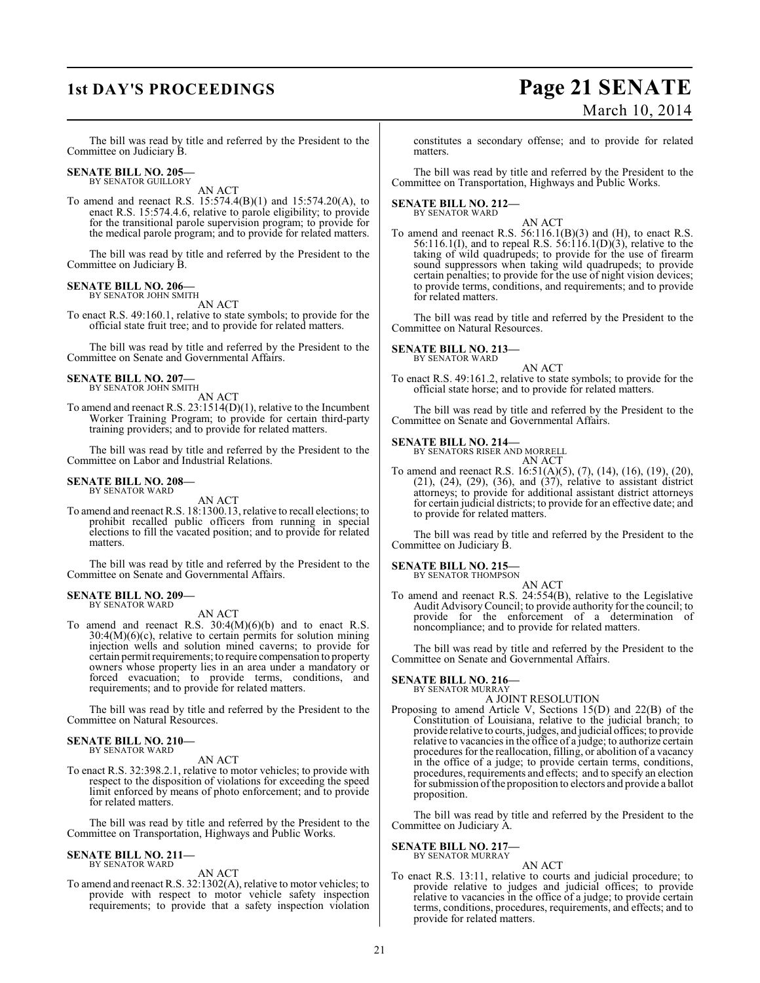# **1st DAY'S PROCEEDINGS Page 21 SENATE** March 10, 2014

The bill was read by title and referred by the President to the Committee on Judiciary B.

# **SENATE BILL NO. 205—**<br>BY SENATOR GUILLORY

AN ACT

To amend and reenact R.S. 15:574.4(B)(1) and 15:574.20(A), to enact R.S. 15:574.4.6, relative to parole eligibility; to provide for the transitional parole supervision program; to provide for the medical parole program; and to provide for related matters.

The bill was read by title and referred by the President to the Committee on Judiciary B.

## **SENATE BILL NO. 206—** BY SENATOR JOHN SMITH

AN ACT

To enact R.S. 49:160.1, relative to state symbols; to provide for the official state fruit tree; and to provide for related matters.

The bill was read by title and referred by the President to the Committee on Senate and Governmental Affairs.

## **SENATE BILL NO. 207—** BY SENATOR JOHN SMITH

AN ACT

To amend and reenact R.S. 23:1514(D)(1), relative to the Incumbent Worker Training Program; to provide for certain third-party training providers; and to provide for related matters.

The bill was read by title and referred by the President to the Committee on Labor and Industrial Relations.

## **SENATE BILL NO. 208—** BY SENATOR WARD

AN ACT

To amend and reenact R.S. 18:1300.13, relative to recall elections; to prohibit recalled public officers from running in special elections to fill the vacated position; and to provide for related matters.

The bill was read by title and referred by the President to the Committee on Senate and Governmental Affairs.

## **SENATE BILL NO. 209—** BY SENATOR WARD

AN ACT

To amend and reenact R.S.  $30:4(M)(6)(b)$  and to enact R.S. 30:4(M)(6)(c), relative to certain permits for solution mining injection wells and solution mined caverns; to provide for certain permit requirements; to require compensation to property owners whose property lies in an area under a mandatory or forced evacuation; to provide terms, conditions, and requirements; and to provide for related matters.

The bill was read by title and referred by the President to the Committee on Natural Resources.

### **SENATE BILL NO. 210—** BY SENATOR WARD

AN ACT

To enact R.S. 32:398.2.1, relative to motor vehicles; to provide with respect to the disposition of violations for exceeding the speed limit enforced by means of photo enforcement; and to provide for related matters.

The bill was read by title and referred by the President to the Committee on Transportation, Highways and Public Works.

# **SENATE BILL NO. 211—**

BY SENATOR WARD

- AN ACT
- To amend and reenactR.S. 32:1302(A), relative to motor vehicles; to provide with respect to motor vehicle safety inspection requirements; to provide that a safety inspection violation

constitutes a secondary offense; and to provide for related matters.

The bill was read by title and referred by the President to the Committee on Transportation, Highways and Public Works.

# **SENATE BILL NO. 212—** BY SENATOR WARD

AN ACT

To amend and reenact R.S. 56:116.1(B)(3) and (H), to enact R.S. 56:116.1(I), and to repeal R.S. 56:116.1(D)(3), relative to the taking of wild quadrupeds; to provide for the use of firearm sound suppressors when taking wild quadrupeds; to provide certain penalties; to provide for the use of night vision devices; to provide terms, conditions, and requirements; and to provide for related matters.

The bill was read by title and referred by the President to the Committee on Natural Resources.

#### **SENATE BILL NO. 213—** BY SENATOR WARD

AN ACT

To enact R.S. 49:161.2, relative to state symbols; to provide for the official state horse; and to provide for related matters.

The bill was read by title and referred by the President to the Committee on Senate and Governmental Affairs.

## **SENATE BILL NO. 214—**

BY SENATORS RISER AND MORRELL AN ACT

To amend and reenact R.S. 16:51(A)(5), (7), (14), (16), (19), (20), (21), (24), (29), (36), and (37), relative to assistant district attorneys; to provide for additional assistant district attorneys for certain judicial districts; to provide for an effective date; and to provide for related matters.

The bill was read by title and referred by the President to the Committee on Judiciary B.

# **SENATE BILL NO. 215—**

BY SENATOR THOMPSON AN ACT

To amend and reenact R.S. 24:554(B), relative to the Legislative Audit Advisory Council; to provide authority for the council; to provide for the enforcement of a determination of noncompliance; and to provide for related matters.

The bill was read by title and referred by the President to the Committee on Senate and Governmental Affairs.

#### **SENATE BILL NO. 216—** BY SENATOR MURRAY

A JOINT RESOLUTION

Proposing to amend Article V, Sections 15(D) and 22(B) of the Constitution of Louisiana, relative to the judicial branch; to provide relative to courts, judges, and judicial offices; to provide relative to vacancies in the office of a judge; to authorize certain procedures for the reallocation, filling, or abolition of a vacancy in the office of a judge; to provide certain terms, conditions, procedures, requirements and effects; and to specify an election for submission of the proposition to electors and provide a ballot proposition.

The bill was read by title and referred by the President to the Committee on Judiciary A.

## **SENATE BILL NO. 217—** BY SENATOR MURRAY

AN ACT

To enact R.S. 13:11, relative to courts and judicial procedure; to provide relative to judges and judicial offices; to provide relative to vacancies in the office of a judge; to provide certain terms, conditions, procedures, requirements, and effects; and to provide for related matters.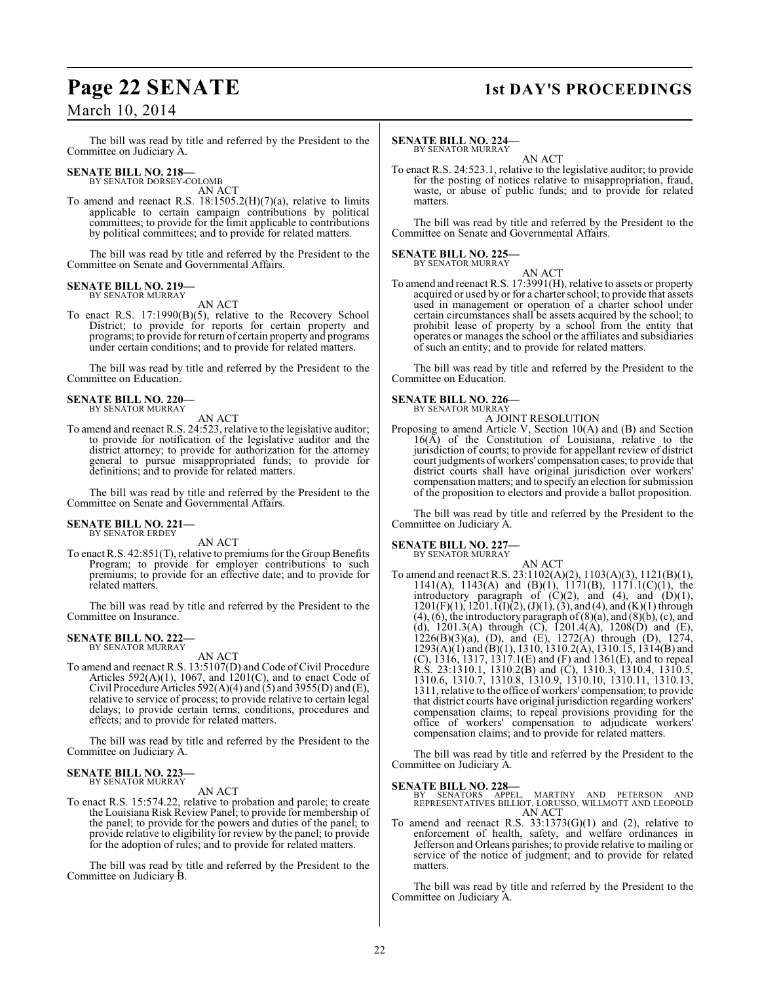# March 10, 2014

## The bill was read by title and referred by the President to the Committee on Judiciary A.

#### **SENATE BILL NO. 218—** BY SENATOR DORSEY-COLOMB

AN ACT

To amend and reenact R.S.  $18:1505.2(H)(7)(a)$ , relative to limits applicable to certain campaign contributions by political committees; to provide for the limit applicable to contributions by political committees; and to provide for related matters.

The bill was read by title and referred by the President to the Committee on Senate and Governmental Affairs.

## **SENATE BILL NO. 219—** BY SENATOR MURRAY

AN ACT

To enact R.S. 17:1990(B)(5), relative to the Recovery School District; to provide for reports for certain property and programs; to provide for return of certain property and programs under certain conditions; and to provide for related matters.

The bill was read by title and referred by the President to the Committee on Education.

## **SENATE BILL NO. 220—** BY SENATOR MURRAY

AN ACT

To amend and reenact R.S. 24:523, relative to the legislative auditor; to provide for notification of the legislative auditor and the district attorney; to provide for authorization for the attorney general to pursue misappropriated funds; to provide for definitions; and to provide for related matters.

The bill was read by title and referred by the President to the Committee on Senate and Governmental Affairs.

## **SENATE BILL NO. 221—** BY SENATOR ERDEY

AN ACT

To enact R.S. 42:851(T), relative to premiums for the Group Benefits Program; to provide for employer contributions to such premiums; to provide for an effective date; and to provide for related matters.

The bill was read by title and referred by the President to the Committee on Insurance.

### **SENATE BILL NO. 222—** BY SENATOR MURRAY

AN ACT

To amend and reenact R.S. 13:5107(D) and Code of Civil Procedure Articles  $592(A)(1)$ , 1067, and  $1201(C)$ , and to enact Code of Civil Procedure Articles  $592(A)(4)$  and  $(5)$  and  $3955(D)$  and  $(E)$ , relative to service of process; to provide relative to certain legal delays; to provide certain terms, conditions, procedures and effects; and to provide for related matters.

The bill was read by title and referred by the President to the Committee on Judiciary A.

## **SENATE BILL NO. 223** BY SENATOR MURRAY

AN ACT

To enact R.S. 15:574.22, relative to probation and parole; to create the Louisiana Risk Review Panel; to provide for membership of the panel; to provide for the powers and duties of the panel; to provide relative to eligibility for review by the panel; to provide for the adoption of rules; and to provide for related matters.

The bill was read by title and referred by the President to the Committee on Judiciary B.

# **Page 22 SENATE 1st DAY'S PROCEEDINGS**

### **SENATE BILL NO. 224—** BY SENATOR MURRAY

AN ACT

To enact R.S. 24:523.1, relative to the legislative auditor; to provide for the posting of notices relative to misappropriation, fraud, waste, or abuse of public funds; and to provide for related matters.

The bill was read by title and referred by the President to the Committee on Senate and Governmental Affairs.

# **SENATE BILL NO. 225—** BY SENATOR MURRAY

AN ACT To amend and reenact R.S. 17:3991(H), relative to assets or property acquired or used by or for a charter school; to provide that assets used in management or operation of a charter school under certain circumstances shall be assets acquired by the school; to prohibit lease of property by a school from the entity that operates or manages the school or the affiliates and subsidiaries of such an entity; and to provide for related matters.

The bill was read by title and referred by the President to the Committee on Education.

## **SENATE BILL NO. 226—** BY SENATOR MURRAY

A JOINT RESOLUTION

Proposing to amend Article V, Section 10(A) and (B) and Section  $16(A)$  of the Constitution of Louisiana, relative to the jurisdiction of courts; to provide for appellant review of district court judgments of workers' compensation cases; to provide that district courts shall have original jurisdiction over workers' compensation matters; and to specify an election for submission of the proposition to electors and provide a ballot proposition.

The bill was read by title and referred by the President to the Committee on Judiciary A.

# **SENATE BILL NO. 227—**

BY SENATOR MURRAY

AN ACT To amend and reenact R.S. 23:1102(A)(2), 1103(A)(3), 1121(B)(1), 1141(A), 1143(A) and (B)(1), 1171(B), 1171.1(C)(1), the introductory paragraph of  $(C)(2)$ , and  $(4)$ , and  $(D)(1)$ ,  $1201(F)(1)$ ,  $1201.1(I)(2)$ ,  $(J)(1)$ ,  $(3)$ , and  $(4)$ , and  $(K)(1)$  through  $(4)$ ,  $(6)$ , the introductory paragraph of  $(8)(a)$ , and  $(8)(b)$ ,  $(c)$ , and (d), 1201.3(A) through (C),  $1201.4(A)$ , 1208(D) and (E),  $1226(B)(3)(a)$ , (D), and (E),  $1272(A)$  through (D),  $1274$ ,  $1293(A)(1)$  and  $(B)(1)$ , 1310, 1310.2(A), 1310.15, 1314(B) and (C), 1316, 1317, 1317.1(E) and (F) and 1361(E), and to repeal R.S. 23:1310.1, 1310.2(B) and (C), 1310.3, 1310.4, 1310.5, 1310.6, 1310.7, 1310.8, 1310.9, 1310.10, 1310.11, 1310.13, 1311, relative to the office of workers' compensation; to provide that district courts have original jurisdiction regarding workers' compensation claims; to repeal provisions providing for the office of workers' compensation to adjudicate workers' compensation claims; and to provide for related matters.

The bill was read by title and referred by the President to the Committee on Judiciary A.

## **SENATE BILL NO. 228—**

BY SENATORS APPEL, MARTINY AND PETERSON AND REPRESENTATIVES BILLIOT, LORUSSO, WILLMOTT AND LEOPOLD AN ACT

To amend and reenact R.S.  $33:1373(G)(1)$  and (2), relative to enforcement of health, safety, and welfare ordinances in Jefferson and Orleans parishes; to provide relative to mailing or service of the notice of judgment; and to provide for related matters.

The bill was read by title and referred by the President to the Committee on Judiciary A.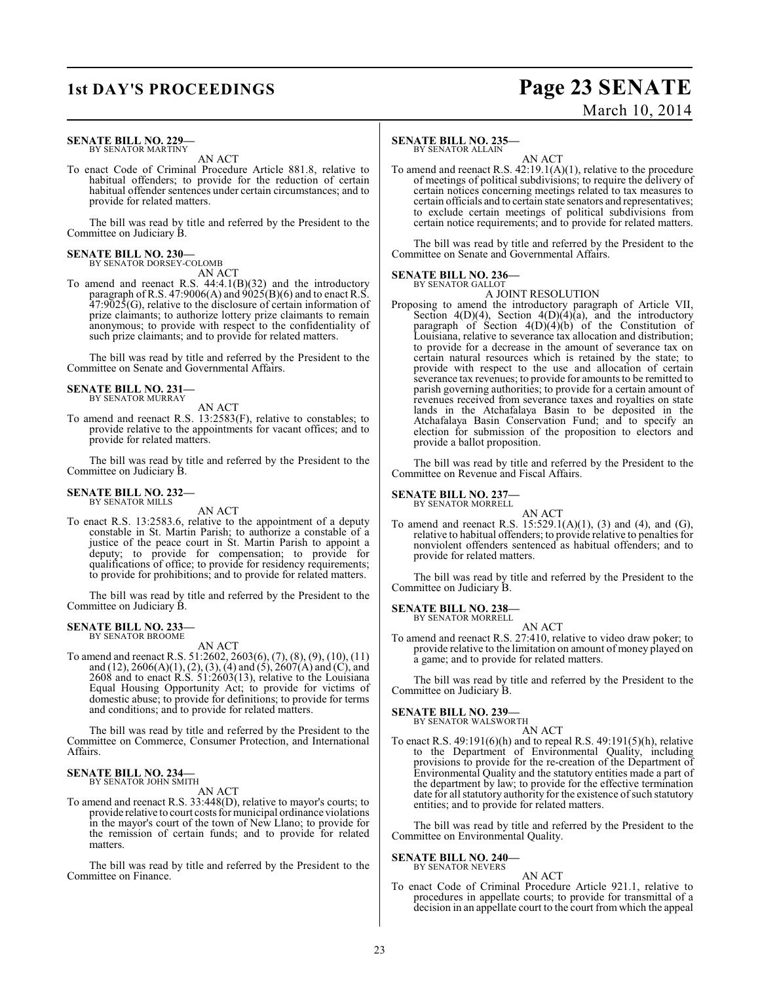# **1st DAY'S PROCEEDINGS Page 23 SENATE** March 10, 2014

### **SENATE BILL NO. 229—** BY SENATOR MARTINY

AN ACT

To enact Code of Criminal Procedure Article 881.8, relative to habitual offenders; to provide for the reduction of certain habitual offender sentences under certain circumstances; and to provide for related matters.

The bill was read by title and referred by the President to the Committee on Judiciary B.

# **SENATE BILL NO. 230—** BY SENATOR DORSEY-COLOMB

AN ACT

To amend and reenact R.S. 44:4.1(B)(32) and the introductory paragraph of R.S. 47:9006(A) and  $9025(B)(6)$  and to enact R.S. 47:9025(G), relative to the disclosure of certain information of prize claimants; to authorize lottery prize claimants to remain anonymous; to provide with respect to the confidentiality of such prize claimants; and to provide for related matters.

The bill was read by title and referred by the President to the Committee on Senate and Governmental Affairs.

## **SENATE BILL NO. 231—** BY SENATOR MURRAY

AN ACT

To amend and reenact R.S. 13:2583(F), relative to constables; to provide relative to the appointments for vacant offices; and to provide for related matters.

The bill was read by title and referred by the President to the Committee on Judiciary B.

# **SENATE BILL NO. 232—** BY SENATOR MILLS

AN ACT

To enact R.S. 13:2583.6, relative to the appointment of a deputy constable in St. Martin Parish; to authorize a constable of a justice of the peace court in St. Martin Parish to appoint a deputy; to provide for compensation; to provide for qualifications of office; to provide for residency requirements; to provide for prohibitions; and to provide for related matters.

The bill was read by title and referred by the President to the Committee on Judiciary B.

# **SENATE BILL NO. 233—** BY SENATOR BROOME

AN ACT

To amend and reenact R.S. 51:2602, 2603(6), (7), (8), (9), (10), (11) and (12), 2606(A)(1), (2), (3), (4) and (5), 2607(A) and (C), and 2608 and to enact R.S. 51:2603(13), relative to the Louisiana Equal Housing Opportunity Act; to provide for victims of domestic abuse; to provide for definitions; to provide for terms and conditions; and to provide for related matters.

The bill was read by title and referred by the President to the Committee on Commerce, Consumer Protection, and International Affairs.

### **SENATE BILL NO. 234—** BY SENATOR JOHN SMITH

AN ACT

To amend and reenact R.S. 33:448(D), relative to mayor's courts; to provide relative to court costs for municipal ordinance violations in the mayor's court of the town of New Llano; to provide for the remission of certain funds; and to provide for related matters.

The bill was read by title and referred by the President to the Committee on Finance.

## **SENATE BILL NO. 235—**

BY SENATOR ALLAIN

AN ACT To amend and reenact R.S. 42:19.1(A)(1), relative to the procedure of meetings of political subdivisions; to require the delivery of certain notices concerning meetings related to tax measures to certain officials and to certain state senators and representatives; to exclude certain meetings of political subdivisions from certain notice requirements; and to provide for related matters.

The bill was read by title and referred by the President to the Committee on Senate and Governmental Affairs.

## **SENATE BILL NO. 236—** BY SENATOR GALLOT

A JOINT RESOLUTION

Proposing to amend the introductory paragraph of Article VII, Section 4(D)(4), Section 4(D)(4)(a), and the introductory paragraph of Section 4(D)(4)(b) of the Constitution of Louisiana, relative to severance tax allocation and distribution; to provide for a decrease in the amount of severance tax on certain natural resources which is retained by the state; to provide with respect to the use and allocation of certain severance tax revenues; to provide for amounts to be remitted to parish governing authorities; to provide for a certain amount of revenues received from severance taxes and royalties on state lands in the Atchafalaya Basin to be deposited in the Atchafalaya Basin Conservation Fund; and to specify an election for submission of the proposition to electors and provide a ballot proposition.

The bill was read by title and referred by the President to the Committee on Revenue and Fiscal Affairs.

### **SENATE BILL NO. 237** BY SENATOR MORRELL

AN ACT

To amend and reenact R.S. 15:529.1(A)(1), (3) and (4), and (G), relative to habitual offenders; to provide relative to penalties for nonviolent offenders sentenced as habitual offenders; and to provide for related matters.

The bill was read by title and referred by the President to the Committee on Judiciary B.

#### **SENATE BILL NO. 238—** BY SENATOR MORRELL

AN ACT

To amend and reenact R.S. 27:410, relative to video draw poker; to provide relative to the limitation on amount of money played on a game; and to provide for related matters.

The bill was read by title and referred by the President to the Committee on Judiciary B.

# **SENATE BILL NO. 239—** BY SENATOR WALSWORTH

AN ACT

To enact R.S. 49:191(6)(h) and to repeal R.S. 49:191(5)(h), relative to the Department of Environmental Quality, including provisions to provide for the re-creation of the Department of Environmental Quality and the statutory entities made a part of the department by law; to provide for the effective termination date for all statutory authority for the existence of such statutory entities; and to provide for related matters.

The bill was read by title and referred by the President to the Committee on Environmental Quality.

## **SENATE BILL NO. 240—**

BY SENATOR NEVERS

AN ACT To enact Code of Criminal Procedure Article 921.1, relative to procedures in appellate courts; to provide for transmittal of a decision in an appellate court to the court from which the appeal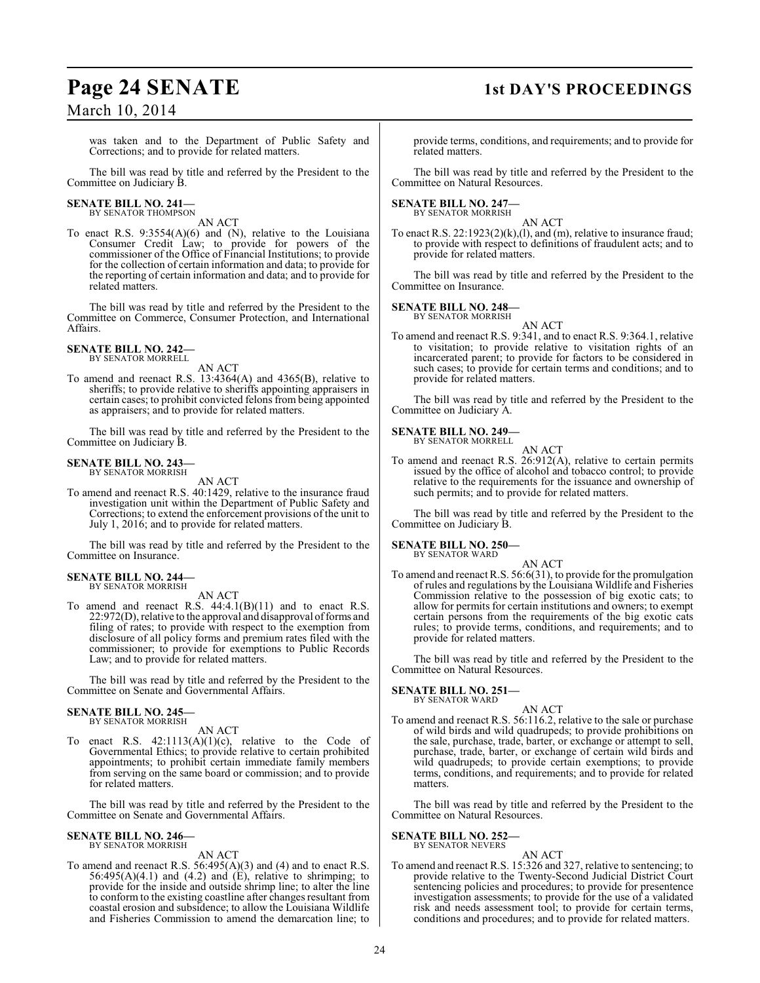# March 10, 2014

was taken and to the Department of Public Safety and Corrections; and to provide for related matters.

The bill was read by title and referred by the President to the Committee on Judiciary B.

# **SENATE BILL NO. 241—**<br>BY SENATOR THOMPSON

AN ACT

To enact R.S. 9:3554(A)(6) and (N), relative to the Louisiana Consumer Credit Law; to provide for powers of the commissioner of the Office of Financial Institutions; to provide for the collection of certain information and data; to provide for the reporting of certain information and data; and to provide for related matters.

The bill was read by title and referred by the President to the Committee on Commerce, Consumer Protection, and International Affairs.

### **SENATE BILL NO. 242—** BY SENATOR MORRELL

AN ACT

To amend and reenact R.S. 13:4364(A) and 4365(B), relative to sheriffs; to provide relative to sheriffs appointing appraisers in certain cases; to prohibit convicted felons from being appointed as appraisers; and to provide for related matters.

The bill was read by title and referred by the President to the Committee on Judiciary B.

# **SENATE BILL NO. 243—** BY SENATOR MORRISH

AN ACT

To amend and reenact R.S. 40:1429, relative to the insurance fraud investigation unit within the Department of Public Safety and Corrections; to extend the enforcement provisions of the unit to July 1, 2016; and to provide for related matters.

The bill was read by title and referred by the President to the Committee on Insurance.

## **SENATE BILL NO. 244—** BY SENATOR MORRISH

AN ACT

To amend and reenact R.S. 44:4.1(B)(11) and to enact R.S. 22:972(D), relative to the approval and disapproval offorms and filing of rates; to provide with respect to the exemption from disclosure of all policy forms and premium rates filed with the commissioner; to provide for exemptions to Public Records Law; and to provide for related matters.

The bill was read by title and referred by the President to the Committee on Senate and Governmental Affairs.

## **SENATE BILL NO. 245—** BY SENATOR MORRISH

AN ACT

To enact R.S.  $42:1113(A)(1)(c)$ , relative to the Code of Governmental Ethics; to provide relative to certain prohibited appointments; to prohibit certain immediate family members from serving on the same board or commission; and to provide for related matters.

The bill was read by title and referred by the President to the Committee on Senate and Governmental Affairs.

## **SENATE BILL NO. 246—** BY SENATOR MORRISH

AN ACT

To amend and reenact R.S. 56:495(A)(3) and (4) and to enact R.S.  $56:495(A)(4.1)$  and  $(4.2)$  and  $(E)$ , relative to shrimping; to provide for the inside and outside shrimp line; to alter the line to conform to the existing coastline after changes resultant from coastal erosion and subsidence; to allow the Louisiana Wildlife and Fisheries Commission to amend the demarcation line; to

# **Page 24 SENATE 1st DAY'S PROCEEDINGS**

provide terms, conditions, and requirements; and to provide for related matters.

The bill was read by title and referred by the President to the Committee on Natural Resources.

# **SENATE BILL NO. 247—** BY SENATOR MORRISH

AN ACT

To enact R.S.  $22:1923(2)(k),(1)$ , and  $(m)$ , relative to insurance fraud; to provide with respect to definitions of fraudulent acts; and to provide for related matters.

The bill was read by title and referred by the President to the Committee on Insurance.

## **SENATE BILL NO. 248—**

BY SENATOR MORRISH AN ACT

To amend and reenact R.S. 9:341, and to enact R.S. 9:364.1, relative to visitation; to provide relative to visitation rights of an incarcerated parent; to provide for factors to be considered in such cases; to provide for certain terms and conditions; and to provide for related matters.

The bill was read by title and referred by the President to the Committee on Judiciary A.

### **SENATE BILL NO. 249—** BY SENATOR MORRELL

AN ACT

To amend and reenact R.S. 26:912(A), relative to certain permits issued by the office of alcohol and tobacco control; to provide relative to the requirements for the issuance and ownership of such permits; and to provide for related matters.

The bill was read by title and referred by the President to the Committee on Judiciary B.

# **SENATE BILL NO. 250—**

BY SENATOR WARD

AN ACT To amend and reenact R.S.  $56:6(31)$ , to provide for the promulgation of rules and regulations by the Louisiana Wildlife and Fisheries Commission relative to the possession of big exotic cats; to allow for permits for certain institutions and owners; to exempt certain persons from the requirements of the big exotic cats rules; to provide terms, conditions, and requirements; and to provide for related matters.

The bill was read by title and referred by the President to the Committee on Natural Resources.

#### **SENATE BILL NO. 251—** BY SENATOR WARD

AN ACT To amend and reenact R.S. 56:116.2, relative to the sale or purchase of wild birds and wild quadrupeds; to provide prohibitions on the sale, purchase, trade, barter, or exchange or attempt to sell, purchase, trade, barter, or exchange of certain wild birds and wild quadrupeds; to provide certain exemptions; to provide terms, conditions, and requirements; and to provide for related matters.

The bill was read by title and referred by the President to the Committee on Natural Resources.

# **SENATE BILL NO. 252—**

BY SENATOR NEVERS AN ACT

To amend and reenact R.S. 15:326 and 327, relative to sentencing; to provide relative to the Twenty-Second Judicial District Court sentencing policies and procedures; to provide for presentence investigation assessments; to provide for the use of a validated risk and needs assessment tool; to provide for certain terms, conditions and procedures; and to provide for related matters.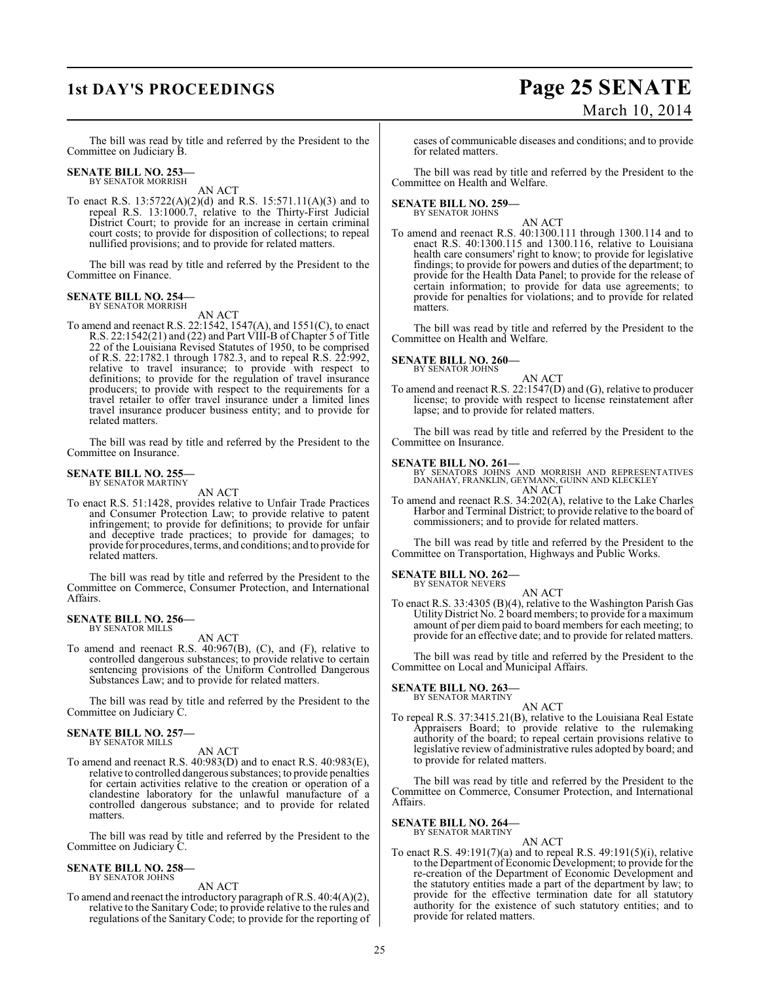# **1st DAY'S PROCEEDINGS Page 25 SENATE** March 10, 2014

The bill was read by title and referred by the President to the Committee on Judiciary B.

# **SENATE BILL NO. 253—** BY SENATOR MORRISH

AN ACT

To enact R.S. 13:5722(A)(2)(d) and R.S. 15:571.11(A)(3) and to repeal R.S. 13:1000.7, relative to the Thirty-First Judicial District Court; to provide for an increase in certain criminal court costs; to provide for disposition of collections; to repeal nullified provisions; and to provide for related matters.

The bill was read by title and referred by the President to the Committee on Finance.

### **SENATE BILL NO. 254—** BY SENATOR MORRISH

AN ACT

To amend and reenact R.S. 22:1542, 1547(A), and 1551(C), to enact R.S. 22:1542(21) and (22) and Part VIII-B of Chapter 5 of Title 22 of the Louisiana Revised Statutes of 1950, to be comprised of R.S. 22:1782.1 through 1782.3, and to repeal R.S. 22:992, relative to travel insurance; to provide with respect to definitions; to provide for the regulation of travel insurance producers; to provide with respect to the requirements for a travel retailer to offer travel insurance under a limited lines travel insurance producer business entity; and to provide for related matters.

The bill was read by title and referred by the President to the Committee on Insurance.

#### **SENATE BILL NO. 255—** BY SENATOR MARTINY

AN ACT

To enact R.S. 51:1428, provides relative to Unfair Trade Practices and Consumer Protection Law; to provide relative to patent infringement; to provide for definitions; to provide for unfair and deceptive trade practices; to provide for damages; to provide for procedures, terms, and conditions; and to provide for related matters.

The bill was read by title and referred by the President to the Committee on Commerce, Consumer Protection, and International Affairs.

### **SENATE BILL NO. 256—** BY SENATOR MILLS

AN ACT

To amend and reenact R.S. 40:967(B), (C), and (F), relative to controlled dangerous substances; to provide relative to certain sentencing provisions of the Uniform Controlled Dangerous Substances Law; and to provide for related matters.

The bill was read by title and referred by the President to the Committee on Judiciary C.

## **SENATE BILL NO. 257—** BY SENATOR MILLS

AN ACT

To amend and reenact R.S. 40:983(D) and to enact R.S. 40:983(E), relative to controlled dangerous substances; to provide penalties for certain activities relative to the creation or operation of a clandestine laboratory for the unlawful manufacture of a controlled dangerous substance; and to provide for related matters.

The bill was read by title and referred by the President to the Committee on Judiciary C.

## **SENATE BILL NO. 258—** BY SENATOR JOHNS

AN ACT

To amend and reenact the introductory paragraph of R.S. 40:4(A)(2), relative to the Sanitary Code; to provide relative to the rules and regulations of the Sanitary Code; to provide for the reporting of cases of communicable diseases and conditions; and to provide for related matters.

The bill was read by title and referred by the President to the Committee on Health and Welfare.

# **SENATE BILL NO. 259—** BY SENATOR JOHNS

AN ACT

To amend and reenact R.S. 40:1300.111 through 1300.114 and to enact R.S. 40:1300.115 and 1300.116, relative to Louisiana health care consumers' right to know; to provide for legislative findings; to provide for powers and duties of the department; to provide for the Health Data Panel; to provide for the release of certain information; to provide for data use agreements; to provide for penalties for violations; and to provide for related matters.

The bill was read by title and referred by the President to the Committee on Health and Welfare.

# **SENATE BILL NO. 260—**

BY SENATOR JOHNS

AN ACT To amend and reenact R.S. 22:1547(D) and (G), relative to producer license; to provide with respect to license reinstatement after lapse; and to provide for related matters.

The bill was read by title and referred by the President to the Committee on Insurance.

**SENATE BILL NO. 261—**<br>BY SENATORS JOHNS AND MORRISH AND REPRESENTATIVES<br>DANAHAY, FRANKLIN, GEYMANN, GUINN AND KLECKLEY AN ACT

To amend and reenact R.S. 34:202(A), relative to the Lake Charles Harbor and Terminal District; to provide relative to the board of commissioners; and to provide for related matters.

The bill was read by title and referred by the President to the Committee on Transportation, Highways and Public Works.

# **SENATE BILL NO. 262—**

BY SENATOR NEVERS AN ACT

To enact R.S. 33:4305 (B)(4), relative to the Washington Parish Gas Utility District No. 2 board members; to provide for a maximum amount of per diem paid to board members for each meeting; to provide for an effective date; and to provide for related matters.

The bill was read by title and referred by the President to the Committee on Local and Municipal Affairs.

### **SENATE BILL NO. 263—** BY SENATOR MARTINY

AN ACT

To repeal R.S. 37:3415.21(B), relative to the Louisiana Real Estate Appraisers Board; to provide relative to the rulemaking authority of the board; to repeal certain provisions relative to legislative review of administrative rules adopted by board; and to provide for related matters.

The bill was read by title and referred by the President to the Committee on Commerce, Consumer Protection, and International Affairs.

**SENATE BILL NO. 264—** BY SENATOR MARTINY

# AN ACT

To enact R.S. 49:191(7)(a) and to repeal R.S. 49:191(5)(i), relative to the Department of Economic Development; to provide for the re-creation of the Department of Economic Development and the statutory entities made a part of the department by law; to provide for the effective termination date for all statutory authority for the existence of such statutory entities; and to provide for related matters.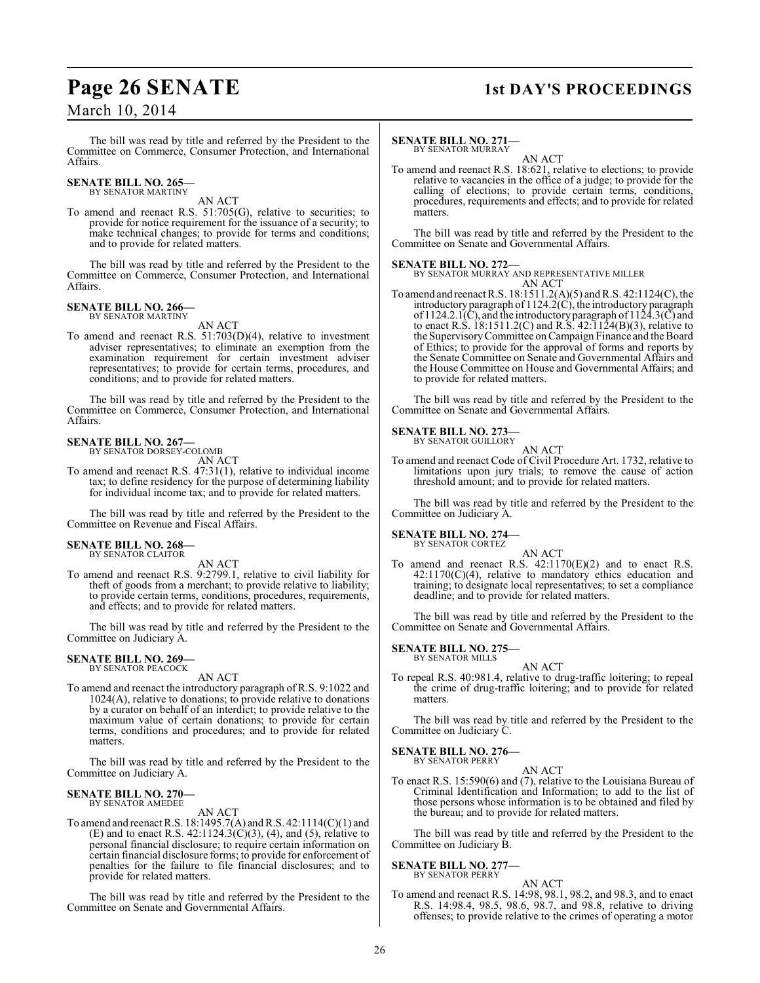# March 10, 2014

The bill was read by title and referred by the President to the Committee on Commerce, Consumer Protection, and International Affairs.

#### **SENATE BILL NO. 265** BY SENATOR MARTINY

AN ACT

To amend and reenact R.S. 51:705(G), relative to securities; to provide for notice requirement for the issuance of a security; to make technical changes; to provide for terms and conditions; and to provide for related matters.

The bill was read by title and referred by the President to the Committee on Commerce, Consumer Protection, and International Affairs.

# **SENATE BILL NO. 266—** BY SENATOR MARTINY

AN ACT

To amend and reenact R.S. 51:703(D)(4), relative to investment adviser representatives; to eliminate an exemption from the examination requirement for certain investment adviser representatives; to provide for certain terms, procedures, and conditions; and to provide for related matters.

The bill was read by title and referred by the President to the Committee on Commerce, Consumer Protection, and International Affairs.

### **SENATE BILL NO. 267—** BY SENATOR DORSEY-COLOMB

AN ACT

To amend and reenact R.S. 47:31(1), relative to individual income tax; to define residency for the purpose of determining liability for individual income tax; and to provide for related matters.

The bill was read by title and referred by the President to the Committee on Revenue and Fiscal Affairs.

# **SENATE BILL NO. 268—** BY SENATOR CLAITOR

AN ACT

To amend and reenact R.S. 9:2799.1, relative to civil liability for theft of goods from a merchant; to provide relative to liability; to provide certain terms, conditions, procedures, requirements, and effects; and to provide for related matters.

The bill was read by title and referred by the President to the Committee on Judiciary A.

## **SENATE BILL NO. 269—** BY SENATOR PEACOCK

AN ACT

To amend and reenact the introductory paragraph of R.S. 9:1022 and 1024(A), relative to donations; to provide relative to donations by a curator on behalf of an interdict; to provide relative to the maximum value of certain donations; to provide for certain terms, conditions and procedures; and to provide for related matters.

The bill was read by title and referred by the President to the Committee on Judiciary A.

# **SENATE BILL NO. 270—** BY SENATOR AMEDEE

AN ACT

To amend and reenact R.S. 18:1495.7(A) and R.S. 42:1114(C)(1) and (E) and to enact R.S.  $42:1124.3(C)(3)$ , (4), and (5), relative to personal financial disclosure; to require certain information on certain financial disclosure forms; to provide for enforcement of penalties for the failure to file financial disclosures; and to provide for related matters.

The bill was read by title and referred by the President to the Committee on Senate and Governmental Affairs.

# **Page 26 SENATE 1st DAY'S PROCEEDINGS**

### **SENATE BILL NO. 271—** BY SENATOR MURRAY

AN ACT

To amend and reenact R.S. 18:621, relative to elections; to provide relative to vacancies in the office of a judge; to provide for the calling of elections; to provide certain terms, conditions, procedures, requirements and effects; and to provide for related matters.

The bill was read by title and referred by the President to the Committee on Senate and Governmental Affairs.

## **SENATE BILL NO. 272—**

BY SENATOR MURRAY AND REPRESENTATIVE MILLER AN ACT

To amend and reenact R.S. 18:1511.2(A)(5) and R.S. 42:1124(C), the introductory paragraph of 1124.2(C), the introductory paragraph of  $1124.2.1(\tilde{C})$ , and the introductory paragraph of  $112\tilde{4}.3(\tilde{C})$  and to enact R.S. 18:1511.2(C) and R.S. 42:1124(B)(3), relative to the Supervisory Committee on Campaign Finance and the Board of Ethics; to provide for the approval of forms and reports by the Senate Committee on Senate and Governmental Affairs and the House Committee on House and Governmental Affairs; and to provide for related matters.

The bill was read by title and referred by the President to the Committee on Senate and Governmental Affairs.

## **SENATE BILL NO. 273—**

BY SENATOR GUILLORY AN ACT

To amend and reenact Code of Civil Procedure Art. 1732, relative to limitations upon jury trials; to remove the cause of action threshold amount; and to provide for related matters.

The bill was read by title and referred by the President to the Committee on Judiciary A.

# **SENATE BILL NO. 274—**

BY SENATOR CORTEZ

AN ACT To amend and reenact R.S.  $42:1170(E)(2)$  and to enact R.S.  $42:1170(C)(4)$ , relative to mandatory ethics education and training; to designate local representatives; to set a compliance deadline; and to provide for related matters.

The bill was read by title and referred by the President to the Committee on Senate and Governmental Affairs.

#### **SENATE BILL NO. 275—** BY SENATOR MILLS

- 
- AN ACT To repeal R.S. 40:981.4, relative to drug-traffic loitering; to repeal the crime of drug-traffic loitering; and to provide for related matters.

The bill was read by title and referred by the President to the Committee on Judiciary C.

#### **SENATE BILL NO. 276—** BY SENATOR PERRY

AN ACT

To enact R.S. 15:590(6) and (7), relative to the Louisiana Bureau of Criminal Identification and Information; to add to the list of those persons whose information is to be obtained and filed by the bureau; and to provide for related matters.

The bill was read by title and referred by the President to the Committee on Judiciary B.

# **SENATE BILL NO. 277—** BY SENATOR PERRY

AN ACT

To amend and reenact R.S. 14:98, 98.1, 98.2, and 98.3, and to enact R.S. 14:98.4, 98.5, 98.6, 98.7, and 98.8, relative to driving offenses; to provide relative to the crimes of operating a motor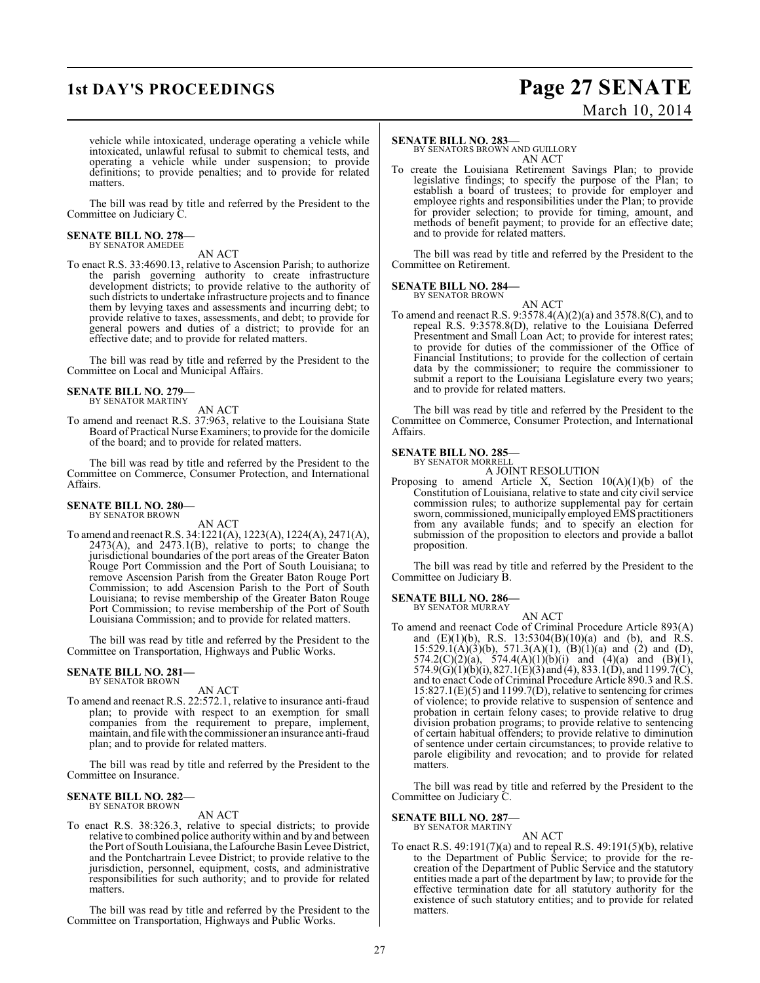# **1st DAY'S PROCEEDINGS Page 27 SENATE** March 10, 2014

vehicle while intoxicated, underage operating a vehicle while intoxicated, unlawful refusal to submit to chemical tests, and operating a vehicle while under suspension; to provide definitions; to provide penalties; and to provide for related matters.

The bill was read by title and referred by the President to the Committee on Judiciary C.

## **SENATE BILL NO. 278—** BY SENATOR AMEDEE

AN ACT

To enact R.S. 33:4690.13, relative to Ascension Parish; to authorize the parish governing authority to create infrastructure development districts; to provide relative to the authority of such districts to undertake infrastructure projects and to finance them by levying taxes and assessments and incurring debt; to provide relative to taxes, assessments, and debt; to provide for general powers and duties of a district; to provide for an effective date; and to provide for related matters.

The bill was read by title and referred by the President to the Committee on Local and Municipal Affairs.

## **SENATE BILL NO. 279—** BY SENATOR MARTINY

AN ACT

To amend and reenact R.S. 37:963, relative to the Louisiana State Board of Practical Nurse Examiners; to provide for the domicile of the board; and to provide for related matters.

The bill was read by title and referred by the President to the Committee on Commerce, Consumer Protection, and International Affairs.

# **SENATE BILL NO. 280—** BY SENATOR BROWN

AN ACT

To amend and reenactR.S. 34:1221(A), 1223(A), 1224(A), 2471(A), 2473(A), and 2473.1(B), relative to ports; to change the jurisdictional boundaries of the port areas of the Greater Baton Rouge Port Commission and the Port of South Louisiana; to remove Ascension Parish from the Greater Baton Rouge Port Commission; to add Ascension Parish to the Port of South Louisiana; to revise membership of the Greater Baton Rouge Port Commission; to revise membership of the Port of South Louisiana Commission; and to provide for related matters.

The bill was read by title and referred by the President to the Committee on Transportation, Highways and Public Works.

### **SENATE BILL NO. 281—** BY SENATOR BROWN

AN ACT

To amend and reenact R.S. 22:572.1, relative to insurance anti-fraud plan; to provide with respect to an exemption for small companies from the requirement to prepare, implement, maintain, and file with the commissioner an insurance anti-fraud plan; and to provide for related matters.

The bill was read by title and referred by the President to the Committee on Insurance.

## **SENATE BILL NO. 282—** BY SENATOR BROWN

AN ACT

To enact R.S. 38:326.3, relative to special districts; to provide relative to combined police authority within and by and between the Port of South Louisiana, theLafourche Basin Levee District, and the Pontchartrain Levee District; to provide relative to the jurisdiction, personnel, equipment, costs, and administrative responsibilities for such authority; and to provide for related matters.

The bill was read by title and referred by the President to the Committee on Transportation, Highways and Public Works.

## **SENATE BILL NO. 283—**

BY SENATORS BROWN AND GUILLORY AN ACT

To create the Louisiana Retirement Savings Plan; to provide legislative findings; to specify the purpose of the Plan; to establish a board of trustees; to provide for employer and employee rights and responsibilities under the Plan; to provide for provider selection; to provide for timing, amount, and methods of benefit payment; to provide for an effective date; and to provide for related matters.

The bill was read by title and referred by the President to the Committee on Retirement.

## **SENATE BILL NO. 284—** BY SENATOR BROWN

AN ACT

To amend and reenact R.S. 9:3578.4(A)(2)(a) and 3578.8(C), and to repeal R.S. 9:3578.8(D), relative to the Louisiana Deferred Presentment and Small Loan Act; to provide for interest rates; to provide for duties of the commissioner of the Office of Financial Institutions; to provide for the collection of certain data by the commissioner; to require the commissioner to submit a report to the Louisiana Legislature every two years; and to provide for related matters.

The bill was read by title and referred by the President to the Committee on Commerce, Consumer Protection, and International Affairs.

### **SENATE BILL NO. 285—** BY SENATOR MORRELL

A JOINT RESOLUTION

Proposing to amend Article X, Section  $10(A)(1)(b)$  of the Constitution of Louisiana, relative to state and city civil service commission rules; to authorize supplemental pay for certain sworn, commissioned, municipally employed EMS practitioners from any available funds; and to specify an election for submission of the proposition to electors and provide a ballot proposition.

The bill was read by title and referred by the President to the Committee on Judiciary B.

**SENATE BILL NO. 286—** BY SENATOR MURRAY

AN ACT

To amend and reenact Code of Criminal Procedure Article 893(A) and  $(E)(1)(b)$ , R.S. 13:5304 $(B)(10)(a)$  and  $(b)$ , and R.S.  $15:529.1(A)(3)(b)$ ,  $571.3(A)(1)$ ,  $(B)(1)(a)$  and  $(2)$  and  $(D)$ , 574.2(C)(2)(a), 574.4(A)(1)(b)(i) and (4)(a) and (B)(1), 574.9(G)(1)(b)(i), 827.1(E)(3) and (4), 833.1(D), and 1199.7(C), and to enact Code of Criminal Procedure Article 890.3 and R.S. 15:827.1(E)(5) and 1199.7(D), relative to sentencing for crimes of violence; to provide relative to suspension of sentence and probation in certain felony cases; to provide relative to drug division probation programs; to provide relative to sentencing of certain habitual offenders; to provide relative to diminution of sentence under certain circumstances; to provide relative to parole eligibility and revocation; and to provide for related matters.

The bill was read by title and referred by the President to the Committee on Judiciary C.

## **SENATE BILL NO. 287—**

BY SENATOR MARTINY AN ACT

To enact R.S. 49:191(7)(a) and to repeal R.S. 49:191(5)(b), relative to the Department of Public Service; to provide for the recreation of the Department of Public Service and the statutory entities made a part of the department by law; to provide for the effective termination date for all statutory authority for the existence of such statutory entities; and to provide for related matters.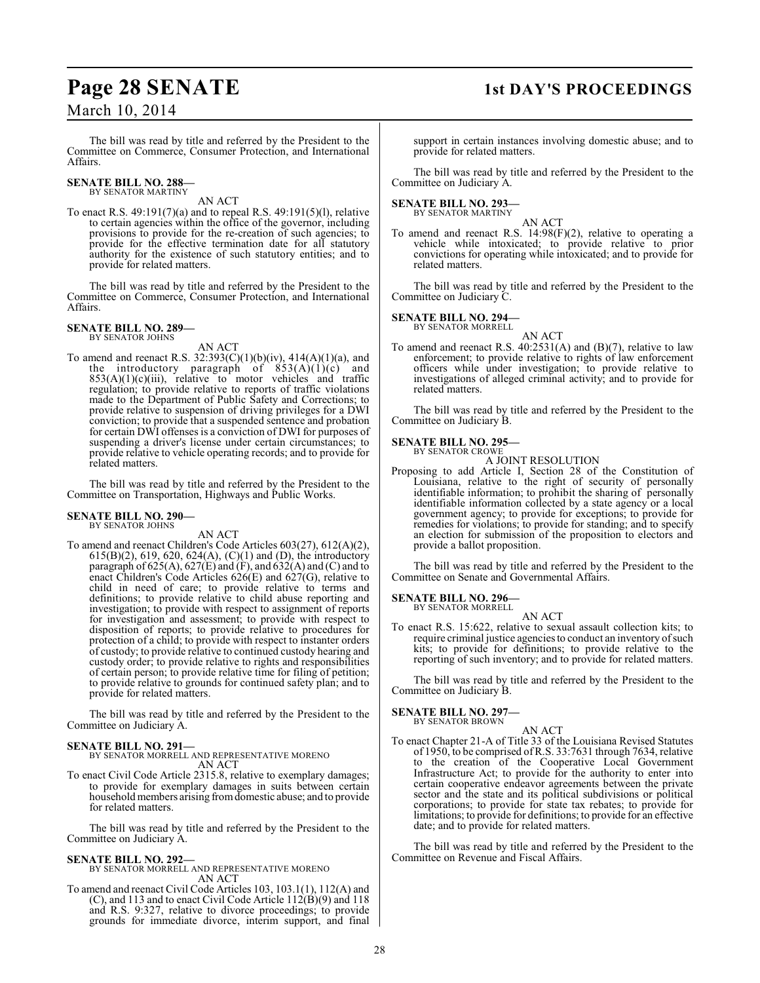# March 10, 2014

## The bill was read by title and referred by the President to the Committee on Commerce, Consumer Protection, and International Affairs.

#### **SENATE BILL NO. 288—** BY SENATOR MARTINY

AN ACT

To enact R.S. 49:191(7)(a) and to repeal R.S. 49:191(5)(l), relative to certain agencies within the office of the governor, including provisions to provide for the re-creation of such agencies; to provide for the effective termination date for all statutory authority for the existence of such statutory entities; and to provide for related matters.

The bill was read by title and referred by the President to the Committee on Commerce, Consumer Protection, and International Affairs.

# **SENATE BILL NO. 289—** BY SENATOR JOHNS

AN ACT

To amend and reenact R.S.  $32:393(C)(1)(b)(iv)$ ,  $414(A)(1)(a)$ , and the introductory paragraph of  $853(A)(1)(c)$  and  $853(A)(1)(c)(iii)$ , relative to motor vehicles and traffic regulation; to provide relative to reports of traffic violations made to the Department of Public Safety and Corrections; to provide relative to suspension of driving privileges for a DWI conviction; to provide that a suspended sentence and probation for certain DWI offenses is a conviction of DWI for purposes of suspending a driver's license under certain circumstances; to provide relative to vehicle operating records; and to provide for related matters.

The bill was read by title and referred by the President to the Committee on Transportation, Highways and Public Works.

# **SENATE BILL NO. 290—**

BY SENATOR JOHNS

AN ACT

To amend and reenact Children's Code Articles 603(27), 612(A)(2), 615(B)(2), 619, 620, 624(A), (C)(1) and (D), the introductory paragraph of 625(A), 627(E) and (F), and 632(A) and (C) and to enact Children's Code Articles 626(E) and 627(G), relative to child in need of care; to provide relative to terms and definitions; to provide relative to child abuse reporting and investigation; to provide with respect to assignment of reports for investigation and assessment; to provide with respect to disposition of reports; to provide relative to procedures for protection of a child; to provide with respect to instanter orders of custody; to provide relative to continued custody hearing and custody order; to provide relative to rights and responsibilities of certain person; to provide relative time for filing of petition; to provide relative to grounds for continued safety plan; and to provide for related matters.

The bill was read by title and referred by the President to the Committee on Judiciary A.

# **SENATE BILL NO. 291—**

BY SENATOR MORRELL AND REPRESENTATIVE MORENO AN ACT

To enact Civil Code Article 2315.8, relative to exemplary damages; to provide for exemplary damages in suits between certain household members arising from domestic abuse; and to provide for related matters.

The bill was read by title and referred by the President to the Committee on Judiciary A.

**SENATE BILL NO. 292—** BY SENATOR MORRELL AND REPRESENTATIVE MORENO AN ACT

To amend and reenact Civil Code Articles 103, 103.1(1), 112(A) and (C), and 113 and to enact Civil Code Article 112(B)(9) and 118 and R.S. 9:327, relative to divorce proceedings; to provide grounds for immediate divorce, interim support, and final

# **Page 28 SENATE 1st DAY'S PROCEEDINGS**

support in certain instances involving domestic abuse; and to provide for related matters.

The bill was read by title and referred by the President to the Committee on Judiciary A.

# **SENATE BILL NO. 293—** BY SENATOR MARTINY

AN ACT

To amend and reenact R.S. 14:98(F)(2), relative to operating a vehicle while intoxicated; to provide relative to prior convictions for operating while intoxicated; and to provide for related matters.

The bill was read by title and referred by the President to the Committee on Judiciary C.

# **SENATE BILL NO. 294—**

BY SENATOR MORRELL

AN ACT To amend and reenact R.S. 40:2531(A) and (B)(7), relative to law enforcement; to provide relative to rights of law enforcement officers while under investigation; to provide relative to investigations of alleged criminal activity; and to provide for related matters.

The bill was read by title and referred by the President to the Committee on Judiciary B.

## **SENATE BILL NO. 295—** BY SENATOR CROWE

A JOINT RESOLUTION

Proposing to add Article I, Section 28 of the Constitution of Louisiana, relative to the right of security of personally identifiable information; to prohibit the sharing of personally identifiable information collected by a state agency or a local government agency; to provide for exceptions; to provide for remedies for violations; to provide for standing; and to specify an election for submission of the proposition to electors and provide a ballot proposition.

The bill was read by title and referred by the President to the Committee on Senate and Governmental Affairs.

**SENATE BILL NO. 296—** BY SENATOR MORRELL

AN ACT

To enact R.S. 15:622, relative to sexual assault collection kits; to require criminal justice agenciesto conduct an inventory of such kits; to provide for definitions; to provide relative to the reporting of such inventory; and to provide for related matters.

The bill was read by title and referred by the President to the Committee on Judiciary B.

# **SENATE BILL NO. 297—** BY SENATOR BROWN

AN ACT To enact Chapter 21-A of Title 33 of the Louisiana Revised Statutes of 1950, to be comprised of R.S. 33:7631 through 7634, relative to the creation of the Cooperative Local Government Infrastructure Act; to provide for the authority to enter into certain cooperative endeavor agreements between the private sector and the state and its political subdivisions or political corporations; to provide for state tax rebates; to provide for limitations; to provide for definitions; to provide for an effective date; and to provide for related matters.

The bill was read by title and referred by the President to the Committee on Revenue and Fiscal Affairs.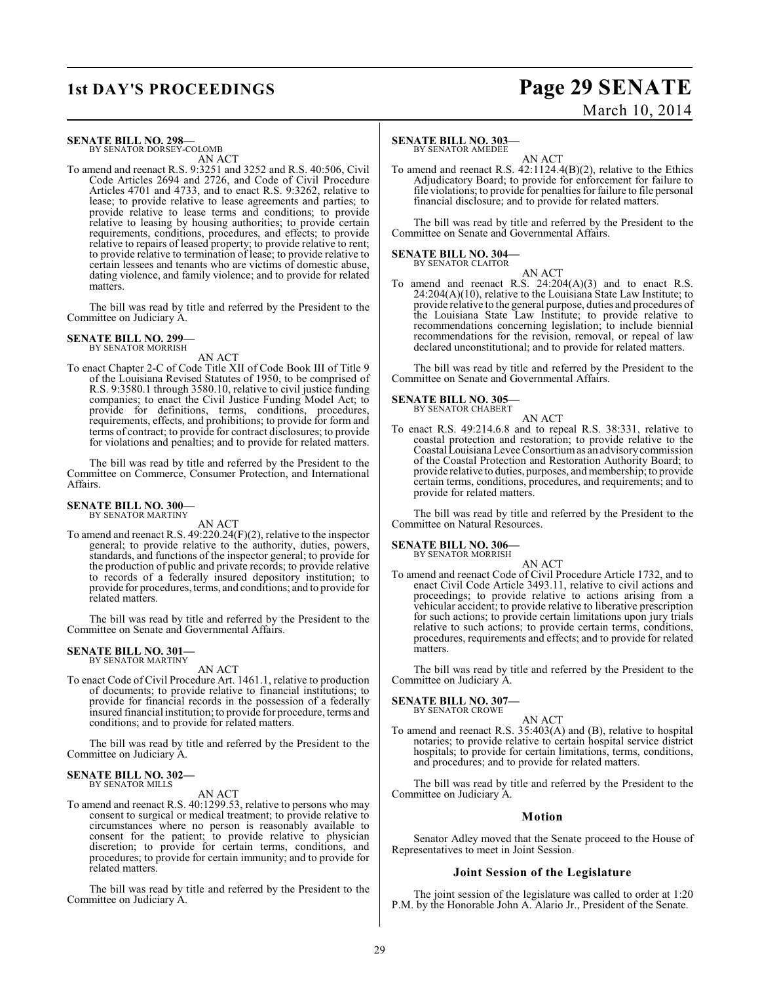# **1st DAY'S PROCEEDINGS Page 29 SENATE** March 10, 2014

### **SENATE BILL NO. 298—** BY SENATOR DORSEY-COLOMB

AN ACT

To amend and reenact R.S. 9:3251 and 3252 and R.S. 40:506, Civil Code Articles 2694 and 2726, and Code of Civil Procedure Articles 4701 and 4733, and to enact R.S. 9:3262, relative to lease; to provide relative to lease agreements and parties; to provide relative to lease terms and conditions; to provide relative to leasing by housing authorities; to provide certain requirements, conditions, procedures, and effects; to provide relative to repairs of leased property; to provide relative to rent; to provide relative to termination of lease; to provide relative to certain lessees and tenants who are victims of domestic abuse, dating violence, and family violence; and to provide for related matters.

The bill was read by title and referred by the President to the Committee on Judiciary A.

#### **SENATE BILL NO. 299—** BY SENATOR MORRISH

AN ACT

To enact Chapter 2-C of Code Title XII of Code Book III of Title 9 of the Louisiana Revised Statutes of 1950, to be comprised of R.S. 9:3580.1 through 3580.10, relative to civil justice funding companies; to enact the Civil Justice Funding Model Act; to provide for definitions, terms, conditions, procedures, requirements, effects, and prohibitions; to provide for form and terms of contract; to provide for contract disclosures; to provide for violations and penalties; and to provide for related matters.

The bill was read by title and referred by the President to the Committee on Commerce, Consumer Protection, and International Affairs.

# **SENATE BILL NO. 300—** BY SENATOR MARTINY

AN ACT

To amend and reenact R.S. 49:220.24(F)(2), relative to the inspector general; to provide relative to the authority, duties, powers, standards, and functions of the inspector general; to provide for the production of public and private records; to provide relative to records of a federally insured depository institution; to provide for procedures, terms, and conditions; and to provide for related matters.

The bill was read by title and referred by the President to the Committee on Senate and Governmental Affairs.

#### **SENATE BILL NO. 301—** BY SENATOR MARTINY

AN ACT

To enact Code of Civil Procedure Art. 1461.1, relative to production of documents; to provide relative to financial institutions; to provide for financial records in the possession of a federally insured financial institution; to provide for procedure, terms and conditions; and to provide for related matters.

The bill was read by title and referred by the President to the Committee on Judiciary A.

#### **SENATE BILL NO. 302—** BY SENATOR MILLS

AN ACT

To amend and reenact R.S. 40:1299.53, relative to persons who may consent to surgical or medical treatment; to provide relative to circumstances where no person is reasonably available to consent for the patient; to provide relative to physician discretion; to provide for certain terms, conditions, and procedures; to provide for certain immunity; and to provide for related matters.

The bill was read by title and referred by the President to the Committee on Judiciary A.

# **SENATE BILL NO. 303**

BY SENATOR AMEDEE

AN ACT To amend and reenact R.S. 42:1124.4(B)(2), relative to the Ethics Adjudicatory Board; to provide for enforcement for failure to file violations; to provide for penalties for failure to file personal financial disclosure; and to provide for related matters.

The bill was read by title and referred by the President to the Committee on Senate and Governmental Affairs.

#### **SENATE BILL NO. 304—** BY SENATOR CLAITOR

AN ACT To amend and reenact R.S.  $24:204(A)(3)$  and to enact R.S. 24:204(A)(10), relative to the Louisiana State Law Institute; to provide relative to the general purpose, duties and procedures of the Louisiana State Law Institute; to provide relative to recommendations concerning legislation; to include biennial recommendations for the revision, removal, or repeal of law declared unconstitutional; and to provide for related matters.

The bill was read by title and referred by the President to the Committee on Senate and Governmental Affairs.

# **SENATE BILL NO. 305—**

BY SENATOR CHABERT AN ACT

To enact R.S. 49:214.6.8 and to repeal R.S. 38:331, relative to coastal protection and restoration; to provide relative to the Coastal Louisiana Levee Consortium as an advisory commission of the Coastal Protection and Restoration Authority Board; to provide relative to duties, purposes, and membership; to provide certain terms, conditions, procedures, and requirements; and to provide for related matters.

The bill was read by title and referred by the President to the Committee on Natural Resources.

# **SENATE BILL NO. 306—** BY SENATOR MORRISH

AN ACT To amend and reenact Code of Civil Procedure Article 1732, and to enact Civil Code Article 3493.11, relative to civil actions and proceedings; to provide relative to actions arising from a vehicular accident; to provide relative to liberative prescription for such actions; to provide certain limitations upon jury trials relative to such actions; to provide certain terms, conditions, procedures, requirements and effects; and to provide for related matters.

The bill was read by title and referred by the President to the Committee on Judiciary A.

## **SENATE BILL NO. 307—** BY SENATOR CROWE

AN ACT

To amend and reenact R.S. 35:403(A) and (B), relative to hospital notaries; to provide relative to certain hospital service district hospitals; to provide for certain limitations, terms, conditions, and procedures; and to provide for related matters.

The bill was read by title and referred by the President to the Committee on Judiciary A.

# **Motion**

Senator Adley moved that the Senate proceed to the House of Representatives to meet in Joint Session.

# **Joint Session of the Legislature**

The joint session of the legislature was called to order at 1:20 P.M. by the Honorable John A. Alario Jr., President of the Senate.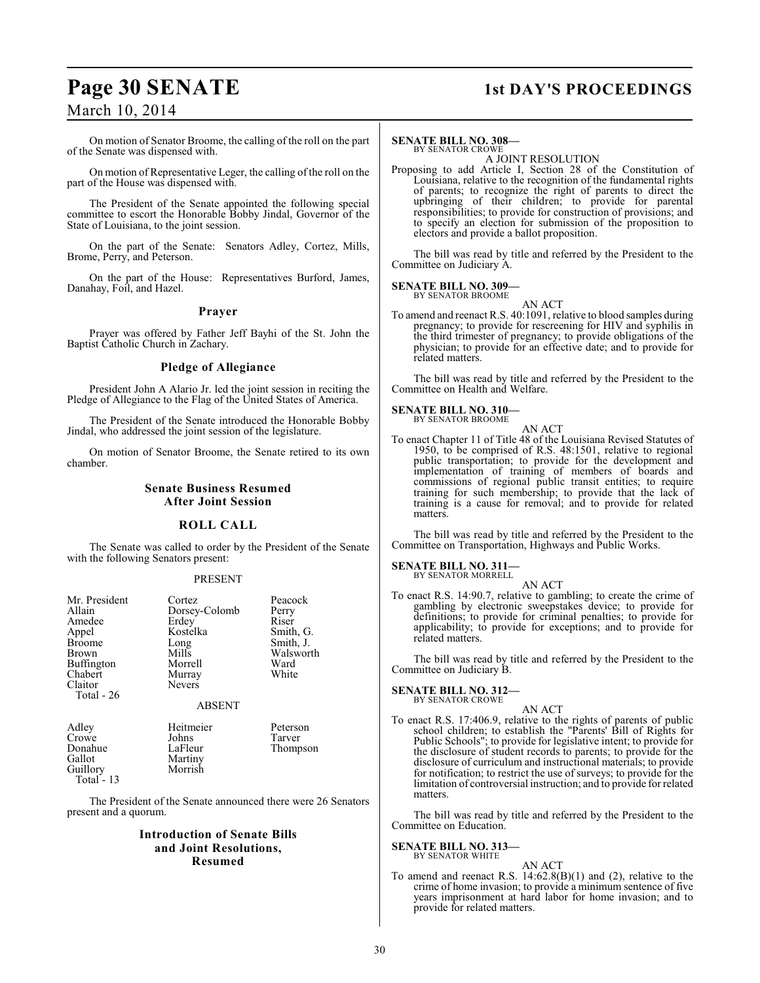# **Page 30 SENATE 1st DAY'S PROCEEDINGS**

# March 10, 2014

On motion of Senator Broome, the calling of the roll on the part of the Senate was dispensed with.

On motion of Representative Leger, the calling of the roll on the part of the House was dispensed with.

The President of the Senate appointed the following special committee to escort the Honorable Bobby Jindal, Governor of the State of Louisiana, to the joint session.

On the part of the Senate: Senators Adley, Cortez, Mills, Brome, Perry, and Peterson.

On the part of the House: Representatives Burford, James, Danahay, Foil, and Hazel.

## **Prayer**

Prayer was offered by Father Jeff Bayhi of the St. John the Baptist Catholic Church in Zachary.

## **Pledge of Allegiance**

President John A Alario Jr. led the joint session in reciting the Pledge of Allegiance to the Flag of the United States of America.

The President of the Senate introduced the Honorable Bobby Jindal, who addressed the joint session of the legislature.

On motion of Senator Broome, the Senate retired to its own chamber.

# **Senate Business Resumed After Joint Session**

# **ROLL CALL**

The Senate was called to order by the President of the Senate with the following Senators present:

## PRESENT

| Mr. President<br>Allain | Cortez              | Peacock        |
|-------------------------|---------------------|----------------|
|                         | Dorsey-Colomb       | Perry<br>Riser |
| Amedee                  | Erdey               |                |
| Appel                   | Kostelka            | Smith, G.      |
| <b>Broome</b>           | Long                | Smith, J.      |
| Brown                   | Mills               | Walsworth      |
| <b>Buffington</b>       | Morrell             | Ward           |
| Chabert                 | Murray              | White          |
| Claitor                 | <b>Nevers</b>       |                |
| Total - 26              |                     |                |
|                         | <b>ABSENT</b>       |                |
| Adley                   | Heitmeier           | Peterson       |
| Crowe                   | Johns               | Tarver         |
| Donahue                 | LaFleur             | Thompson       |
| Gallot                  | Martiny             |                |
| $\sim$ 11.              | <b>A</b> <i>f</i> 1 |                |

Guillory Morrish Total - 13

The President of the Senate announced there were 26 Senators present and a quorum.

# **Introduction of Senate Bills and Joint Resolutions, Resumed**

## **SENATE BILL NO. 308—**

BY SENATOR CROWE A JOINT RESOLUTION

Proposing to add Article I, Section 28 of the Constitution of Louisiana, relative to the recognition of the fundamental rights of parents; to recognize the right of parents to direct the upbringing of their children; to provide for parental responsibilities; to provide for construction of provisions; and to specify an election for submission of the proposition to electors and provide a ballot proposition.

The bill was read by title and referred by the President to the Committee on Judiciary A.

## **SENATE BILL NO. 309—** BY SENATOR BROOME

AN ACT

To amend and reenact R.S. 40:1091, relative to blood samples during pregnancy; to provide for rescreening for HIV and syphilis in the third trimester of pregnancy; to provide obligations of the physician; to provide for an effective date; and to provide for related matters.

The bill was read by title and referred by the President to the Committee on Health and Welfare.

### **SENATE BILL NO. 310—** BY SENATOR BROOME

AN ACT

To enact Chapter 11 of Title 48 of the Louisiana Revised Statutes of 1950, to be comprised of R.S. 48:1501, relative to regional public transportation; to provide for the development and implementation of training of members of boards and commissions of regional public transit entities; to require training for such membership; to provide that the lack of training is a cause for removal; and to provide for related matters.

The bill was read by title and referred by the President to the Committee on Transportation, Highways and Public Works.

# **SENATE BILL NO. 311—**

BY SENATOR MORRELL AN ACT

To enact R.S. 14:90.7, relative to gambling; to create the crime of gambling by electronic sweepstakes device; to provide for definitions; to provide for criminal penalties; to provide for applicability; to provide for exceptions; and to provide for related matters.

The bill was read by title and referred by the President to the Committee on Judiciary B.

### **SENATE BILL NO. 312—** BY SENATOR CROWE

## AN ACT

To enact R.S. 17:406.9, relative to the rights of parents of public school children; to establish the "Parents' Bill of Rights for Public Schools"; to provide for legislative intent; to provide for the disclosure of student records to parents; to provide for the disclosure of curriculum and instructional materials; to provide for notification; to restrict the use of surveys; to provide for the limitation of controversial instruction; and to provide for related matters.

The bill was read by title and referred by the President to the Committee on Education.

# **SENATE BILL NO. 313-**<br>BY SENATOR WHITE

# AN ACT

To amend and reenact R.S. 14:62.8(B)(1) and (2), relative to the crime of home invasion; to provide a minimum sentence of five years imprisonment at hard labor for home invasion; and to provide for related matters.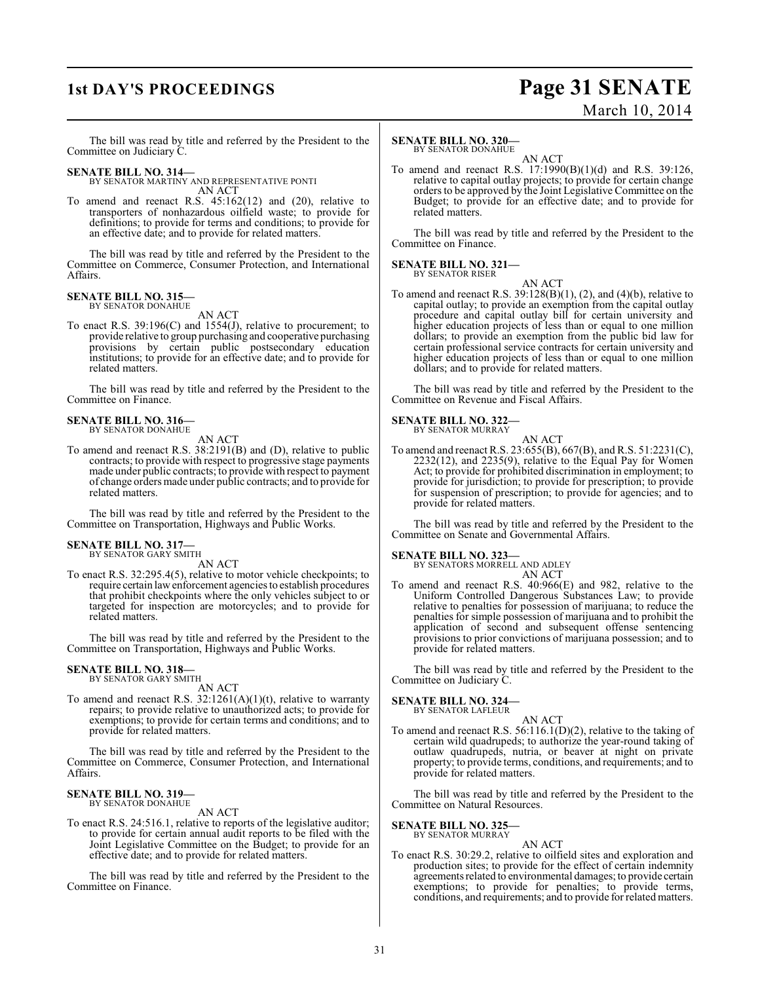# **1st DAY'S PROCEEDINGS Page 31 SENATE** March 10, 2014

The bill was read by title and referred by the President to the Committee on Judiciary C.

## **SENATE BILL NO. 314—**

BY SENATOR MARTINY AND REPRESENTATIVE PONTI AN ACT

To amend and reenact R.S. 45:162(12) and (20), relative to transporters of nonhazardous oilfield waste; to provide for definitions; to provide for terms and conditions; to provide for an effective date; and to provide for related matters.

The bill was read by title and referred by the President to the Committee on Commerce, Consumer Protection, and International Affairs.

#### **SENATE BILL NO. 315—** BY SENATOR DONAHUE

AN ACT

To enact R.S. 39:196(C) and 1554(J), relative to procurement; to provide relative to group purchasing and cooperative purchasing provisions by certain public postsecondary education institutions; to provide for an effective date; and to provide for related matters.

The bill was read by title and referred by the President to the Committee on Finance.

# **SENATE BILL NO. 316—** BY SENATOR DONAHUE

AN ACT

To amend and reenact R.S. 38:2191(B) and (D), relative to public contracts; to provide with respect to progressive stage payments made under public contracts; to provide with respect to payment of change orders made under public contracts; and to provide for related matters.

The bill was read by title and referred by the President to the Committee on Transportation, Highways and Public Works.

# **SENATE BILL NO. 317—** BY SENATOR GARY SMITH

AN ACT

To enact R.S. 32:295.4(5), relative to motor vehicle checkpoints; to require certain law enforcement agencies to establish procedures that prohibit checkpoints where the only vehicles subject to or targeted for inspection are motorcycles; and to provide for related matters.

The bill was read by title and referred by the President to the Committee on Transportation, Highways and Public Works.

# **SENATE BILL NO. 318—** BY SENATOR GARY SMITH

AN ACT

To amend and reenact R.S. 32:1261(A)(1)(t), relative to warranty repairs; to provide relative to unauthorized acts; to provide for exemptions; to provide for certain terms and conditions; and to provide for related matters.

The bill was read by title and referred by the President to the Committee on Commerce, Consumer Protection, and International Affairs.

# **SENATE BILL NO. 319—** BY SENATOR DONAHUE

AN ACT

To enact R.S. 24:516.1, relative to reports of the legislative auditor; to provide for certain annual audit reports to be filed with the Joint Legislative Committee on the Budget; to provide for an effective date; and to provide for related matters.

The bill was read by title and referred by the President to the Committee on Finance.

### **SENATE BILL NO. 320—** BY SENATOR DONAHUE

AN ACT

To amend and reenact R.S. 17:1990(B)(1)(d) and R.S. 39:126, relative to capital outlay projects; to provide for certain change orders to be approved by the Joint Legislative Committee on the Budget; to provide for an effective date; and to provide for related matters.

The bill was read by title and referred by the President to the Committee on Finance.

# **SENATE BILL NO. 321—**

BY SENATOR RISER AN ACT

To amend and reenact R.S.  $39:128(B)(1)$ ,  $(2)$ , and  $(4)(b)$ , relative to capital outlay; to provide an exemption from the capital outlay procedure and capital outlay bill for certain university and higher education projects of less than or equal to one million dollars; to provide an exemption from the public bid law for certain professional service contracts for certain university and higher education projects of less than or equal to one million dollars; and to provide for related matters.

The bill was read by title and referred by the President to the Committee on Revenue and Fiscal Affairs.

# **SENATE BILL NO. 322—** BY SENATOR MURRAY

To amend and reenact R.S. 23:655(B), 667(B), and R.S. 51:2231(C), 2232(12), and 2235(9), relative to the Equal Pay for Women Act; to provide for prohibited discrimination in employment; to provide for jurisdiction; to provide for prescription; to provide for suspension of prescription; to provide for agencies; and to provide for related matters.

AN ACT

The bill was read by title and referred by the President to the Committee on Senate and Governmental Affairs.

**SENATE BILL NO. 323—**

| BY SENATORS MORRELL AND ADLEY |  |        |
|-------------------------------|--|--------|
|                               |  | AN ACT |

To amend and reenact R.S. 40:966(E) and 982, relative to the Uniform Controlled Dangerous Substances Law; to provide relative to penalties for possession of marijuana; to reduce the penalties for simple possession of marijuana and to prohibit the application of second and subsequent offense sentencing provisions to prior convictions of marijuana possession; and to provide for related matters.

The bill was read by title and referred by the President to the Committee on Judiciary C.

**SENATE BILL NO. 324—**

BY SENATOR LAFLEUR AN ACT

To amend and reenact R.S. 56:116.1(D)(2), relative to the taking of certain wild quadrupeds; to authorize the year-round taking of outlaw quadrupeds, nutria, or beaver at night on private property; to provide terms, conditions, and requirements; and to provide for related matters.

The bill was read by title and referred by the President to the Committee on Natural Resources.

**SENATE BILL NO. 325—** BY SENATOR MURRAY

AN ACT To enact R.S. 30:29.2, relative to oilfield sites and exploration and production sites; to provide for the effect of certain indemnity agreements related to environmental damages; to provide certain exemptions; to provide for penalties; to provide terms, conditions, and requirements; and to provide for related matters.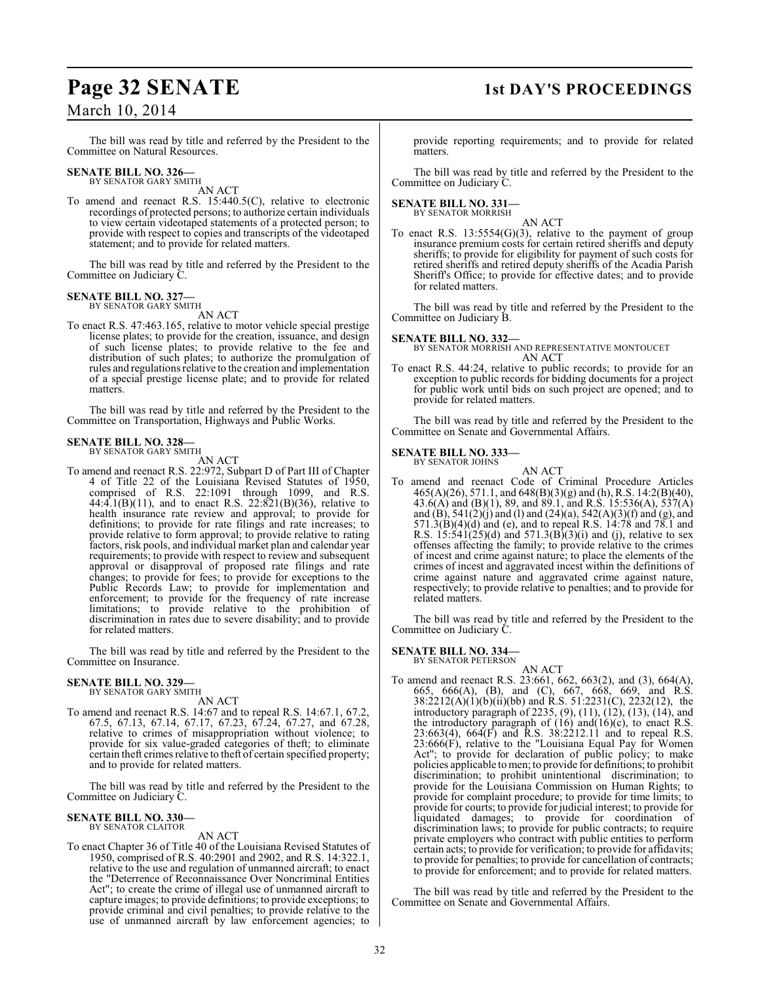# March 10, 2014

The bill was read by title and referred by the President to the Committee on Natural Resources.

# **SENATE BILL NO. 326—** BY SENATOR GARY SMITH

AN ACT

To amend and reenact R.S. 15:440.5(C), relative to electronic recordings of protected persons; to authorize certain individuals to view certain videotaped statements of a protected person; to provide with respect to copies and transcripts of the videotaped statement; and to provide for related matters.

The bill was read by title and referred by the President to the Committee on Judiciary C.

## **SENATE BILL NO. 327—** BY SENATOR GARY SMITH

AN ACT

To enact R.S. 47:463.165, relative to motor vehicle special prestige license plates; to provide for the creation, issuance, and design of such license plates; to provide relative to the fee and distribution of such plates; to authorize the promulgation of rules and regulations relative to the creation and implementation of a special prestige license plate; and to provide for related matters.

The bill was read by title and referred by the President to the Committee on Transportation, Highways and Public Works.

## **SENATE BILL NO. 328—** BY SENATOR GARY SMITH

AN ACT

To amend and reenact R.S. 22:972, Subpart D of Part III of Chapter 4 of Title 22 of the Louisiana Revised Statutes of 1950, comprised of R.S. 22:1091 through 1099, and R.S. 44:4.1(B)(11), and to enact R.S. 22:821(B)(36), relative to health insurance rate review and approval; to provide for definitions; to provide for rate filings and rate increases; to provide relative to form approval; to provide relative to rating factors, risk pools, and individual market plan and calendar year requirements; to provide with respect to review and subsequent approval or disapproval of proposed rate filings and rate changes; to provide for fees; to provide for exceptions to the Public Records Law; to provide for implementation and enforcement; to provide for the frequency of rate increase limitations; to provide relative to the prohibition of discrimination in rates due to severe disability; and to provide for related matters.

The bill was read by title and referred by the President to the Committee on Insurance.

## **SENATE BILL NO. 329—**

BY SENATOR GARY SMITH AN ACT

To amend and reenact R.S. 14:67 and to repeal R.S. 14:67.1, 67.2, 67.5, 67.13, 67.14, 67.17, 67.23, 67.24, 67.27, and 67.28, relative to crimes of misappropriation without violence; to provide for six value-graded categories of theft; to eliminate certain theft crimes relative to theft of certain specified property; and to provide for related matters.

The bill was read by title and referred by the President to the Committee on Judiciary C.

## **SENATE BILL NO. 330—** BY SENATOR CLAITOR

AN ACT

To enact Chapter 36 of Title 40 of the Louisiana Revised Statutes of 1950, comprised of R.S. 40:2901 and 2902, and R.S. 14:322.1, relative to the use and regulation of unmanned aircraft; to enact the "Deterrence of Reconnaissance Over Noncriminal Entities Act"; to create the crime of illegal use of unmanned aircraft to capture images; to provide definitions; to provide exceptions; to provide criminal and civil penalties; to provide relative to the use of unmanned aircraft by law enforcement agencies; to

# **Page 32 SENATE 1st DAY'S PROCEEDINGS**

provide reporting requirements; and to provide for related matters.

The bill was read by title and referred by the President to the Committee on Judiciary C.

# **SENATE BILL NO. 331—** BY SENATOR MORRISH

AN ACT

To enact R.S.  $13:5554(G)(3)$ , relative to the payment of group insurance premium costs for certain retired sheriffs and deputy sheriffs; to provide for eligibility for payment of such costs for retired sheriffs and retired deputy sheriffs of the Acadia Parish Sheriff's Office; to provide for effective dates; and to provide for related matters.

The bill was read by title and referred by the President to the Committee on Judiciary B.

**SENATE BILL NO. 332—** BY SENATOR MORRISH AND REPRESENTATIVE MONTOUCET AN ACT

To enact R.S. 44:24, relative to public records; to provide for an exception to public records for bidding documents for a project for public work until bids on such project are opened; and to provide for related matters.

The bill was read by title and referred by the President to the Committee on Senate and Governmental Affairs.

#### **SENATE BILL NO. 333—** BY SENATOR JOHNS

AN ACT

To amend and reenact Code of Criminal Procedure Articles 465(A)(26), 571.1, and 648(B)(3)(g) and (h), R.S. 14:2(B)(40), 43.6(A) and (B)(1), 89, and 89.1, and R.S. 15:536(A), 537(A) and (B), 541(2)(j) and (l) and (24)(a), 542(A)(3)(f) and (g), and 571.3(B)(4)(d) and (e), and to repeal R.S. 14:78 and 78.1 and R.S.  $15:541(25)(d)$  and  $571.3(B)(3)(i)$  and (j), relative to sex offenses affecting the family; to provide relative to the crimes of incest and crime against nature; to place the elements of the crimes of incest and aggravated incest within the definitions of crime against nature and aggravated crime against nature, respectively; to provide relative to penalties; and to provide for related matters.

The bill was read by title and referred by the President to the Committee on Judiciary C.

## **SENATE BILL NO. 334—** BY SENATOR PETERSON

AN ACT

To amend and reenact R.S. 23:661, 662, 663(2), and (3), 664(A), 665, 666(A), (B), and (C), 667, 668, 669, and R.S. 38:2212(A)(1)(b)(ii)(bb) and R.S. 51:2231(C), 2232(12), the introductory paragraph of 2235, (9), (11), (12), (13), (14), and the introductory paragraph of  $(16)$  and $(16)(c)$ , to enact R.S. 23:663(4), 664(F) and R.S. 38:2212.11 and to repeal R.S. 23:666(F), relative to the "Louisiana Equal Pay for Women Act"; to provide for declaration of public policy; to make policies applicable to men; to provide for definitions; to prohibit discrimination; to prohibit unintentional discrimination; to provide for the Louisiana Commission on Human Rights; to provide for complaint procedure; to provide for time limits; to provide for courts; to provide for judicial interest; to provide for liquidated damages; to provide for coordination of discrimination laws; to provide for public contracts; to require private employers who contract with public entities to perform certain acts; to provide for verification; to provide for affidavits; to provide for penalties; to provide for cancellation of contracts; to provide for enforcement; and to provide for related matters.

The bill was read by title and referred by the President to the Committee on Senate and Governmental Affairs.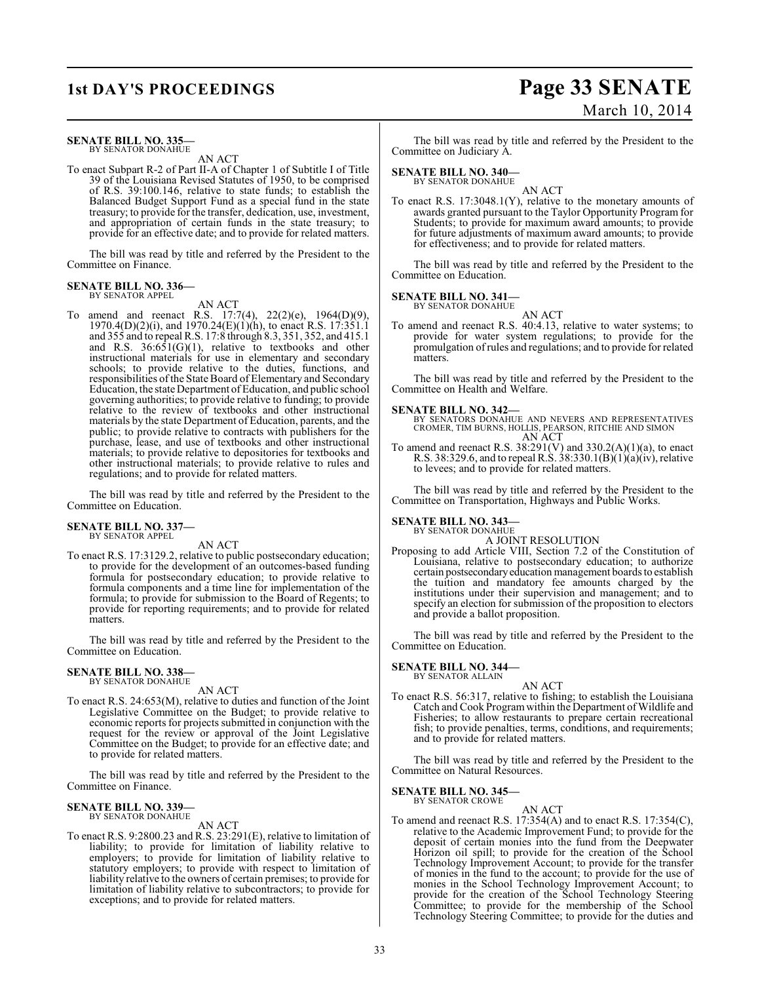# **1st DAY'S PROCEEDINGS Page 33 SENATE** March 10, 2014

### **SENATE BILL NO. 335—** BY SENATOR DONAHUE

AN ACT

To enact Subpart R-2 of Part II-A of Chapter 1 of Subtitle I of Title 39 of the Louisiana Revised Statutes of 1950, to be comprised of R.S. 39:100.146, relative to state funds; to establish the Balanced Budget Support Fund as a special fund in the state treasury; to provide for the transfer, dedication, use, investment, and appropriation of certain funds in the state treasury; to provide for an effective date; and to provide for related matters.

The bill was read by title and referred by the President to the Committee on Finance.

## **SENATE BILL NO. 336—** BY SENATOR APPEL

AN ACT

To amend and reenact R.S. 17:7(4), 22(2)(e), 1964(D)(9), 1970.4(D)(2)(i), and 1970.24(E)(1)(h), to enact R.S. 17:351.1 and 355 and to repeal R.S. 17:8 through 8.3, 351, 352, and 415.1 and R.S.  $36:651(G)(1)$ , relative to textbooks and other instructional materials for use in elementary and secondary schools; to provide relative to the duties, functions, and responsibilities of the State Board of Elementary and Secondary Education, the state Department of Education, and public school governing authorities; to provide relative to funding; to provide relative to the review of textbooks and other instructional materials by the state Department of Education, parents, and the public; to provide relative to contracts with publishers for the purchase, lease, and use of textbooks and other instructional materials; to provide relative to depositories for textbooks and other instructional materials; to provide relative to rules and regulations; and to provide for related matters.

The bill was read by title and referred by the President to the Committee on Education.

#### **SENATE BILL NO. 337—** BY SENATOR APPEL

AN ACT

To enact R.S. 17:3129.2, relative to public postsecondary education; to provide for the development of an outcomes-based funding formula for postsecondary education; to provide relative to formula components and a time line for implementation of the formula; to provide for submission to the Board of Regents; to provide for reporting requirements; and to provide for related matters.

The bill was read by title and referred by the President to the Committee on Education.

### **SENATE BILL NO. 338—** BY SENATOR DONAHUE

AN ACT

To enact R.S. 24:653(M), relative to duties and function of the Joint Legislative Committee on the Budget; to provide relative to economic reports for projects submitted in conjunction with the request for the review or approval of the Joint Legislative Committee on the Budget; to provide for an effective date; and to provide for related matters.

The bill was read by title and referred by the President to the Committee on Finance.

# **SENATE BILL NO. 339—** BY SENATOR DONAHUE

AN ACT

To enact R.S. 9:2800.23 and R.S. 23:291(E), relative to limitation of liability; to provide for limitation of liability relative to employers; to provide for limitation of liability relative to statutory employers; to provide with respect to limitation of liability relative to the owners of certain premises; to provide for limitation of liability relative to subcontractors; to provide for exceptions; and to provide for related matters.

The bill was read by title and referred by the President to the Committee on Judiciary A.

# **SENATE BILL NO. 340—** BY SENATOR DONAHUE

AN ACT To enact R.S. 17:3048.1(Y), relative to the monetary amounts of awards granted pursuant to the Taylor Opportunity Program for Students; to provide for maximum award amounts; to provide for future adjustments of maximum award amounts; to provide for effectiveness; and to provide for related matters.

The bill was read by title and referred by the President to the Committee on Education.

## **SENATE BILL NO. 341—**

BY SENATOR DONAHUE

AN ACT To amend and reenact R.S. 40:4.13, relative to water systems; to provide for water system regulations; to provide for the promulgation of rules and regulations; and to provide for related matters.

The bill was read by title and referred by the President to the Committee on Health and Welfare.

**SENATE BILL NO. 342—**<br>BY SENATORS DONAHUE AND NEVERS AND REPRESENTATIVES<br>CROMER, TIM BURNS, HOLLIS, PEARSON, RITCHIE AND SIMON<br>AN ACT

To amend and reenact R.S.  $38:291(V)$  and  $330.2(A)(1)(a)$ , to enact R.S. 38:329.6, and to repeal R.S. 38:330.1(B)(1)(a)(iv), relative to levees; and to provide for related matters.

The bill was read by title and referred by the President to the Committee on Transportation, Highways and Public Works.

### **SENATE BILL NO. 343—** BY SENATOR DONAHUE

A JOINT RESOLUTION

Proposing to add Article VIII, Section 7.2 of the Constitution of Louisiana, relative to postsecondary education; to authorize certain postsecondary education management boards to establish the tuition and mandatory fee amounts charged by the institutions under their supervision and management; and to specify an election for submission of the proposition to electors and provide a ballot proposition.

The bill was read by title and referred by the President to the Committee on Education.

#### **SENATE BILL NO. 344—** BY SENATOR ALLAIN

AN ACT To enact R.S. 56:317, relative to fishing; to establish the Louisiana Catch and Cook Program within the Department of Wildlife and

Fisheries; to allow restaurants to prepare certain recreational fish; to provide penalties, terms, conditions, and requirements; and to provide for related matters.

The bill was read by title and referred by the President to the Committee on Natural Resources.

AN ACT

#### **SENATE BILL NO. 345—** BY SENATOR CROWE

To amend and reenact R.S.  $17:354(A)$  and to enact R.S.  $17:354(C)$ , relative to the Academic Improvement Fund; to provide for the deposit of certain monies into the fund from the Deepwater Horizon oil spill; to provide for the creation of the School Technology Improvement Account; to provide for the transfer of monies in the fund to the account; to provide for the use of monies in the School Technology Improvement Account; to provide for the creation of the School Technology Steering Committee; to provide for the membership of the School Technology Steering Committee; to provide for the duties and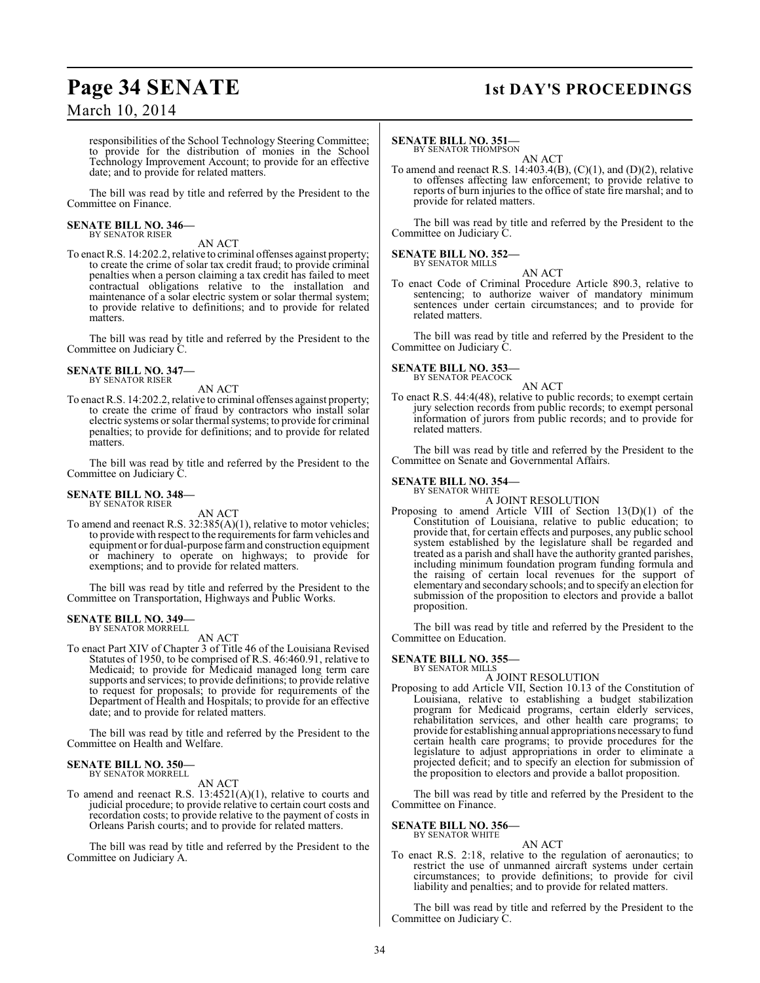# **Page 34 SENATE 1st DAY'S PROCEEDINGS**

# March 10, 2014

responsibilities of the School Technology Steering Committee; to provide for the distribution of monies in the School Technology Improvement Account; to provide for an effective date; and to provide for related matters.

The bill was read by title and referred by the President to the Committee on Finance.

### **SENATE BILL NO. 346—** BY SENATOR RISER

AN ACT

To enact R.S. 14:202.2, relative to criminal offenses against property; to create the crime of solar tax credit fraud; to provide criminal penalties when a person claiming a tax credit has failed to meet contractual obligations relative to the installation and maintenance of a solar electric system or solar thermal system; to provide relative to definitions; and to provide for related matters.

The bill was read by title and referred by the President to the Committee on Judiciary C.

## **SENATE BILL NO. 347—** BY SENATOR RISER

AN ACT

To enact R.S. 14:202.2, relative to criminal offenses against property; to create the crime of fraud by contractors who install solar electric systems or solar thermal systems; to provide for criminal penalties; to provide for definitions; and to provide for related matters.

The bill was read by title and referred by the President to the Committee on Judiciary C.

## **SENATE BILL NO. 348—** BY SENATOR RISER

AN ACT

To amend and reenact R.S. 32:385(A)(1), relative to motor vehicles; to provide with respect to the requirements for farm vehicles and equipment or for dual-purpose farm and construction equipment or machinery to operate on highways; to provide for exemptions; and to provide for related matters.

The bill was read by title and referred by the President to the Committee on Transportation, Highways and Public Works.

## **SENATE BILL NO. 349—** BY SENATOR MORRELL

# AN ACT

To enact Part XIV of Chapter 3 of Title 46 of the Louisiana Revised Statutes of 1950, to be comprised of R.S. 46:460.91, relative to Medicaid; to provide for Medicaid managed long term care supports and services; to provide definitions; to provide relative to request for proposals; to provide for requirements of the Department of Health and Hospitals; to provide for an effective date; and to provide for related matters.

The bill was read by title and referred by the President to the Committee on Health and Welfare.

# **SENATE BILL NO. 350—** BY SENATOR MORRELL

AN ACT

To amend and reenact R.S. 13:4521(A)(1), relative to courts and judicial procedure; to provide relative to certain court costs and recordation costs; to provide relative to the payment of costs in Orleans Parish courts; and to provide for related matters.

The bill was read by title and referred by the President to the Committee on Judiciary A.

# **SENATE BILL NO. 351—**

BY SENATOR THOMPSON AN ACT

To amend and reenact R.S. 14:403.4(B),  $(C)(1)$ , and  $(D)(2)$ , relative to offenses affecting law enforcement; to provide relative to reports of burn injuries to the office of state fire marshal; and to provide for related matters.

The bill was read by title and referred by the President to the Committee on Judiciary C.

#### **SENATE BILL NO. 352—** BY SENATOR MILLS

To enact Code of Criminal Procedure Article 890.3, relative to sentencing; to authorize waiver of mandatory minimum sentences under certain circumstances; and to provide for related matters.

AN ACT

The bill was read by title and referred by the President to the Committee on Judiciary C.

# **SENATE BILL NO. 353—** BY SENATOR PEACOCK

AN ACT

To enact R.S. 44:4(48), relative to public records; to exempt certain jury selection records from public records; to exempt personal information of jurors from public records; and to provide for related matters.

The bill was read by title and referred by the President to the Committee on Senate and Governmental Affairs.

## **SENATE BILL NO. 354—** BY SENATOR WHITE

A JOINT RESOLUTION

Proposing to amend Article VIII of Section 13(D)(1) of the Constitution of Louisiana, relative to public education; to provide that, for certain effects and purposes, any public school system established by the legislature shall be regarded and treated as a parish and shall have the authority granted parishes, including minimum foundation program funding formula and the raising of certain local revenues for the support of elementary and secondary schools; and to specify an election for submission of the proposition to electors and provide a ballot proposition.

The bill was read by title and referred by the President to the Committee on Education.

# **SENATE BILL NO. 355—**

BY SENATOR MILLS A JOINT RESOLUTION

Proposing to add Article VII, Section 10.13 of the Constitution of Louisiana, relative to establishing a budget stabilization program for Medicaid programs, certain elderly services, rehabilitation services, and other health care programs; to provide for establishing annual appropriations necessaryto fund certain health care programs; to provide procedures for the legislature to adjust appropriations in order to eliminate a projected deficit; and to specify an election for submission of the proposition to electors and provide a ballot proposition.

The bill was read by title and referred by the President to the Committee on Finance.

## **SENATE BILL NO. 356—** BY SENATOR WHITE

AN ACT To enact R.S. 2:18, relative to the regulation of aeronautics; to restrict the use of unmanned aircraft systems under certain circumstances; to provide definitions; to provide for civil liability and penalties; and to provide for related matters.

The bill was read by title and referred by the President to the Committee on Judiciary C.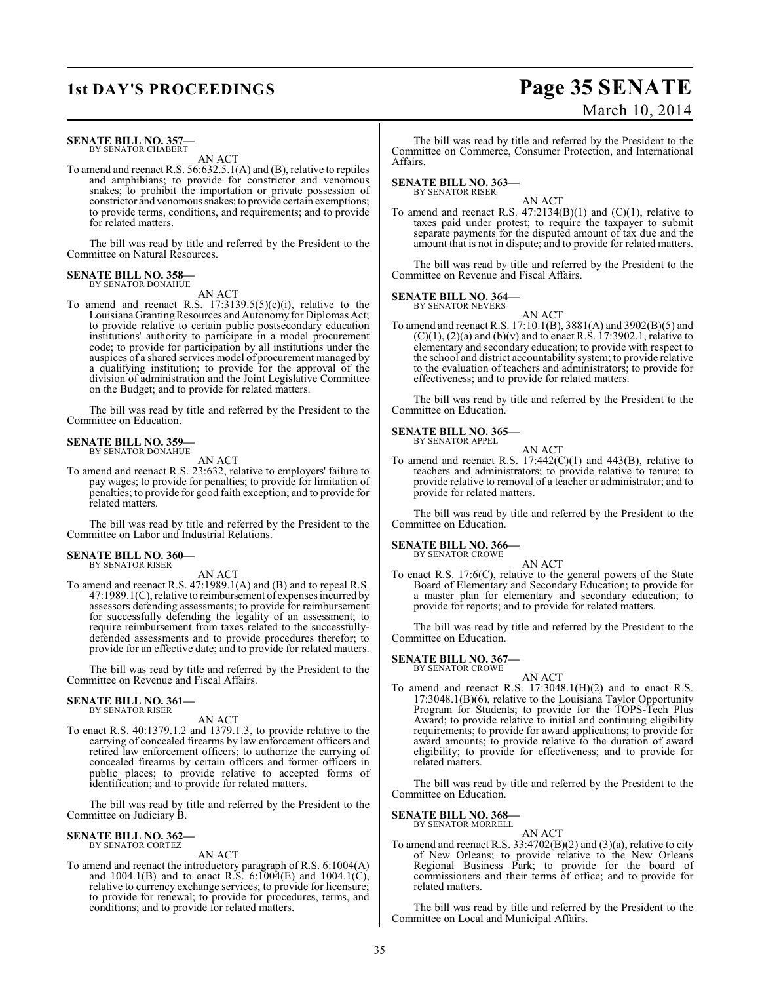### **SENATE BILL NO. 357** BY SENATOR CHABERT

AN ACT

To amend and reenact R.S. 56:632.5.1(A) and (B), relative to reptiles and amphibians; to provide for constrictor and venomous snakes; to prohibit the importation or private possession of constrictor and venomous snakes; to provide certain exemptions; to provide terms, conditions, and requirements; and to provide for related matters.

The bill was read by title and referred by the President to the Committee on Natural Resources.

#### **SENATE BILL NO. 358—** BY SENATOR DONAHUE

AN ACT

To amend and reenact R.S.  $17:3139.5(5)(c)(i)$ , relative to the Louisiana Granting Resources and Autonomy for Diplomas Act; to provide relative to certain public postsecondary education institutions' authority to participate in a model procurement code; to provide for participation by all institutions under the auspices of a shared services model of procurement managed by a qualifying institution; to provide for the approval of the division of administration and the Joint Legislative Committee on the Budget; and to provide for related matters.

The bill was read by title and referred by the President to the Committee on Education.

## **SENATE BILL NO. 359** BY SENATOR DONAHUE

AN ACT

To amend and reenact R.S. 23:632, relative to employers' failure to pay wages; to provide for penalties; to provide for limitation of penalties; to provide for good faith exception; and to provide for related matters.

The bill was read by title and referred by the President to the Committee on Labor and Industrial Relations.

# **SENATE BILL NO. 360—**

BY SENATOR RISER

AN ACT

To amend and reenact R.S. 47:1989.1(A) and (B) and to repeal R.S. 47:1989.1(C), relative to reimbursement of expenses incurred by assessors defending assessments; to provide for reimbursement for successfully defending the legality of an assessment; to require reimbursement from taxes related to the successfullydefended assessments and to provide procedures therefor; to provide for an effective date; and to provide for related matters.

The bill was read by title and referred by the President to the Committee on Revenue and Fiscal Affairs.

## **SENATE BILL NO. 361—** BY SENATOR RISER

AN ACT

To enact R.S. 40:1379.1.2 and 1379.1.3, to provide relative to the carrying of concealed firearms by law enforcement officers and retired law enforcement officers; to authorize the carrying of concealed firearms by certain officers and former officers in public places; to provide relative to accepted forms of identification; and to provide for related matters.

The bill was read by title and referred by the President to the Committee on Judiciary B.

## **SENATE BILL NO. 362—** BY SENATOR CORTEZ

AN ACT

To amend and reenact the introductory paragraph of R.S. 6:1004(A) and 1004.1(B) and to enact R.S. 6:1004(E) and 1004.1(C), relative to currency exchange services; to provide for licensure; to provide for renewal; to provide for procedures, terms, and conditions; and to provide for related matters.

The bill was read by title and referred by the President to the Committee on Commerce, Consumer Protection, and International Affairs.

# **SENATE BILL NO. 363—**

BY SENATOR RISER AN ACT

To amend and reenact R.S.  $47:2134(B)(1)$  and  $(C)(1)$ , relative to taxes paid under protest; to require the taxpayer to submit separate payments for the disputed amount of tax due and the amount that is not in dispute; and to provide for related matters.

The bill was read by title and referred by the President to the Committee on Revenue and Fiscal Affairs.

## **SENATE BILL NO. 364—**

BY SENATOR NEVERS

AN ACT To amend and reenact R.S. 17:10.1(B), 3881(A) and 3902(B)(5) and  $(C)(1)$ ,  $(2)(a)$  and  $(b)(v)$  and to enact R.S. 17:3902.1, relative to elementary and secondary education; to provide with respect to the school and district accountability system; to provide relative to the evaluation of teachers and administrators; to provide for effectiveness; and to provide for related matters.

The bill was read by title and referred by the President to the Committee on Education.

#### **SENATE BILL NO. 365—** BY SENATOR APPEL

AN ACT

To amend and reenact R.S. 17:442(C)(1) and 443(B), relative to teachers and administrators; to provide relative to tenure; to provide relative to removal of a teacher or administrator; and to provide for related matters.

The bill was read by title and referred by the President to the Committee on Education.

# **SENATE BILL NO. 366—** BY SENATOR CROWE

AN ACT To enact R.S. 17:6(C), relative to the general powers of the State Board of Elementary and Secondary Education; to provide for a master plan for elementary and secondary education; to provide for reports; and to provide for related matters.

The bill was read by title and referred by the President to the Committee on Education.

### **SENATE BILL NO. 367—** BY SENATOR CROWE

AN ACT

To amend and reenact R.S. 17:3048.1(H)(2) and to enact R.S. 17:3048.1(B)(6), relative to the Louisiana Taylor Opportunity Program for Students; to provide for the TOPS-Tech Plus Award; to provide relative to initial and continuing eligibility requirements; to provide for award applications; to provide for award amounts; to provide relative to the duration of award eligibility; to provide for effectiveness; and to provide for related matters.

The bill was read by title and referred by the President to the Committee on Education.

### **SENATE BILL NO. 368—** BY SENATOR MORRELL

AN ACT

To amend and reenact R.S.  $33:4702(B)(2)$  and  $(3)(a)$ , relative to city of New Orleans; to provide relative to the New Orleans Regional Business Park; to provide for the board of commissioners and their terms of office; and to provide for related matters.

The bill was read by title and referred by the President to the Committee on Local and Municipal Affairs.

# **1st DAY'S PROCEEDINGS Page 35 SENATE** March 10, 2014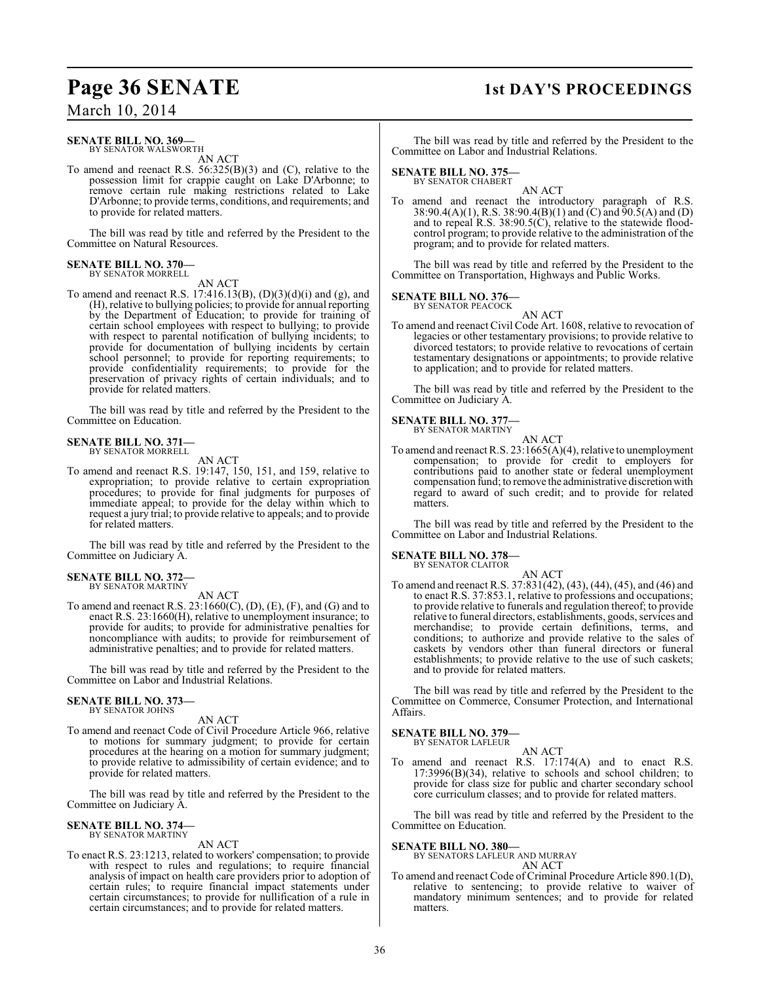# **Page 36 SENATE 1st DAY'S PROCEEDINGS**

March 10, 2014

## **SENATE BILL NO. 369—** BY SENATOR WALSWORTH

AN ACT

To amend and reenact R.S. 56:325(B)(3) and (C), relative to the possession limit for crappie caught on Lake D'Arbonne; to remove certain rule making restrictions related to Lake D'Arbonne; to provide terms, conditions, and requirements; and to provide for related matters.

The bill was read by title and referred by the President to the Committee on Natural Resources.

## **SENATE BILL NO. 370—** BY SENATOR MORRELL

AN ACT

To amend and reenact R.S. 17:416.13(B),  $(D)(3)(d)(i)$  and  $(g)$ , and (H), relative to bullying policies; to provide for annual reporting by the Department of Education; to provide for training of certain school employees with respect to bullying; to provide with respect to parental notification of bullying incidents; to provide for documentation of bullying incidents by certain school personnel; to provide for reporting requirements; to provide confidentiality requirements; to provide for the preservation of privacy rights of certain individuals; and to provide for related matters.

The bill was read by title and referred by the President to the Committee on Education.

## **SENATE BILL NO. 371** BY SENATOR MORRELL

AN ACT

To amend and reenact R.S. 19:147, 150, 151, and 159, relative to expropriation; to provide relative to certain expropriation procedures; to provide for final judgments for purposes of immediate appeal; to provide for the delay within which to request a jury trial; to provide relative to appeals; and to provide for related matters.

The bill was read by title and referred by the President to the Committee on Judiciary A.

## **SENATE BILL NO. 372—** BY SENATOR MARTINY

AN ACT

To amend and reenact R.S.  $23:1660(C)$ , (D), (E), (F), and (G) and to enact R.S. 23:1660(H), relative to unemployment insurance; to provide for audits; to provide for administrative penalties for noncompliance with audits; to provide for reimbursement of administrative penalties; and to provide for related matters.

The bill was read by title and referred by the President to the Committee on Labor and Industrial Relations.

## **SENATE BILL NO. 373—** BY SENATOR JOHNS

AN ACT

To amend and reenact Code of Civil Procedure Article 966, relative to motions for summary judgment; to provide for certain procedures at the hearing on a motion for summary judgment; to provide relative to admissibility of certain evidence; and to provide for related matters.

The bill was read by title and referred by the President to the Committee on Judiciary A.

## **SENATE BILL NO. 374—** BY SENATOR MARTINY

AN ACT

To enact R.S. 23:1213, related to workers' compensation; to provide with respect to rules and regulations; to require financial analysis of impact on health care providers prior to adoption of certain rules; to require financial impact statements under certain circumstances; to provide for nullification of a rule in certain circumstances; and to provide for related matters.

The bill was read by title and referred by the President to the Committee on Labor and Industrial Relations.

# **SENATE BILL NO. 375—** BY SENATOR CHABERT

AN ACT To amend and reenact the introductory paragraph of R.S. 38:90.4(A)(1), R.S. 38:90.4(B)(1) and (C) and 90.5(A) and (D) and to repeal R.S. 38:90.5(C), relative to the statewide floodcontrol program; to provide relative to the administration of the program; and to provide for related matters.

The bill was read by title and referred by the President to the Committee on Transportation, Highways and Public Works.

# **SENATE BILL NO. 376—**

BY SENATOR PEACOCK

AN ACT To amend and reenact Civil Code Art. 1608, relative to revocation of legacies or other testamentary provisions; to provide relative to divorced testators; to provide relative to revocations of certain testamentary designations or appointments; to provide relative to application; and to provide for related matters.

The bill was read by title and referred by the President to the Committee on Judiciary A.

# **SENATE BILL NO. 377—** BY SENATOR MARTINY

To amend and reenact R.S. 23:1665(A)(4), relative to unemployment compensation; to provide for credit to employers for contributions paid to another state or federal unemployment compensation fund; to remove the administrative discretion with regard to award of such credit; and to provide for related matters.

AN ACT

The bill was read by title and referred by the President to the Committee on Labor and Industrial Relations.

# **SENATE BILL NO. 378—**

BY SENATOR CLAITOR AN ACT

To amend and reenact R.S. 37:831(42), (43), (44), (45), and (46) and to enact R.S. 37:853.1, relative to professions and occupations; to provide relative to funerals and regulation thereof; to provide relative to funeral directors, establishments, goods, services and merchandise; to provide certain definitions, terms, and conditions; to authorize and provide relative to the sales of caskets by vendors other than funeral directors or funeral establishments; to provide relative to the use of such caskets; and to provide for related matters.

The bill was read by title and referred by the President to the Committee on Commerce, Consumer Protection, and International Affairs.

## **SENATE BILL NO. 379** BY SENATOR LAFLEUR

AN ACT

To amend and reenact R.S. 17:174(A) and to enact R.S. 17:3996(B)(34), relative to schools and school children; to provide for class size for public and charter secondary school core curriculum classes; and to provide for related matters.

The bill was read by title and referred by the President to the Committee on Education.

**SENATE BILL NO. 380—**

BY SENATORS LAFLEUR AND MURRAY AN ACT

To amend and reenact Code of Criminal Procedure Article 890.1(D), relative to sentencing; to provide relative to waiver of mandatory minimum sentences; and to provide for related matters.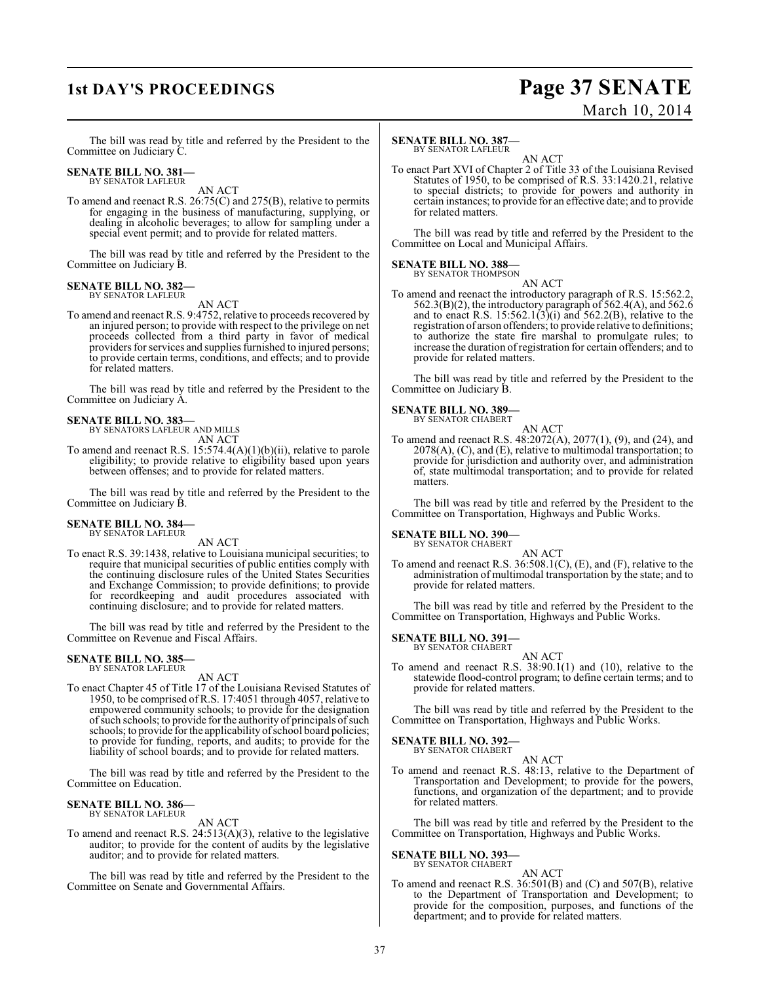# **1st DAY'S PROCEEDINGS Page 37 SENATE** March 10, 2014

The bill was read by title and referred by the President to the Committee on Judiciary C.

# **SENATE BILL NO. 381—** BY SENATOR LAFLEUR

AN ACT

To amend and reenact R.S. 26:75(C) and 275(B), relative to permits for engaging in the business of manufacturing, supplying, or dealing in alcoholic beverages; to allow for sampling under a special event permit; and to provide for related matters.

The bill was read by title and referred by the President to the Committee on Judiciary B.

## **SENATE BILL NO. 382—** BY SENATOR LAFLEUR

AN ACT

To amend and reenact R.S. 9:4752, relative to proceeds recovered by an injured person; to provide with respect to the privilege on net proceeds collected from a third party in favor of medical providers for services and supplies furnished to injured persons; to provide certain terms, conditions, and effects; and to provide for related matters.

The bill was read by title and referred by the President to the Committee on Judiciary A.

# **SENATE BILL NO. 383—** BY SENATORS LAFLEUR AND MILLS

AN ACT

To amend and reenact R.S. 15:574.4(A)(1)(b)(ii), relative to parole eligibility; to provide relative to eligibility based upon years between offenses; and to provide for related matters.

The bill was read by title and referred by the President to the Committee on Judiciary B.

## **SENATE BILL NO. 384** BY SENATOR LAFLEUR

AN ACT

To enact R.S. 39:1438, relative to Louisiana municipal securities; to require that municipal securities of public entities comply with the continuing disclosure rules of the United States Securities and Exchange Commission; to provide definitions; to provide for recordkeeping and audit procedures associated with continuing disclosure; and to provide for related matters.

The bill was read by title and referred by the President to the Committee on Revenue and Fiscal Affairs.

## **SENATE BILL NO. 385-**BY SENATOR LAFLEUR

AN ACT

To enact Chapter 45 of Title 17 of the Louisiana Revised Statutes of 1950, to be comprised of R.S. 17:4051 through 4057, relative to empowered community schools; to provide for the designation of such schools; to provide for the authority of principals of such schools; to provide for the applicability of school board policies; to provide for funding, reports, and audits; to provide for the liability of school boards; and to provide for related matters.

The bill was read by title and referred by the President to the Committee on Education.

# **SENATE BILL NO. 386—** BY SENATOR LAFLEUR

AN ACT

To amend and reenact R.S. 24:513(A)(3), relative to the legislative auditor; to provide for the content of audits by the legislative auditor; and to provide for related matters.

The bill was read by title and referred by the President to the Committee on Senate and Governmental Affairs.

# **SENATE BILL NO. 387—**

BY SENATOR LAFLEUR

AN ACT To enact Part XVI of Chapter 2 of Title 33 of the Louisiana Revised Statutes of 1950, to be comprised of R.S. 33:1420.21, relative to special districts; to provide for powers and authority in certain instances; to provide for an effective date; and to provide for related matters.

The bill was read by title and referred by the President to the Committee on Local and Municipal Affairs.

# **SENATE BILL NO. 388—**

BY SENATOR THOMPSON AN ACT

To amend and reenact the introductory paragraph of R.S. 15:562.2,  $562.3(B)(2)$ , the introductory paragraph of  $562.4(A)$ , and  $562.6$ and to enact R.S. 15:562.1(3)(i) and 562.2(B), relative to the registration of arson offenders; to provide relative to definitions; to authorize the state fire marshal to promulgate rules; to increase the duration ofregistration for certain offenders; and to provide for related matters.

The bill was read by title and referred by the President to the Committee on Judiciary B.

# **SENATE BILL NO. 389—** BY SENATOR CHABERT

AN ACT

To amend and reenact R.S. 48:2072(A), 2077(1), (9), and (24), and  $2078(A)$ , (C), and (E), relative to multimodal transportation; to provide for jurisdiction and authority over, and administration of, state multimodal transportation; and to provide for related matters.

The bill was read by title and referred by the President to the Committee on Transportation, Highways and Public Works.

**SENATE BILL NO. 390—**

BY SENATOR CHABERT AN ACT

To amend and reenact R.S. 36:508.1(C), (E), and (F), relative to the administration of multimodal transportation by the state; and to provide for related matters.

The bill was read by title and referred by the President to the Committee on Transportation, Highways and Public Works.

# **SENATE BILL NO. 391—**

BY SENATOR CHABERT AN ACT

To amend and reenact R.S. 38:90.1(1) and (10), relative to the statewide flood-control program; to define certain terms; and to provide for related matters.

The bill was read by title and referred by the President to the Committee on Transportation, Highways and Public Works.

**SENATE BILL NO. 392—** BY SENATOR CHABERT

AN ACT

To amend and reenact R.S. 48:13, relative to the Department of Transportation and Development; to provide for the powers, functions, and organization of the department; and to provide for related matters.

The bill was read by title and referred by the President to the Committee on Transportation, Highways and Public Works.

# **SENATE BILL NO. 393—**

BY SENATOR CHABERT AN ACT

To amend and reenact R.S. 36:501(B) and (C) and 507(B), relative to the Department of Transportation and Development; to provide for the composition, purposes, and functions of the department; and to provide for related matters.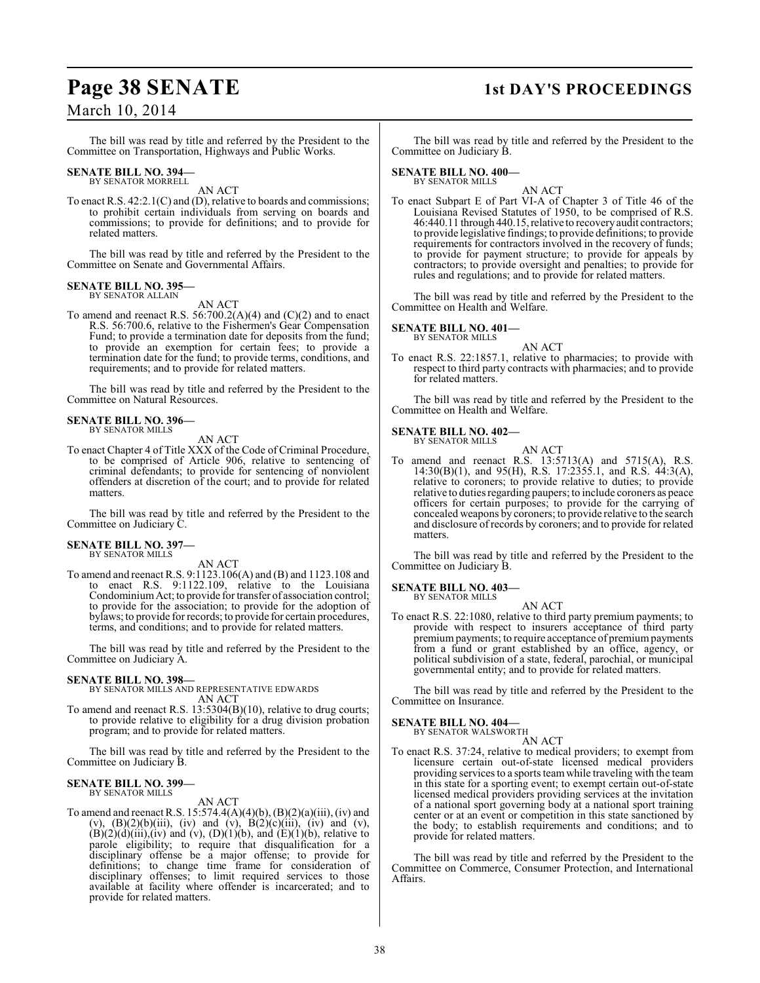# **Page 38 SENATE 1st DAY'S PROCEEDINGS**

# March 10, 2014

The bill was read by title and referred by the President to the Committee on Transportation, Highways and Public Works.

#### **SENATE BILL NO. 394—** BY SENATOR MORRELL

AN ACT

To enact R.S. 42:2.1(C) and (D), relative to boards and commissions; to prohibit certain individuals from serving on boards and commissions; to provide for definitions; and to provide for related matters.

The bill was read by title and referred by the President to the Committee on Senate and Governmental Affairs.

## **SENATE BILL NO. 395-**BY SENATOR ALLAIN

AN ACT

To amend and reenact R.S. 56:700.2(A)(4) and  $(C)(2)$  and to enact R.S. 56:700.6, relative to the Fishermen's Gear Compensation Fund; to provide a termination date for deposits from the fund; to provide an exemption for certain fees; to provide a termination date for the fund; to provide terms, conditions, and requirements; and to provide for related matters.

The bill was read by title and referred by the President to the Committee on Natural Resources.

#### **SENATE BILL NO. 396—** BY SENATOR MILLS

AN ACT

To enact Chapter 4 of Title XXX of the Code of Criminal Procedure, to be comprised of Article 906, relative to sentencing of criminal defendants; to provide for sentencing of nonviolent offenders at discretion of the court; and to provide for related matters.

The bill was read by title and referred by the President to the Committee on Judiciary C.

# **SENATE BILL NO. 397—** BY SENATOR MILLS

AN ACT

To amend and reenactR.S. 9:1123.106(A) and (B) and 1123.108 and to enact R.S. 9:1122.109, relative to the Louisiana Condominium Act; to provide for transfer of association control; to provide for the association; to provide for the adoption of bylaws; to provide for records; to provide for certain procedures, terms, and conditions; and to provide for related matters.

The bill was read by title and referred by the President to the Committee on Judiciary A.

# **SENATE BILL NO. 398—**

BY SENATOR MILLS AND REPRESENTATIVE EDWARDS AN ACT

To amend and reenact R.S. 13:5304(B)(10), relative to drug courts; to provide relative to eligibility for a drug division probation program; and to provide for related matters.

The bill was read by title and referred by the President to the Committee on Judiciary B.

## **SENATE BILL NO. 399—** BY SENATOR MILLS

# AN ACT

To amend and reenact R.S.  $15:574.4(A)(4)(b)$ ,  $(B)(2)(a)(iii)$ , (iv) and (v),  $(B)(2)(b)(iii)$ , (iv) and (v),  $B(2)(c)(iii)$ , (iv) and (v),  $(B)(2)(d)(iii)$ , (iv) and (v),  $(D)(1)(b)$ , and  $(E)(1)(b)$ , relative to parole eligibility; to require that disqualification for a disciplinary offense be a major offense; to provide for definitions; to change time frame for consideration of disciplinary offenses; to limit required services to those available at facility where offender is incarcerated; and to provide for related matters.

The bill was read by title and referred by the President to the Committee on Judiciary B.

# **SENATE BILL NO. 400—** BY SENATOR MILLS

AN ACT

To enact Subpart E of Part VI-A of Chapter 3 of Title 46 of the Louisiana Revised Statutes of 1950, to be comprised of R.S. 46:440.11 through 440.15, relative to recovery audit contractors; to provide legislative findings; to provide definitions; to provide requirements for contractors involved in the recovery of funds; to provide for payment structure; to provide for appeals by contractors; to provide oversight and penalties; to provide for rules and regulations; and to provide for related matters.

The bill was read by title and referred by the President to the Committee on Health and Welfare.

# **SENATE BILL NO. 401—** BY SENATOR MILLS

AN ACT

To enact R.S. 22:1857.1, relative to pharmacies; to provide with respect to third party contracts with pharmacies; and to provide for related matters.

The bill was read by title and referred by the President to the Committee on Health and Welfare.

# **SENATE BILL NO. 402—**

BY SENATOR MILLS AN ACT

To amend and reenact R.S. 13:5713(A) and 5715(A), R.S. 14:30(B)(1), and 95(H), R.S. 17:2355.1, and R.S. 44:3(A), relative to coroners; to provide relative to duties; to provide relative to duties regarding paupers; to include coroners as peace officers for certain purposes; to provide for the carrying of concealed weapons by coroners; to provide relative to the search and disclosure of records by coroners; and to provide for related matters.

The bill was read by title and referred by the President to the Committee on Judiciary B.

# **SENATE BILL NO. 403—** BY SENATOR MILLS

AN ACT

To enact R.S. 22:1080, relative to third party premium payments; to provide with respect to insurers acceptance of third party premium payments; to require acceptance of premium payments from a fund or grant established by an office, agency, or political subdivision of a state, federal, parochial, or municipal governmental entity; and to provide for related matters.

The bill was read by title and referred by the President to the Committee on Insurance.

# **SENATE BILL NO. 404—**<br>BY SENATOR WALSWORTH

AN ACT

To enact R.S. 37:24, relative to medical providers; to exempt from licensure certain out-of-state licensed medical providers providing services to a sports team while traveling with the team in this state for a sporting event; to exempt certain out-of-state licensed medical providers providing services at the invitation of a national sport governing body at a national sport training center or at an event or competition in this state sanctioned by the body; to establish requirements and conditions; and to provide for related matters.

The bill was read by title and referred by the President to the Committee on Commerce, Consumer Protection, and International Affairs.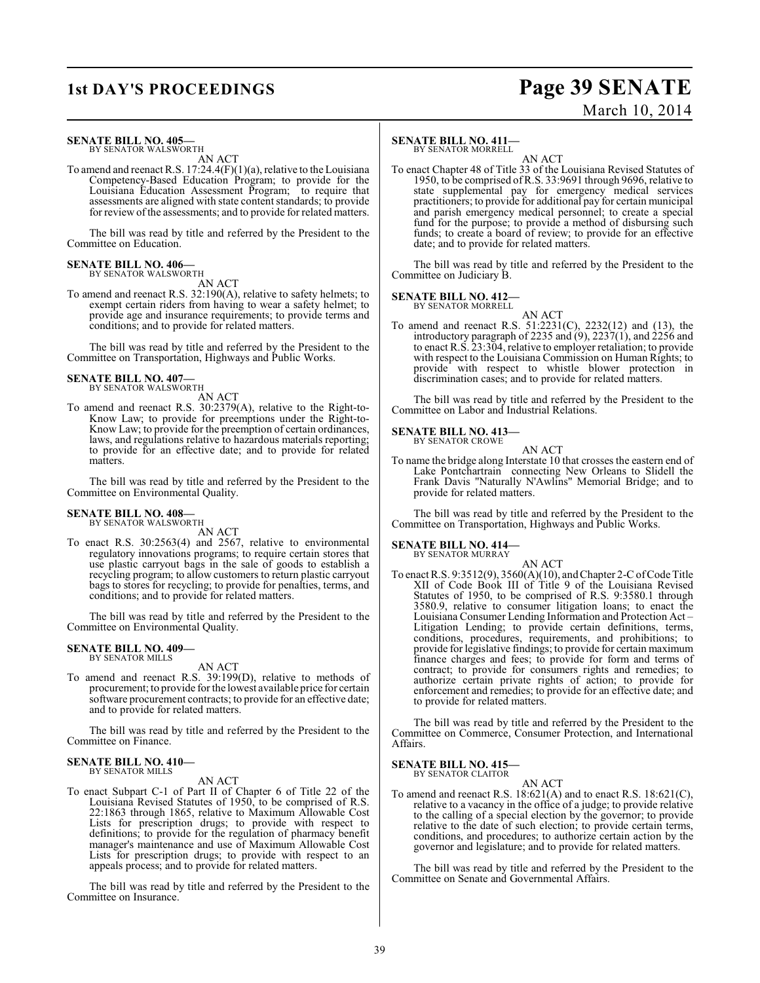# **1st DAY'S PROCEEDINGS Page 39 SENATE** March 10, 2014

## **SENATE BILL NO. 405—** BY SENATOR WALSWORTH

AN ACT

To amend and reenact R.S.  $17:24.4(F)(1)(a)$ , relative to the Louisiana Competency-Based Education Program; to provide for the Louisiana Education Assessment Program; to require that assessments are aligned with state content standards; to provide for review of the assessments; and to provide for related matters.

The bill was read by title and referred by the President to the Committee on Education.

# **SENATE BILL NO. 406—**

BY SENATOR WALSWORTH AN ACT

To amend and reenact R.S. 32:190(A), relative to safety helmets; to exempt certain riders from having to wear a safety helmet; to provide age and insurance requirements; to provide terms and conditions; and to provide for related matters.

The bill was read by title and referred by the President to the Committee on Transportation, Highways and Public Works.

## **SENATE BILL NO. 407—** BY SENATOR WALSWORTH

AN ACT

To amend and reenact R.S. 30:2379(A), relative to the Right-to-Know Law; to provide for preemptions under the Right-to-Know Law; to provide for the preemption of certain ordinances, laws, and regulations relative to hazardous materials reporting; to provide for an effective date; and to provide for related matters.

The bill was read by title and referred by the President to the Committee on Environmental Quality.

## **SENATE BILL NO. 408—** BY SENATOR WALSWORTH

AN ACT

To enact R.S. 30:2563(4) and 2567, relative to environmental regulatory innovations programs; to require certain stores that use plastic carryout bags in the sale of goods to establish a recycling program; to allow customers to return plastic carryout bags to stores for recycling; to provide for penalties, terms, and conditions; and to provide for related matters.

The bill was read by title and referred by the President to the Committee on Environmental Quality.

#### **SENATE BILL NO. 409—** BY SENATOR MILLS

AN ACT

To amend and reenact R.S. 39:199(D), relative to methods of procurement; to provide for the lowest available price for certain software procurement contracts; to provide for an effective date; and to provide for related matters.

The bill was read by title and referred by the President to the Committee on Finance.

#### **SENATE BILL NO. 410—** BY SENATOR MILLS

AN ACT

To enact Subpart C-1 of Part II of Chapter 6 of Title 22 of the Louisiana Revised Statutes of 1950, to be comprised of R.S. 22:1863 through 1865, relative to Maximum Allowable Cost Lists for prescription drugs; to provide with respect to definitions; to provide for the regulation of pharmacy benefit manager's maintenance and use of Maximum Allowable Cost Lists for prescription drugs; to provide with respect to an appeals process; and to provide for related matters.

The bill was read by title and referred by the President to the Committee on Insurance.

# **SENATE BILL NO. 411—**

BY SENATOR MORRELL

AN ACT To enact Chapter 48 of Title 33 of the Louisiana Revised Statutes of 1950, to be comprised ofR.S. 33:9691 through 9696, relative to state supplemental pay for emergency medical services practitioners; to provide for additional pay for certain municipal and parish emergency medical personnel; to create a special fund for the purpose; to provide a method of disbursing such funds; to create a board of review; to provide for an effective date; and to provide for related matters.

The bill was read by title and referred by the President to the Committee on Judiciary B.

# **SENATE BILL NO. 412—**

BY SENATOR MORRELL

AN ACT To amend and reenact R.S. 51:2231(C), 2232(12) and (13), the introductory paragraph of 2235 and (9), 2237(1), and 2256 and to enact R.S. 23:304, relative to employer retaliation; to provide with respect to the Louisiana Commission on Human Rights; to provide with respect to whistle blower protection in discrimination cases; and to provide for related matters.

The bill was read by title and referred by the President to the Committee on Labor and Industrial Relations.

## **SENATE BILL NO. 413—**

BY SENATOR CROWE AN ACT

To name the bridge along Interstate 10 that crosses the eastern end of Lake Pontchartrain connecting New Orleans to Slidell the Frank Davis "Naturally N'Awlins" Memorial Bridge; and to provide for related matters.

The bill was read by title and referred by the President to the Committee on Transportation, Highways and Public Works.

# **SENATE BILL NO. 414—**

BY SENATOR MURRAY

AN ACT To enact R.S. 9:3512(9), 3560(A)(10), and Chapter 2-C of Code Title XII of Code Book III of Title 9 of the Louisiana Revised Statutes of 1950, to be comprised of R.S. 9:3580.1 through 3580.9, relative to consumer litigation loans; to enact the Louisiana Consumer Lending Information and Protection Act – Litigation Lending; to provide certain definitions, terms, conditions, procedures, requirements, and prohibitions; to provide for legislative findings; to provide for certain maximum finance charges and fees; to provide for form and terms of contract; to provide for consumers rights and remedies; to authorize certain private rights of action; to provide for enforcement and remedies; to provide for an effective date; and to provide for related matters.

The bill was read by title and referred by the President to the Committee on Commerce, Consumer Protection, and International Affairs.

#### **SENATE BILL NO. 415—** BY SENATOR CLAITOR

AN ACT

To amend and reenact R.S. 18:621(A) and to enact R.S. 18:621(C), relative to a vacancy in the office of a judge; to provide relative to the calling of a special election by the governor; to provide relative to the date of such election; to provide certain terms, conditions, and procedures; to authorize certain action by the governor and legislature; and to provide for related matters.

The bill was read by title and referred by the President to the Committee on Senate and Governmental Affairs.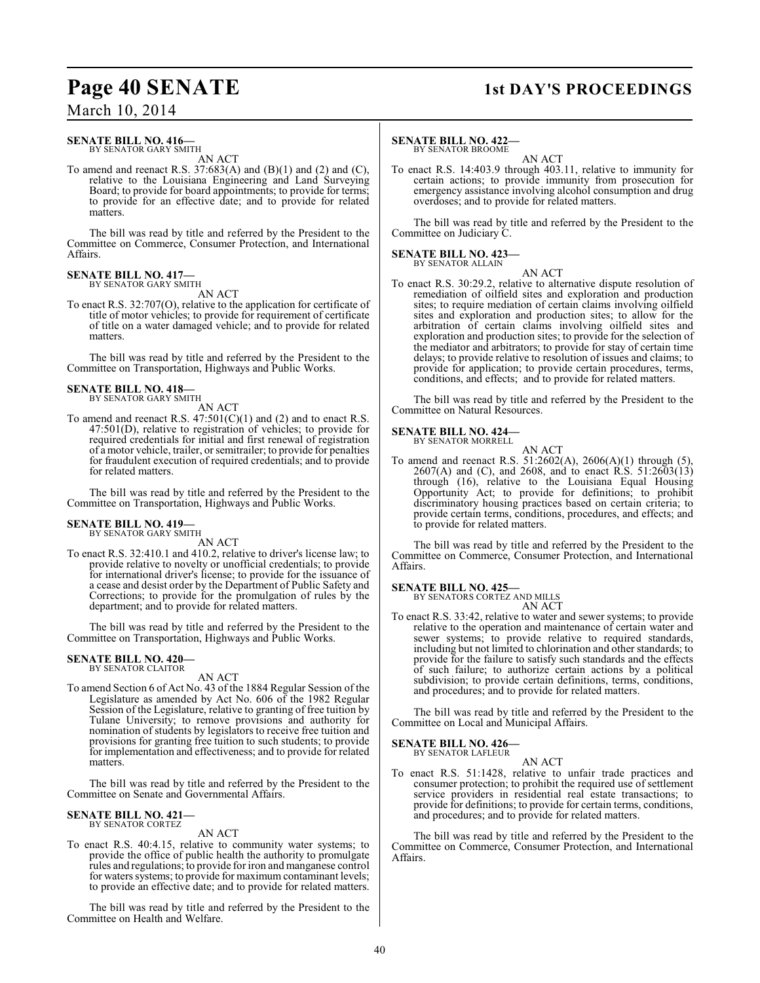# **Page 40 SENATE 1st DAY'S PROCEEDINGS**

# March 10, 2014

## **SENATE BILL NO. 416—** BY SENATOR GARY SMITH

AN ACT

To amend and reenact R.S.  $37:683(A)$  and  $(B)(1)$  and  $(2)$  and  $(C)$ , relative to the Louisiana Engineering and Land Surveying Board; to provide for board appointments; to provide for terms; to provide for an effective date; and to provide for related matters.

The bill was read by title and referred by the President to the Committee on Commerce, Consumer Protection, and International Affairs.

### **SENATE BILL NO. 417—** BY SENATOR GARY SMITH

AN ACT

To enact R.S. 32:707(O), relative to the application for certificate of title of motor vehicles; to provide for requirement of certificate of title on a water damaged vehicle; and to provide for related matters.

The bill was read by title and referred by the President to the Committee on Transportation, Highways and Public Works.

# **SENATE BILL NO. 418—**

BY SENATOR GARY SMITH

AN ACT To amend and reenact R.S.  $47:501(C)(1)$  and (2) and to enact R.S. 47:501(D), relative to registration of vehicles; to provide for required credentials for initial and first renewal of registration of a motor vehicle, trailer, or semitrailer; to provide for penalties for fraudulent execution of required credentials; and to provide for related matters.

The bill was read by title and referred by the President to the Committee on Transportation, Highways and Public Works.

## **SENATE BILL NO. 419—** BY SENATOR GARY SMITH

AN ACT

To enact R.S. 32:410.1 and 410.2, relative to driver's license law; to provide relative to novelty or unofficial credentials; to provide for international driver's license; to provide for the issuance of a cease and desist order by the Department of Public Safety and Corrections; to provide for the promulgation of rules by the department; and to provide for related matters.

The bill was read by title and referred by the President to the Committee on Transportation, Highways and Public Works.

## **SENATE BILL NO. 420—** BY SENATOR CLAITOR

AN ACT

To amend Section 6 of Act No. 43 of the 1884 Regular Session of the Legislature as amended by Act No. 606 of the 1982 Regular Session of the Legislature, relative to granting of free tuition by Tulane University; to remove provisions and authority for nomination of students by legislators to receive free tuition and provisions for granting free tuition to such students; to provide for implementation and effectiveness; and to provide for related matters.

The bill was read by title and referred by the President to the Committee on Senate and Governmental Affairs.

## **SENATE BILL NO. 421—** BY SENATOR CORTEZ

AN ACT

To enact R.S. 40:4.15, relative to community water systems; to provide the office of public health the authority to promulgate rules and regulations; to provide for iron and manganese control for waters systems; to provide for maximum contaminant levels; to provide an effective date; and to provide for related matters.

The bill was read by title and referred by the President to the Committee on Health and Welfare.

## **SENATE BILL NO. 422—** BY SENATOR BROOME

AN ACT

To enact R.S. 14:403.9 through 403.11, relative to immunity for certain actions; to provide immunity from prosecution for emergency assistance involving alcohol consumption and drug overdoses; and to provide for related matters.

The bill was read by title and referred by the President to the Committee on Judiciary C.

#### **SENATE BILL NO. 423—** BY SENATOR ALLAIN

AN ACT

To enact R.S. 30:29.2, relative to alternative dispute resolution of remediation of oilfield sites and exploration and production sites; to require mediation of certain claims involving oilfield sites and exploration and production sites; to allow for the arbitration of certain claims involving oilfield sites and exploration and production sites; to provide for the selection of the mediator and arbitrators; to provide for stay of certain time delays; to provide relative to resolution of issues and claims; to provide for application; to provide certain procedures, terms, conditions, and effects; and to provide for related matters.

The bill was read by title and referred by the President to the Committee on Natural Resources.

#### **SENATE BILL NO. 424—** BY SENATOR MORRELL

AN ACT

To amend and reenact R.S. 51:2602(A), 2606(A)(1) through (5), 2607(A) and (C), and 2608, and to enact  $\hat{R}$ . S. 51:2603(13) through (16), relative to the Louisiana Equal Housing Opportunity Act; to provide for definitions; to prohibit discriminatory housing practices based on certain criteria; to provide certain terms, conditions, procedures, and effects; and to provide for related matters.

The bill was read by title and referred by the President to the Committee on Commerce, Consumer Protection, and International Affairs.

# **SENATE BILL NO. 425—**<br>BY SENATORS CORTEZ AND MILLS

AN ACT

To enact R.S. 33:42, relative to water and sewer systems; to provide relative to the operation and maintenance of certain water and sewer systems; to provide relative to required standards, including but not limited to chlorination and other standards; to provide for the failure to satisfy such standards and the effects of such failure; to authorize certain actions by a political subdivision; to provide certain definitions, terms, conditions, and procedures; and to provide for related matters.

The bill was read by title and referred by the President to the Committee on Local and Municipal Affairs.

## **SENATE BILL NO. 426—** BY SENATOR LAFLEUR

AN ACT

To enact R.S. 51:1428, relative to unfair trade practices and consumer protection; to prohibit the required use of settlement service providers in residential real estate transactions; to provide for definitions; to provide for certain terms, conditions, and procedures; and to provide for related matters.

The bill was read by title and referred by the President to the Committee on Commerce, Consumer Protection, and International Affairs.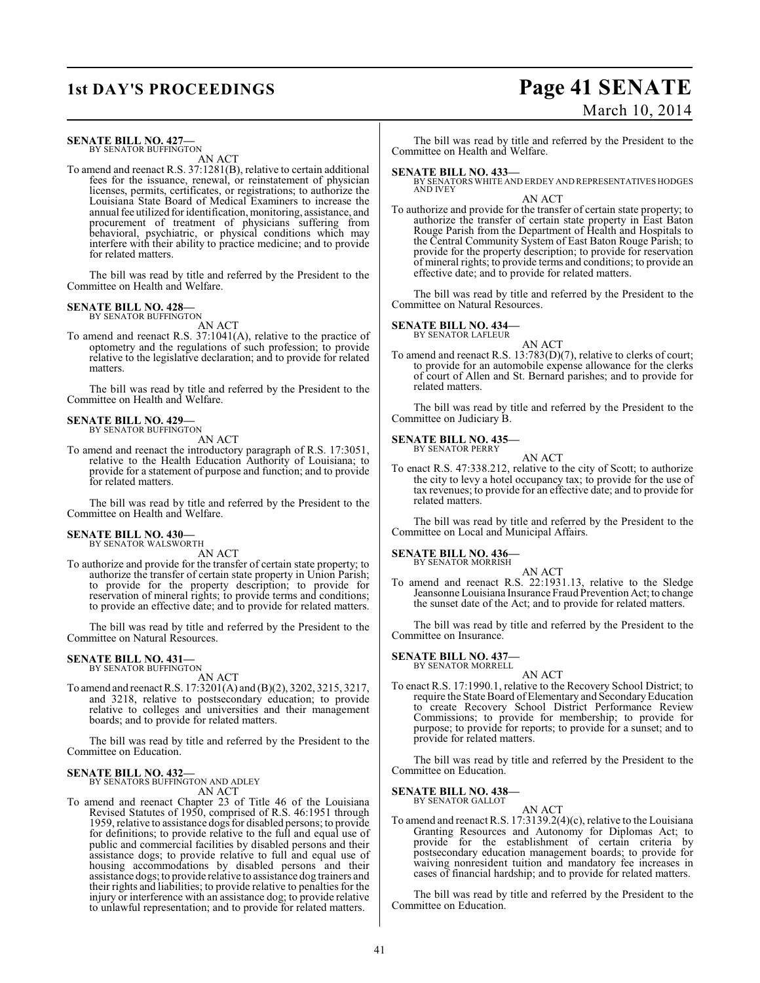# **SENATE BILL NO. 427—**

BY SENATOR BUFFINGTON AN ACT

To amend and reenact R.S. 37:1281(B), relative to certain additional fees for the issuance, renewal, or reinstatement of physician licenses, permits, certificates, or registrations; to authorize the Louisiana State Board of Medical Examiners to increase the annual fee utilized for identification, monitoring, assistance, and procurement of treatment of physicians suffering from behavioral, psychiatric, or physical conditions which may interfere with their ability to practice medicine; and to provide for related matters.

The bill was read by title and referred by the President to the Committee on Health and Welfare.

# **SENATE BILL NO. 428—**<br>BY SENATOR BUFFINGTON

AN ACT

To amend and reenact R.S. 37:1041(A), relative to the practice of optometry and the regulations of such profession; to provide relative to the legislative declaration; and to provide for related matters.

The bill was read by title and referred by the President to the Committee on Health and Welfare.

# **SENATE BILL NO. 429—**<br>BY SENATOR BUFFINGTON

AN ACT

To amend and reenact the introductory paragraph of R.S. 17:3051, relative to the Health Education Authority of Louisiana; to provide for a statement of purpose and function; and to provide for related matters.

The bill was read by title and referred by the President to the Committee on Health and Welfare.

### **SENATE BILL NO. 430—** BY SENATOR WALSWORTH

AN ACT

To authorize and provide for the transfer of certain state property; to authorize the transfer of certain state property in Union Parish; to provide for the property description; to provide for reservation of mineral rights; to provide terms and conditions; to provide an effective date; and to provide for related matters.

The bill was read by title and referred by the President to the Committee on Natural Resources.

## **SENATE BILL NO. 431—** BY SENATOR BUFFINGTON

AN ACT

To amend and reenact R.S. 17:3201(A) and (B)(2), 3202, 3215, 3217, and 3218, relative to postsecondary education; to provide relative to colleges and universities and their management boards; and to provide for related matters.

The bill was read by title and referred by the President to the Committee on Education.

# **SENATE BILL NO. 432—**<br>BY SENATORS BUFFINGTON AND ADLEY

AN ACT

To amend and reenact Chapter 23 of Title 46 of the Louisiana Revised Statutes of 1950, comprised of R.S. 46:1951 through 1959, relative to assistance dogs for disabled persons; to provide for definitions; to provide relative to the full and equal use of public and commercial facilities by disabled persons and their assistance dogs; to provide relative to full and equal use of housing accommodations by disabled persons and their assistance dogs; to provide relative to assistance dog trainers and their rights and liabilities; to provide relative to penalties for the injury or interference with an assistance dog; to provide relative to unlawful representation; and to provide for related matters.

# **1st DAY'S PROCEEDINGS Page 41 SENATE** March 10, 2014

The bill was read by title and referred by the President to the Committee on Health and Welfare.

**SENATE BILL NO. 433—** BY SENATORS WHITE AND ERDEY AND REPRESENTATIVES HODGES AND IVEY

# AN ACT

To authorize and provide for the transfer of certain state property; to authorize the transfer of certain state property in East Baton Rouge Parish from the Department of Health and Hospitals to the Central Community System of East Baton Rouge Parish; to provide for the property description; to provide for reservation of mineral rights; to provide terms and conditions; to provide an effective date; and to provide for related matters.

The bill was read by title and referred by the President to the Committee on Natural Resources.

# **SENATE BILL NO. 434—**

BY SENATOR LAFLEUR

AN ACT To amend and reenact R.S. 13:783(D)(7), relative to clerks of court; to provide for an automobile expense allowance for the clerks of court of Allen and St. Bernard parishes; and to provide for related matters.

The bill was read by title and referred by the President to the Committee on Judiciary B.

#### **SENATE BILL NO. 435—** BY SENATOR PERRY

AN ACT

To enact R.S. 47:338.212, relative to the city of Scott; to authorize the city to levy a hotel occupancy tax; to provide for the use of tax revenues; to provide for an effective date; and to provide for related matters.

The bill was read by title and referred by the President to the Committee on Local and Municipal Affairs.

## **SENATE BILL NO. 436—**

BY SENATOR MORRISH

AN ACT To amend and reenact R.S. 22:1931.13, relative to the Sledge Jeansonne Louisiana Insurance Fraud Prevention Act; to change the sunset date of the Act; and to provide for related matters.

The bill was read by title and referred by the President to the Committee on Insurance.

# **SENATE BILL NO. 437—** BY SENATOR MORRELL

AN ACT

To enact R.S. 17:1990.1, relative to the Recovery School District; to require the State Board of Elementary and Secondary Education to create Recovery School District Performance Review Commissions; to provide for membership; to provide for purpose; to provide for reports; to provide for a sunset; and to provide for related matters.

The bill was read by title and referred by the President to the Committee on Education.

AN ACT

#### **SENATE BILL NO. 438—** BY SENATOR GALLOT

To amend and reenactR.S. 17:3139.2(4)(c), relative to the Louisiana Granting Resources and Autonomy for Diplomas Act; to provide for the establishment of certain criteria by postsecondary education management boards; to provide for waiving nonresident tuition and mandatory fee increases in cases of financial hardship; and to provide for related matters.

The bill was read by title and referred by the President to the Committee on Education.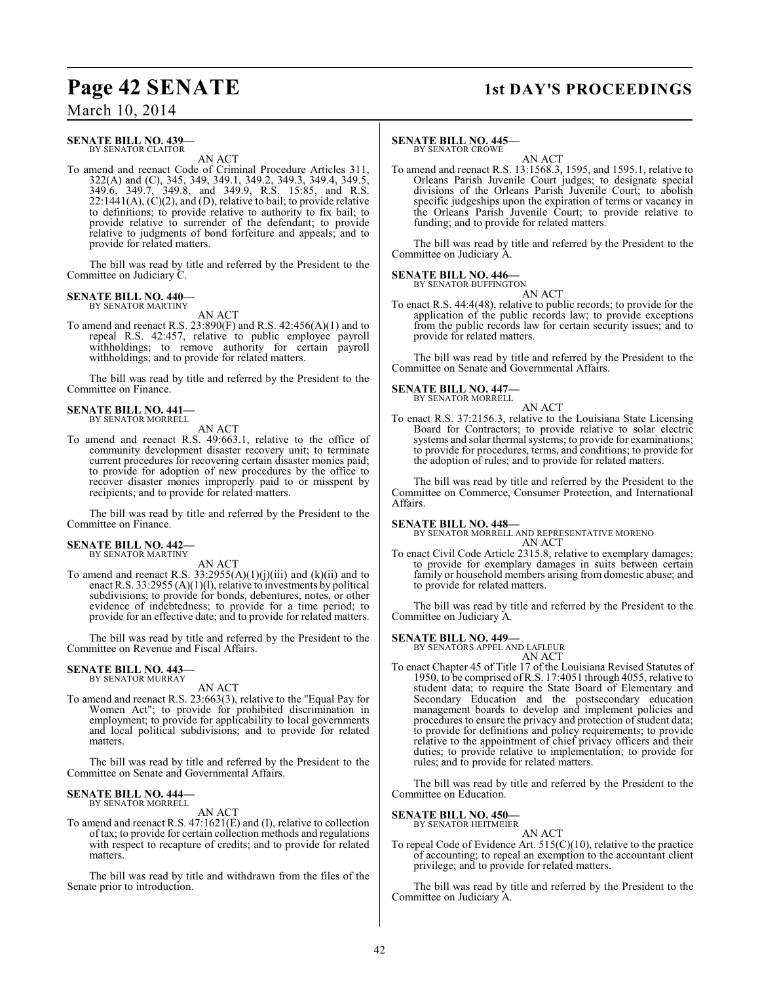# **Page 42 SENATE** 1st DAY'S PROCEEDINGS

March 10, 2014

### **SENATE BILL NO. 439—** BY SENATOR CLAITOR

AN ACT

To amend and reenact Code of Criminal Procedure Articles 311, 322(A) and (C), 345, 349, 349.1, 349.2, 349.3, 349.4, 349.5, 349.6, 349.7, 349.8, and 349.9, R.S. 15:85, and R.S.  $22:1441(A), (C)(2),$  and  $(D)$ , relative to bail; to provide relative to definitions; to provide relative to authority to fix bail; to provide relative to surrender of the defendant; to provide relative to judgments of bond forfeiture and appeals; and to provide for related matters.

The bill was read by title and referred by the President to the Committee on Judiciary C.

#### **SENATE BILL NO. 440—** BY SENATOR MARTINY

AN ACT

To amend and reenact R.S. 23:890(F) and R.S. 42:456(A)(1) and to repeal R.S. 42:457, relative to public employee payroll withholdings; to remove authority for certain payroll withholdings; and to provide for related matters.

The bill was read by title and referred by the President to the Committee on Finance.

## **SENATE BILL NO. 441—** BY SENATOR MORRELL

AN ACT

To amend and reenact R.S. 49:663.1, relative to the office of community development disaster recovery unit; to terminate current procedures for recovering certain disaster monies paid; to provide for adoption of new procedures by the office to recover disaster monies improperly paid to or misspent by recipients; and to provide for related matters.

The bill was read by title and referred by the President to the Committee on Finance.

#### **SENATE BILL NO. 442—** BY SENATOR MARTINY

AN ACT

To amend and reenact R.S.  $33:2955(A)(1)(j)(iii)$  and  $(k)(ii)$  and to enact R.S. 33:2955 (A)(1)(1), relative to investments by political subdivisions; to provide for bonds, debentures, notes, or other evidence of indebtedness; to provide for a time period; to provide for an effective date; and to provide for related matters.

The bill was read by title and referred by the President to the Committee on Revenue and Fiscal Affairs.

# **SENATE BILL NO. 443—** BY SENATOR MURRAY

AN ACT

To amend and reenact R.S. 23:663(3), relative to the "Equal Pay for Women Act"; to provide for prohibited discrimination in employment; to provide for applicability to local governments and local political subdivisions; and to provide for related matters.

The bill was read by title and referred by the President to the Committee on Senate and Governmental Affairs.

# **SENATE BILL NO. 444—** BY SENATOR MORRELL

AN ACT

To amend and reenact R.S. 47:1621(E) and (I), relative to collection of tax; to provide for certain collection methods and regulations with respect to recapture of credits; and to provide for related matters.

The bill was read by title and withdrawn from the files of the Senate prior to introduction.

# **SENATE BILL NO. 445—**

BY SENATOR CROWE

AN ACT To amend and reenact R.S. 13:1568.3, 1595, and 1595.1, relative to Orleans Parish Juvenile Court judges; to designate special divisions of the Orleans Parish Juvenile Court; to abolish specific judgeships upon the expiration of terms or vacancy in the Orleans Parish Juvenile Court; to provide relative to funding; and to provide for related matters.

The bill was read by title and referred by the President to the Committee on Judiciary A.

### **SENATE BILL NO. 446—** BY SENATOR BUFFINGTON

AN ACT

To enact R.S. 44:4(48), relative to public records; to provide for the application of the public records law; to provide exceptions from the public records law for certain security issues; and to provide for related matters.

The bill was read by title and referred by the President to the Committee on Senate and Governmental Affairs.

# **SENATE BILL NO. 447—**

BY SENATOR MORRELL AN ACT

To enact R.S. 37:2156.3, relative to the Louisiana State Licensing Board for Contractors; to provide relative to solar electric systems and solar thermal systems; to provide for examinations; to provide for procedures, terms, and conditions; to provide for the adoption of rules; and to provide for related matters.

The bill was read by title and referred by the President to the Committee on Commerce, Consumer Protection, and International Affairs.

## **SENATE BILL NO. 448—**

BY SENATOR MORRELL AND REPRESENTATIVE MORENO AN ACT

To enact Civil Code Article 2315.8, relative to exemplary damages; to provide for exemplary damages in suits between certain family or household members arising from domestic abuse; and to provide for related matters.

The bill was read by title and referred by the President to the Committee on Judiciary A.

# **SENATE BILL NO. 449—**

BY SENATORS APPEL AND LAFLEUR

- AN ACT
- To enact Chapter 45 of Title 17 of the Louisiana Revised Statutes of 1950, to be comprised ofR.S. 17:4051 through 4055, relative to student data; to require the State Board of Elementary and Secondary Education and the postsecondary education management boards to develop and implement policies and procedures to ensure the privacy and protection of student data; to provide for definitions and policy requirements; to provide relative to the appointment of chief privacy officers and their duties; to provide relative to implementation; to provide for rules; and to provide for related matters.

The bill was read by title and referred by the President to the Committee on Education.

# **SENATE BILL NO. 450—**

BY SENATOR HEITMEIER

AN ACT To repeal Code of Evidence Art. 515(C)(10), relative to the practice of accounting; to repeal an exemption to the accountant client privilege; and to provide for related matters.

The bill was read by title and referred by the President to the Committee on Judiciary A.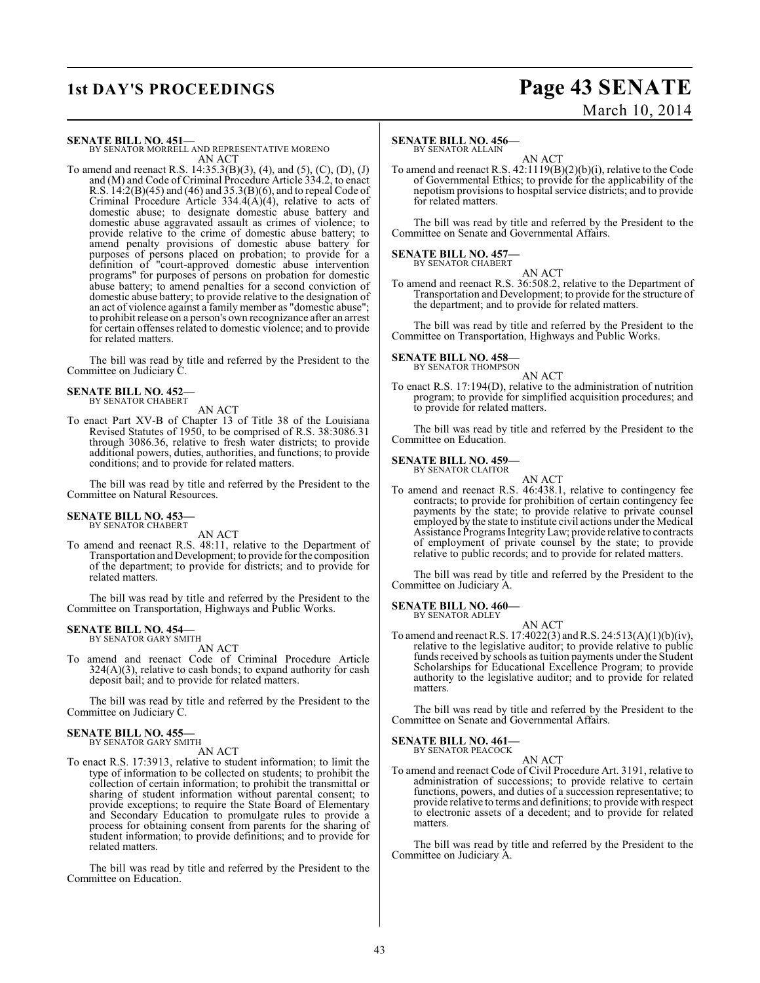# **1st DAY'S PROCEEDINGS Page 43 SENATE** March 10, 2014

**SENATE BILL NO. 451—**

BY SENATOR MORRELL AND REPRESENTATIVE MORENO AN ACT

To amend and reenact R.S. 14:35.3(B)(3), (4), and (5), (C), (D), (J) and (M) and Code of Criminal Procedure Article 334.2, to enact R.S. 14:2(B)(45) and (46) and 35.3(B)(6), and to repeal Code of Criminal Procedure Article  $334.4(A)(4)$ , relative to acts of domestic abuse; to designate domestic abuse battery and domestic abuse aggravated assault as crimes of violence; to provide relative to the crime of domestic abuse battery; to amend penalty provisions of domestic abuse battery for purposes of persons placed on probation; to provide for a definition of "court-approved domestic abuse intervention programs" for purposes of persons on probation for domestic abuse battery; to amend penalties for a second conviction of domestic abuse battery; to provide relative to the designation of an act of violence against a family member as "domestic abuse"; to prohibit release on a person's own recognizance after an arrest for certain offenses related to domestic violence; and to provide for related matters.

The bill was read by title and referred by the President to the Committee on Judiciary C.

#### **SENATE BILL NO. 452—** BY SENATOR CHABERT

AN ACT

To enact Part XV-B of Chapter 13 of Title 38 of the Louisiana Revised Statutes of 1950, to be comprised of R.S. 38:3086.31 through 3086.36, relative to fresh water districts; to provide additional powers, duties, authorities, and functions; to provide conditions; and to provide for related matters.

The bill was read by title and referred by the President to the Committee on Natural Resources.

## **SENATE BILL NO. 453—** BY SENATOR CHABERT

AN ACT

To amend and reenact R.S. 48:11, relative to the Department of Transportation and Development; to provide for the composition of the department; to provide for districts; and to provide for related matters.

The bill was read by title and referred by the President to the Committee on Transportation, Highways and Public Works.

# **SENATE BILL NO. 454—** BY SENATOR GARY SMITH

AN ACT

To amend and reenact Code of Criminal Procedure Article 324(A)(3), relative to cash bonds; to expand authority for cash deposit bail; and to provide for related matters.

The bill was read by title and referred by the President to the Committee on Judiciary C.

## **SENATE BILL NO. 455—** BY SENATOR GARY SMITH

AN ACT

To enact R.S. 17:3913, relative to student information; to limit the type of information to be collected on students; to prohibit the collection of certain information; to prohibit the transmittal or sharing of student information without parental consent; to provide exceptions; to require the State Board of Elementary and Secondary Education to promulgate rules to provide a process for obtaining consent from parents for the sharing of student information; to provide definitions; and to provide for related matters.

The bill was read by title and referred by the President to the Committee on Education.

# **SENATE BILL NO. 456—**

BY SENATOR ALLAIN

AN ACT To amend and reenact R.S. 42:1119(B)(2)(b)(i), relative to the Code of Governmental Ethics; to provide for the applicability of the nepotism provisions to hospital service districts; and to provide for related matters.

The bill was read by title and referred by the President to the Committee on Senate and Governmental Affairs.

#### **SENATE BILL NO. 457—** BY SENATOR CHABERT

AN ACT To amend and reenact R.S. 36:508.2, relative to the Department of Transportation and Development; to provide for the structure of the department; and to provide for related matters.

The bill was read by title and referred by the President to the Committee on Transportation, Highways and Public Works.

## **SENATE BILL NO. 458—** BY SENATOR THOMPSON

AN ACT

To enact R.S. 17:194(D), relative to the administration of nutrition program; to provide for simplified acquisition procedures; and to provide for related matters.

The bill was read by title and referred by the President to the Committee on Education.

#### **SENATE BILL NO. 459—** BY SENATOR CLAITOR

AN ACT To amend and reenact R.S. 46:438.1, relative to contingency fee contracts; to provide for prohibition of certain contingency fee payments by the state; to provide relative to private counsel employed by the state to institute civil actions under the Medical Assistance Programs Integrity Law; provide relative to contracts of employment of private counsel by the state; to provide relative to public records; and to provide for related matters.

The bill was read by title and referred by the President to the Committee on Judiciary A.

## **SENATE BILL NO. 460—** BY SENATOR ADLEY

AN ACT

To amend and reenact R.S. 17:4022(3) and R.S. 24:513(A)(1)(b)(iv), relative to the legislative auditor; to provide relative to public funds received by schools as tuition payments under the Student Scholarships for Educational Excellence Program; to provide authority to the legislative auditor; and to provide for related matters.

The bill was read by title and referred by the President to the Committee on Senate and Governmental Affairs.

# **SENATE BILL NO. 461—** BY SENATOR PEACOCK

AN ACT

To amend and reenact Code of Civil Procedure Art. 3191, relative to administration of successions; to provide relative to certain functions, powers, and duties of a succession representative; to provide relative to terms and definitions; to provide with respect to electronic assets of a decedent; and to provide for related matters.

The bill was read by title and referred by the President to the Committee on Judiciary A.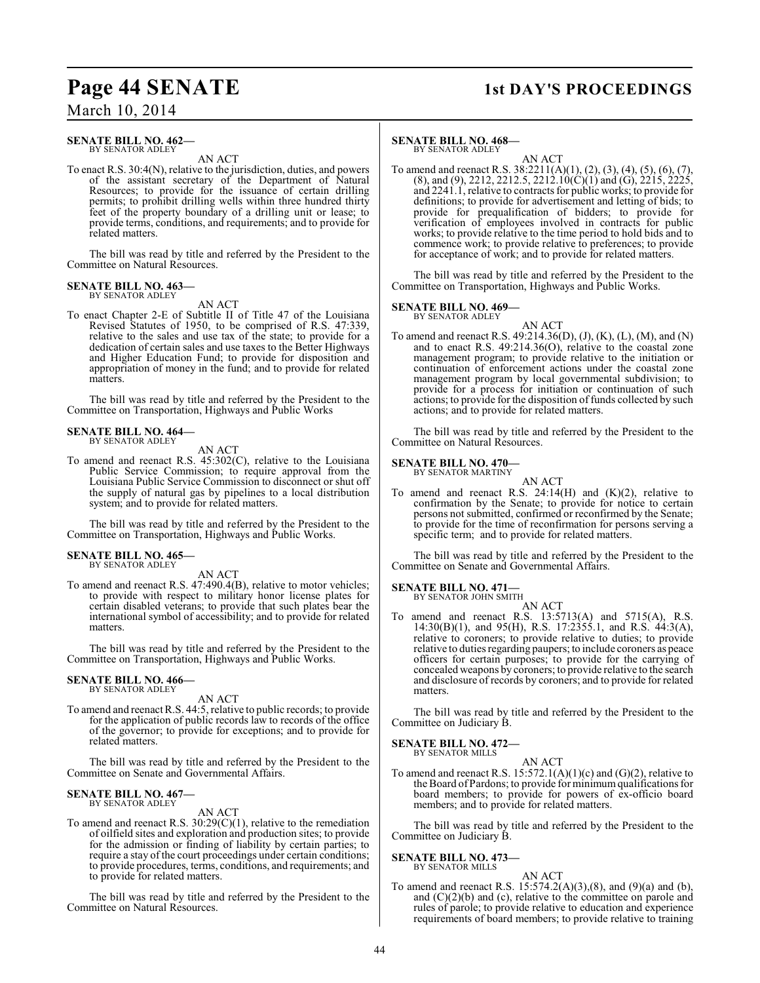# **Page 44 SENATE 1st DAY'S PROCEEDINGS**

# March 10, 2014

### **SENATE BILL NO. 462—** BY SENATOR ADLEY

AN ACT

To enact R.S. 30:4(N), relative to the jurisdiction, duties, and powers of the assistant secretary of the Department of Natural Resources; to provide for the issuance of certain drilling permits; to prohibit drilling wells within three hundred thirty feet of the property boundary of a drilling unit or lease; to provide terms, conditions, and requirements; and to provide for related matters.

The bill was read by title and referred by the President to the Committee on Natural Resources.

## **SENATE BILL NO. 463—** BY SENATOR ADLEY

AN ACT

To enact Chapter 2-E of Subtitle II of Title 47 of the Louisiana Revised Statutes of 1950, to be comprised of R.S. 47:339, relative to the sales and use tax of the state; to provide for a dedication of certain sales and use taxes to the Better Highways and Higher Education Fund; to provide for disposition and appropriation of money in the fund; and to provide for related matters.

The bill was read by title and referred by the President to the Committee on Transportation, Highways and Public Works

## **SENATE BILL NO. 464—** BY SENATOR ADLEY

AN ACT

To amend and reenact R.S. 45:302(C), relative to the Louisiana Public Service Commission; to require approval from the Louisiana Public Service Commission to disconnect or shut off the supply of natural gas by pipelines to a local distribution system; and to provide for related matters.

The bill was read by title and referred by the President to the Committee on Transportation, Highways and Public Works.

# **SENATE BILL NO. 465—**

BY SENATOR ADLEY

AN ACT To amend and reenact R.S. 47:490.4(B), relative to motor vehicles; to provide with respect to military honor license plates for certain disabled veterans; to provide that such plates bear the international symbol of accessibility; and to provide for related matters.

The bill was read by title and referred by the President to the Committee on Transportation, Highways and Public Works.

#### **SENATE BILL NO. 466—** BY SENATOR ADLEY

AN ACT

To amend and reenactR.S. 44:5, relative to public records; to provide for the application of public records law to records of the office of the governor; to provide for exceptions; and to provide for related matters.

The bill was read by title and referred by the President to the Committee on Senate and Governmental Affairs.

# **SENATE BILL NO. 467—** BY SENATOR ADLEY

AN ACT

To amend and reenact R.S. 30:29(C)(1), relative to the remediation of oilfield sites and exploration and production sites; to provide for the admission or finding of liability by certain parties; to require a stay of the court proceedings under certain conditions; to provide procedures, terms, conditions, and requirements; and to provide for related matters.

The bill was read by title and referred by the President to the Committee on Natural Resources.

# **SENATE BILL NO. 468—**

BY SENATOR ADLEY AN ACT

To amend and reenact R.S. 38:2211(A)(1), (2), (3), (4), (5), (6), (7),  $(8)$ , and  $(9)$ , 2212, 2212.5, 2212.10 $(C)(1)$  and  $(G)$ , 2215, 2225, and 2241.1, relative to contracts for public works; to provide for definitions; to provide for advertisement and letting of bids; to provide for prequalification of bidders; to provide for verification of employees involved in contracts for public works; to provide relative to the time period to hold bids and to commence work; to provide relative to preferences; to provide for acceptance of work; and to provide for related matters.

The bill was read by title and referred by the President to the Committee on Transportation, Highways and Public Works.

# **SENATE BILL NO. 469—**

BY SENATOR ADLEY AN ACT

To amend and reenact R.S. 49:214.36(D), (J), (K), (L), (M), and (N) and to enact R.S. 49:214.36(O), relative to the coastal zone management program; to provide relative to the initiation or continuation of enforcement actions under the coastal zone management program by local governmental subdivision; to provide for a process for initiation or continuation of such actions; to provide for the disposition of funds collected by such actions; and to provide for related matters.

The bill was read by title and referred by the President to the Committee on Natural Resources.

#### **SENATE BILL NO. 470—** BY SENATOR MARTINY

AN ACT To amend and reenact R.S.  $24:14(H)$  and  $(K)(2)$ , relative to confirmation by the Senate; to provide for notice to certain persons not submitted, confirmed or reconfirmed by the Senate; to provide for the time of reconfirmation for persons serving a specific term; and to provide for related matters.

The bill was read by title and referred by the President to the Committee on Senate and Governmental Affairs.

#### **SENATE BILL NO. 471—** BY SENATOR JOHN SMITH

AN ACT

To amend and reenact R.S. 13:5713(A) and 5715(A), R.S. 14:30(B)(1), and 95(H), R.S. 17:2355.1, and R.S. 44:3(A), relative to coroners; to provide relative to duties; to provide relative to duties regarding paupers; to include coroners as peace officers for certain purposes; to provide for the carrying of concealed weapons by coroners; to provide relative to the search and disclosure of records by coroners; and to provide for related matters.

The bill was read by title and referred by the President to the Committee on Judiciary B.

### **SENATE BILL NO. 472—** BY SENATOR MILLS

AN ACT To amend and reenact R.S.  $15:572.1(A)(1)(c)$  and  $(G)(2)$ , relative to the Board of Pardons; to provide for minimum qualifications for board members; to provide for powers of ex-officio board members; and to provide for related matters.

The bill was read by title and referred by the President to the Committee on Judiciary B.

# **SENATE BILL NO. 473—**

BY SENATOR MILLS

AN ACT To amend and reenact R.S. 15:574.2(A)(3),(8), and (9)(a) and (b), and  $(C)(2)(b)$  and  $(c)$ , relative to the committee on parole and rules of parole; to provide relative to education and experience requirements of board members; to provide relative to training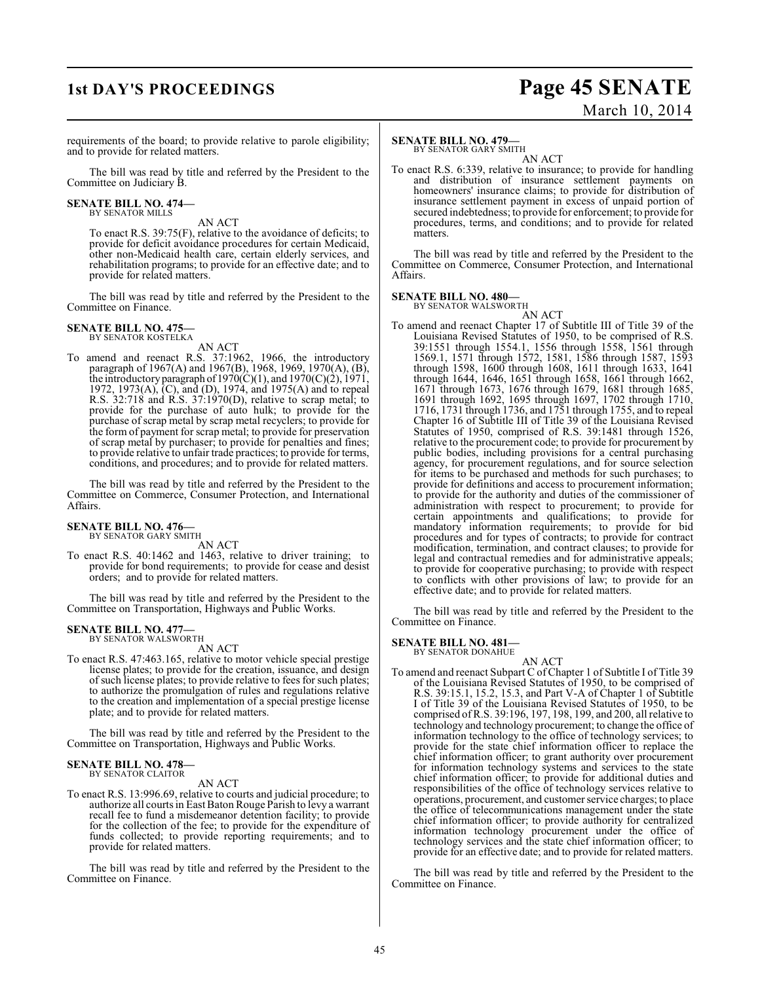# **1st DAY'S PROCEEDINGS Page 45 SENATE** March 10, 2014

requirements of the board; to provide relative to parole eligibility; and to provide for related matters.

The bill was read by title and referred by the President to the Committee on Judiciary B.

# **SENATE BILL NO. 474—** BY SENATOR MILLS

AN ACT

To enact R.S. 39:75(F), relative to the avoidance of deficits; to provide for deficit avoidance procedures for certain Medicaid, other non-Medicaid health care, certain elderly services, and rehabilitation programs; to provide for an effective date; and to provide for related matters.

The bill was read by title and referred by the President to the Committee on Finance.

### **SENATE BILL NO. 475—** BY SENATOR KOSTELKA

AN ACT

To amend and reenact R.S. 37:1962, 1966, the introductory paragraph of 1967(A) and 1967(B), 1968, 1969, 1970(A), (B), the introductory paragraph of  $1970(C)(1)$ , and  $1970(C)(2)$ ,  $1971$ , 1972, 1973(A), (C), and (D), 1974, and 1975(A) and to repeal R.S. 32:718 and R.S. 37:1970(D), relative to scrap metal; to provide for the purchase of auto hulk; to provide for the purchase of scrap metal by scrap metal recyclers; to provide for the form of payment for scrap metal; to provide for preservation of scrap metal by purchaser; to provide for penalties and fines; to provide relative to unfair trade practices; to provide for terms, conditions, and procedures; and to provide for related matters.

The bill was read by title and referred by the President to the Committee on Commerce, Consumer Protection, and International Affairs.

#### **SENATE BILL NO. 476—** BY SENATOR GARY SMITH

AN ACT

To enact R.S. 40:1462 and 1463, relative to driver training; to provide for bond requirements; to provide for cease and desist orders; and to provide for related matters.

The bill was read by title and referred by the President to the Committee on Transportation, Highways and Public Works.

# **SENATE BILL NO. 477—**<br>BY SENATOR WALSWORTH

AN ACT

To enact R.S. 47:463.165, relative to motor vehicle special prestige license plates; to provide for the creation, issuance, and design of such license plates; to provide relative to fees for such plates; to authorize the promulgation of rules and regulations relative to the creation and implementation of a special prestige license plate; and to provide for related matters.

The bill was read by title and referred by the President to the Committee on Transportation, Highways and Public Works.

#### **SENATE BILL NO. 478—** BY SENATOR CLAITOR

## AN ACT

To enact R.S. 13:996.69, relative to courts and judicial procedure; to authorize all courts in East Baton Rouge Parish to levy a warrant recall fee to fund a misdemeanor detention facility; to provide for the collection of the fee; to provide for the expenditure of funds collected; to provide reporting requirements; and to provide for related matters.

The bill was read by title and referred by the President to the Committee on Finance.

# **SENATE BILL NO. 479—**

BY SENATOR GARY SMITH

AN ACT To enact R.S. 6:339, relative to insurance; to provide for handling and distribution of insurance settlement payments on homeowners' insurance claims; to provide for distribution of insurance settlement payment in excess of unpaid portion of secured indebtedness; to provide for enforcement; to provide for procedures, terms, and conditions; and to provide for related matters.

The bill was read by title and referred by the President to the Committee on Commerce, Consumer Protection, and International Affairs.

### **SENATE BILL NO. 480—** BY SENATOR WALSWORTH

AN ACT To amend and reenact Chapter 17 of Subtitle III of Title 39 of the Louisiana Revised Statutes of 1950, to be comprised of R.S. 39:1551 through 1554.1, 1556 through 1558, 1561 through 1569.1, 1571 through 1572, 1581, 1586 through 1587, 1593 through 1598, 1600 through 1608, 1611 through 1633, 1641 through 1644, 1646, 1651 through 1658, 1661 through 1662, 1671 through 1673, 1676 through 1679, 1681 through 1685, 1691 through 1692, 1695 through 1697, 1702 through 1710, 1716, 1731 through 1736, and 1751 through 1755, and to repeal Chapter 16 of Subtitle III of Title 39 of the Louisiana Revised Statutes of 1950, comprised of R.S. 39:1481 through 1526, relative to the procurement code; to provide for procurement by public bodies, including provisions for a central purchasing agency, for procurement regulations, and for source selection for items to be purchased and methods for such purchases; to provide for definitions and access to procurement information; to provide for the authority and duties of the commissioner of administration with respect to procurement; to provide for certain appointments and qualifications; to provide for mandatory information requirements; to provide for bid procedures and for types of contracts; to provide for contract modification, termination, and contract clauses; to provide for legal and contractual remedies and for administrative appeals; to provide for cooperative purchasing; to provide with respect to conflicts with other provisions of law; to provide for an effective date; and to provide for related matters.

The bill was read by title and referred by the President to the Committee on Finance.

# **SENATE BILL NO. 481—** BY SENATOR DONAHUE

AN ACT

To amend and reenact Subpart C of Chapter 1 of Subtitle I of Title 39 of the Louisiana Revised Statutes of 1950, to be comprised of R.S. 39:15.1, 15.2, 15.3, and Part V-A of Chapter 1 of Subtitle I of Title 39 of the Louisiana Revised Statutes of 1950, to be comprised of R.S. 39:196, 197, 198, 199, and 200, all relative to technology and technology procurement; to change the office of information technology to the office of technology services; to provide for the state chief information officer to replace the chief information officer; to grant authority over procurement for information technology systems and services to the state chief information officer; to provide for additional duties and responsibilities of the office of technology services relative to operations, procurement, and customer service charges; to place the office of telecommunications management under the state chief information officer; to provide authority for centralized information technology procurement under the office of technology services and the state chief information officer; to provide for an effective date; and to provide for related matters.

The bill was read by title and referred by the President to the Committee on Finance.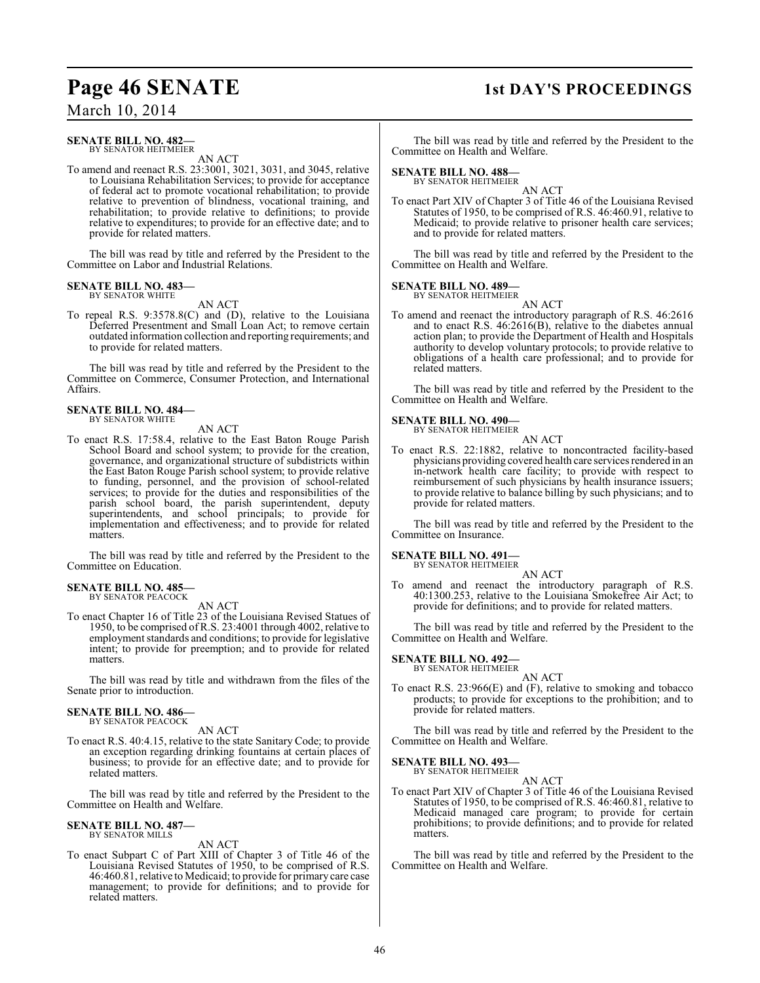# March 10, 2014

### **SENATE BILL NO. 482—** BY SENATOR HEITMEIER

AN ACT

To amend and reenact R.S. 23:3001, 3021, 3031, and 3045, relative to Louisiana Rehabilitation Services; to provide for acceptance of federal act to promote vocational rehabilitation; to provide relative to prevention of blindness, vocational training, and rehabilitation; to provide relative to definitions; to provide relative to expenditures; to provide for an effective date; and to provide for related matters.

The bill was read by title and referred by the President to the Committee on Labor and Industrial Relations.

## **SENATE BILL NO. 483—** BY SENATOR WHITE

## AN ACT

To repeal R.S. 9:3578.8(C) and (D), relative to the Louisiana Deferred Presentment and Small Loan Act; to remove certain outdated information collection and reporting requirements; and to provide for related matters.

The bill was read by title and referred by the President to the Committee on Commerce, Consumer Protection, and International Affairs.

## **SENATE BILL NO. 484—** BY SENATOR WHITE

## AN ACT

To enact R.S. 17:58.4, relative to the East Baton Rouge Parish School Board and school system; to provide for the creation, governance, and organizational structure of subdistricts within the East Baton Rouge Parish school system; to provide relative to funding, personnel, and the provision of school-related services; to provide for the duties and responsibilities of the parish school board, the parish superintendent, deputy superintendents, and school principals; to provide for implementation and effectiveness; and to provide for related matters.

The bill was read by title and referred by the President to the Committee on Education.

#### **SENATE BILL NO. 485—** BY SENATOR PEACOCK

AN ACT

To enact Chapter 16 of Title 23 of the Louisiana Revised Statues of 1950, to be comprised of R.S. 23:4001 through 4002, relative to employment standards and conditions; to provide for legislative intent; to provide for preemption; and to provide for related matters.

The bill was read by title and withdrawn from the files of the Senate prior to introduction.

## **SENATE BILL NO. 486—** BY SENATOR PEACOCK

AN ACT

To enact R.S. 40:4.15, relative to the state Sanitary Code; to provide an exception regarding drinking fountains at certain places of business; to provide for an effective date; and to provide for related matters.

The bill was read by title and referred by the President to the Committee on Health and Welfare.

## **SENATE BILL NO. 487—** BY SENATOR MILLS

AN ACT

To enact Subpart C of Part XIII of Chapter 3 of Title 46 of the Louisiana Revised Statutes of 1950, to be comprised of R.S. 46:460.81, relative to Medicaid; to provide for primary care case management; to provide for definitions; and to provide for related matters.

# **Page 46 SENATE 1st DAY'S PROCEEDINGS**

The bill was read by title and referred by the President to the Committee on Health and Welfare.

# **SENATE BILL NO. 488—** BY SENATOR HEITMEIER

AN ACT To enact Part XIV of Chapter 3 of Title 46 of the Louisiana Revised Statutes of 1950, to be comprised of R.S. 46:460.91, relative to Medicaid; to provide relative to prisoner health care services; and to provide for related matters.

The bill was read by title and referred by the President to the Committee on Health and Welfare.

## **SENATE BILL NO. 489—** BY SENATOR HEITMEIER

AN ACT

To amend and reenact the introductory paragraph of R.S. 46:2616 and to enact R.S. 46:2616(B), relative to the diabetes annual action plan; to provide the Department of Health and Hospitals authority to develop voluntary protocols; to provide relative to obligations of a health care professional; and to provide for related matters.

The bill was read by title and referred by the President to the Committee on Health and Welfare.

# **SENATE BILL NO. 490—** BY SENATOR HEITMEIER

To enact R.S. 22:1882, relative to noncontracted facility-based physicians providing covered health care services rendered in an in-network health care facility; to provide with respect to reimbursement of such physicians by health insurance issuers; to provide relative to balance billing by such physicians; and to provide for related matters.

AN ACT

The bill was read by title and referred by the President to the Committee on Insurance.

**SENATE BILL NO. 491—** BY SENATOR HEITMEIER

AN ACT

To amend and reenact the introductory paragraph of R.S. 40:1300.253, relative to the Louisiana Smokefree Air Act; to provide for definitions; and to provide for related matters.

The bill was read by title and referred by the President to the Committee on Health and Welfare.

**SENATE BILL NO. 492—**

BY SENATOR HEITMEIER AN ACT

To enact R.S. 23:966(E) and (F), relative to smoking and tobacco products; to provide for exceptions to the prohibition; and to provide for related matters.

The bill was read by title and referred by the President to the Committee on Health and Welfare.

**SENATE BILL NO. 493—**

BY SENATOR HEITMEIER AN ACT

To enact Part XIV of Chapter 3 of Title 46 of the Louisiana Revised Statutes of 1950, to be comprised of R.S. 46:460.81, relative to Medicaid managed care program; to provide for certain prohibitions; to provide definitions; and to provide for related matters.

The bill was read by title and referred by the President to the Committee on Health and Welfare.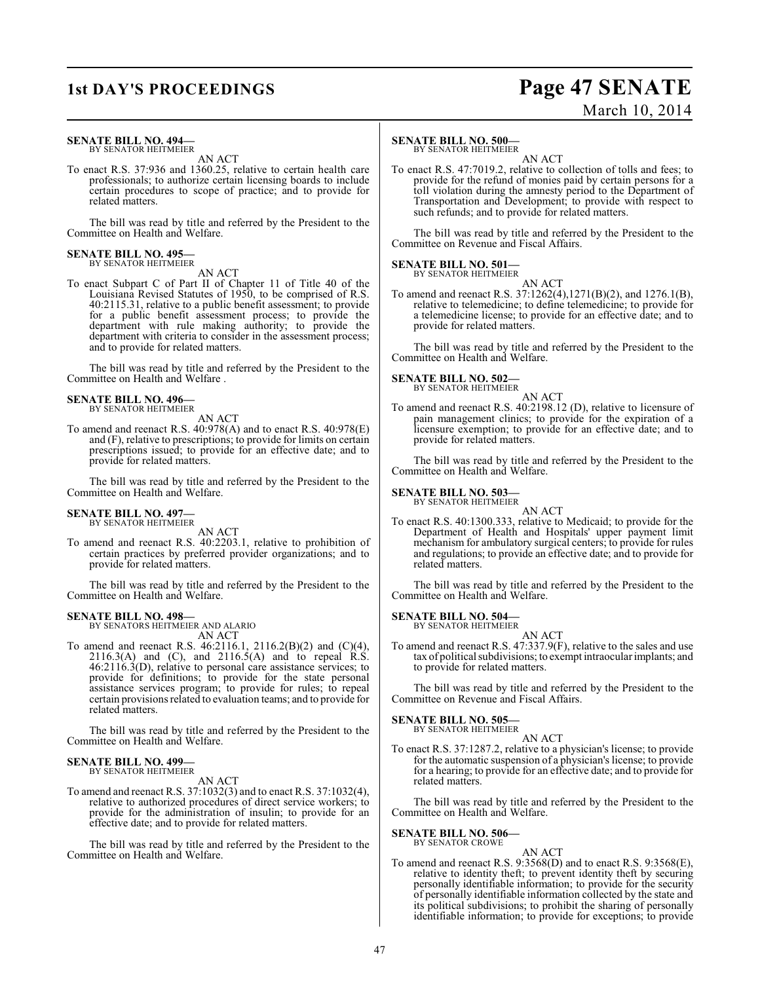# **1st DAY'S PROCEEDINGS Page 47 SENATE** March 10, 2014

### **SENATE BILL NO. 494—** BY SENATOR HEITMEIER

AN ACT

To enact R.S. 37:936 and 1360.25, relative to certain health care professionals; to authorize certain licensing boards to include certain procedures to scope of practice; and to provide for related matters.

The bill was read by title and referred by the President to the Committee on Health and Welfare.

# **SENATE BILL NO. 495—** BY SENATOR HEITMEIER

AN ACT

To enact Subpart C of Part II of Chapter 11 of Title 40 of the Louisiana Revised Statutes of 1950, to be comprised of R.S. 40:2115.31, relative to a public benefit assessment; to provide for a public benefit assessment process; to provide the department with rule making authority; to provide the department with criteria to consider in the assessment process; and to provide for related matters.

The bill was read by title and referred by the President to the Committee on Health and Welfare .

## **SENATE BILL NO. 496—** BY SENATOR HEITMEIER

AN ACT

To amend and reenact R.S. 40:978(A) and to enact R.S. 40:978(E) and (F), relative to prescriptions; to provide for limits on certain prescriptions issued; to provide for an effective date; and to provide for related matters.

The bill was read by title and referred by the President to the Committee on Health and Welfare.

#### **SENATE BILL NO. 497—** BY SENATOR HEITMEIER

AN ACT

To amend and reenact R.S. 40:2203.1, relative to prohibition of certain practices by preferred provider organizations; and to provide for related matters.

The bill was read by title and referred by the President to the Committee on Health and Welfare.

## **SENATE BILL NO. 498—**

BY SENATORS HEITMEIER AND ALARIO AN ACT

To amend and reenact R.S. 46:2116.1, 2116.2(B)(2) and (C)(4),  $2116.3(A)$  and  $(C)$ , and  $2116.5(A)$  and to repeal R.S. 46:2116.3(D), relative to personal care assistance services; to provide for definitions; to provide for the state personal assistance services program; to provide for rules; to repeal certain provisions related to evaluation teams; and to provide for related matters.

The bill was read by title and referred by the President to the Committee on Health and Welfare.

## **SENATE BILL NO. 499—** BY SENATOR HEITMEIER

AN ACT

To amend and reenact R.S. 37:1032(3) and to enact R.S. 37:1032(4), relative to authorized procedures of direct service workers; to provide for the administration of insulin; to provide for an effective date; and to provide for related matters.

The bill was read by title and referred by the President to the Committee on Health and Welfare.

# **SENATE BILL NO. 500—**

BY SENATOR HEITMEIER

AN ACT To enact R.S. 47:7019.2, relative to collection of tolls and fees; to provide for the refund of monies paid by certain persons for a toll violation during the amnesty period to the Department of Transportation and Development; to provide with respect to such refunds; and to provide for related matters.

The bill was read by title and referred by the President to the Committee on Revenue and Fiscal Affairs.

## **SENATE BILL NO. 501—**

BY SENATOR HEITMEIER AN ACT

To amend and reenact R.S. 37:1262(4),1271(B)(2), and 1276.1(B), relative to telemedicine; to define telemedicine; to provide for a telemedicine license; to provide for an effective date; and to provide for related matters.

The bill was read by title and referred by the President to the Committee on Health and Welfare.

## **SENATE BILL NO. 502—**

BY SENATOR HEITMEIER

AN ACT To amend and reenact R.S. 40:2198.12 (D), relative to licensure of pain management clinics; to provide for the expiration of a licensure exemption; to provide for an effective date; and to provide for related matters.

The bill was read by title and referred by the President to the Committee on Health and Welfare.

# **SENATE BILL NO. 503—** BY SENATOR HEITMEIER

AN ACT

To enact R.S. 40:1300.333, relative to Medicaid; to provide for the Department of Health and Hospitals' upper payment limit mechanism for ambulatory surgical centers; to provide for rules and regulations; to provide an effective date; and to provide for related matters.

The bill was read by title and referred by the President to the Committee on Health and Welfare.

**SENATE BILL NO. 504—** BY SENATOR HEITMEIER

AN ACT

To amend and reenact R.S. 47:337.9(F), relative to the sales and use tax of political subdivisions; to exempt intraocular implants; and to provide for related matters.

The bill was read by title and referred by the President to the Committee on Revenue and Fiscal Affairs.

# **SENATE BILL NO. 505—**

BY SENATOR HEITMEIER AN ACT

To enact R.S. 37:1287.2, relative to a physician's license; to provide for the automatic suspension of a physician's license; to provide for a hearing; to provide for an effective date; and to provide for related matters.

The bill was read by title and referred by the President to the Committee on Health and Welfare.

#### **SENATE BILL NO. 506—** BY SENATOR CROWE

AN ACT To amend and reenact R.S. 9:3568(D) and to enact R.S. 9:3568(E), relative to identity theft; to prevent identity theft by securing personally identifiable information; to provide for the security of personally identifiable information collected by the state and its political subdivisions; to prohibit the sharing of personally identifiable information; to provide for exceptions; to provide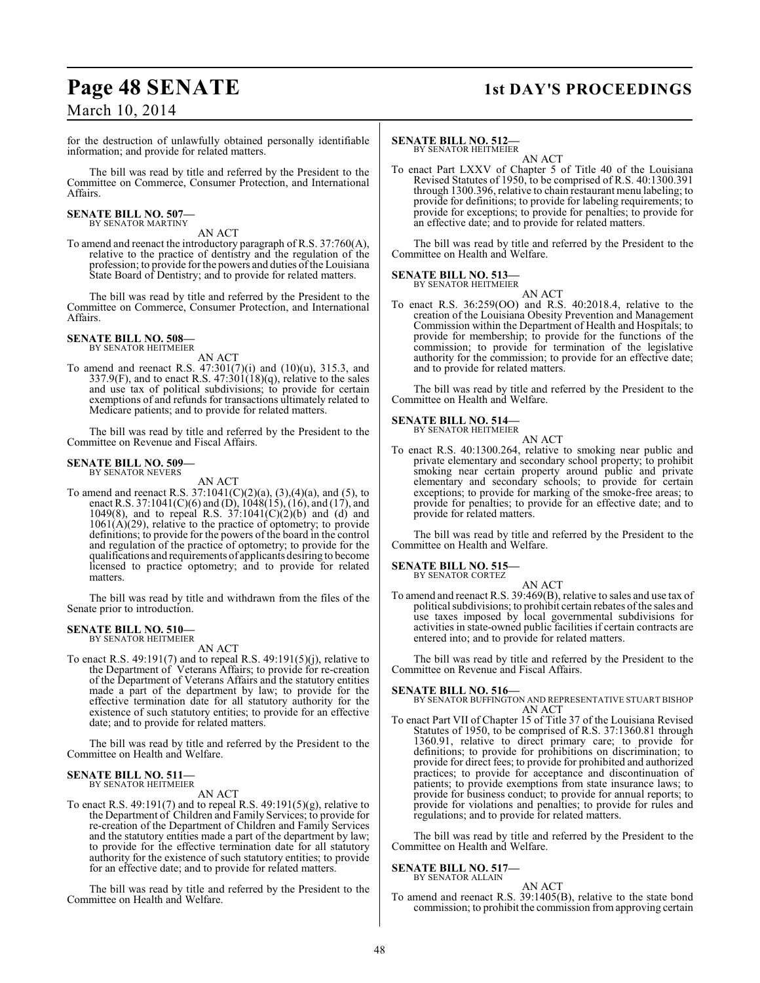# March 10, 2014

# **Page 48 SENATE 1st DAY'S PROCEEDINGS**

for the destruction of unlawfully obtained personally identifiable information; and provide for related matters.

The bill was read by title and referred by the President to the Committee on Commerce, Consumer Protection, and International Affairs.

## **SENATE BILL NO. 507—** BY SENATOR MARTINY

AN ACT

To amend and reenact the introductory paragraph of R.S. 37:760(A), relative to the practice of dentistry and the regulation of the profession; to provide for the powers and duties of the Louisiana State Board of Dentistry; and to provide for related matters.

The bill was read by title and referred by the President to the Committee on Commerce, Consumer Protection, and International Affairs.

# **SENATE BILL NO. 508—** BY SENATOR HEITMEIER

AN ACT

To amend and reenact R.S.  $47:301(7)(i)$  and  $(10)(u)$ , 315.3, and 337.9(F), and to enact R.S.  $47:301(18)(q)$ , relative to the sales and use tax of political subdivisions; to provide for certain exemptions of and refunds for transactions ultimately related to Medicare patients; and to provide for related matters.

The bill was read by title and referred by the President to the Committee on Revenue and Fiscal Affairs.

### **SENATE BILL NO. 509—** BY SENATOR NEVERS

AN ACT

To amend and reenact R.S.  $37:1041(C)(2)(a)$ ,  $(3),(4)(a)$ , and  $(5)$ , to enact R.S. 37:1041(C)(6) and (D), 1048(15), (16), and (17), and 1049(8), and to repeal R.S.  $37:1041(C)(2)(b)$  and (d) and  $1061(\vec{A})(29)$ , relative to the practice of optometry; to provide definitions; to provide for the powers of the board in the control and regulation of the practice of optometry; to provide for the qualifications and requirements of applicants desiring to become licensed to practice optometry; and to provide for related matters.

The bill was read by title and withdrawn from the files of the Senate prior to introduction.

# **SENATE BILL NO. 510—** BY SENATOR HEITMEIER

AN ACT

To enact R.S. 49:191(7) and to repeal R.S. 49:191(5)(j), relative to the Department of Veterans Affairs; to provide for re-creation of the Department of Veterans Affairs and the statutory entities made a part of the department by law; to provide for the effective termination date for all statutory authority for the existence of such statutory entities; to provide for an effective date; and to provide for related matters.

The bill was read by title and referred by the President to the Committee on Health and Welfare.

#### **SENATE BILL NO. 511** BY SENATOR HEITMEIER

AN ACT

To enact R.S. 49:191(7) and to repeal R.S. 49:191(5)(g), relative to the Department of Children and Family Services; to provide for re-creation of the Department of Children and Family Services and the statutory entities made a part of the department by law; to provide for the effective termination date for all statutory authority for the existence of such statutory entities; to provide for an effective date; and to provide for related matters.

The bill was read by title and referred by the President to the Committee on Health and Welfare.

# **SENATE BILL NO. 512—**

BY SENATOR HEITMEIER AN ACT

To enact Part LXXV of Chapter 5 of Title 40 of the Louisiana Revised Statutes of 1950, to be comprised of R.S. 40:1300.391 through 1300.396, relative to chain restaurant menu labeling; to provide for definitions; to provide for labeling requirements; to provide for exceptions; to provide for penalties; to provide for an effective date; and to provide for related matters.

The bill was read by title and referred by the President to the Committee on Health and Welfare.

### **SENATE BILL NO. 513—** BY SENATOR HEITMEIER

AN ACT

To enact R.S. 36:259(OO) and R.S. 40:2018.4, relative to the creation of the Louisiana Obesity Prevention and Management Commission within the Department of Health and Hospitals; to provide for membership; to provide for the functions of the commission; to provide for termination of the legislative authority for the commission; to provide for an effective date; and to provide for related matters.

The bill was read by title and referred by the President to the Committee on Health and Welfare.

# **SENATE BILL NO. 514—** BY SENATOR HEITMEIER

To enact R.S. 40:1300.264, relative to smoking near public and private elementary and secondary school property; to prohibit smoking near certain property around public and private elementary and secondary schools; to provide for certain exceptions; to provide for marking of the smoke-free areas; to provide for penalties; to provide for an effective date; and to provide for related matters.

AN ACT

The bill was read by title and referred by the President to the Committee on Health and Welfare.

# **SENATE BILL NO. 515—**

BY SENATOR CORTEZ AN ACT

To amend and reenact R.S. 39:469(B), relative to sales and use tax of political subdivisions; to prohibit certain rebates of the sales and use taxes imposed by local governmental subdivisions for activities in state-owned public facilities if certain contracts are entered into; and to provide for related matters.

The bill was read by title and referred by the President to the Committee on Revenue and Fiscal Affairs.

# **SENATE BILL NO. 516—**

BY SENATOR BUFFINGTON AND REPRESENTATIVE STUART BISHOP AN ACT

To enact Part VII of Chapter 15 of Title 37 of the Louisiana Revised Statutes of 1950, to be comprised of R.S. 37:1360.81 through 1360.91, relative to direct primary care; to provide for definitions; to provide for prohibitions on discrimination; to provide for direct fees; to provide for prohibited and authorized practices; to provide for acceptance and discontinuation of patients; to provide exemptions from state insurance laws; to provide for business conduct; to provide for annual reports; to provide for violations and penalties; to provide for rules and regulations; and to provide for related matters.

The bill was read by title and referred by the President to the Committee on Health and Welfare.

### **SENATE BILL NO. 517—** BY SENATOR ALLAIN

AN ACT

To amend and reenact R.S. 39:1405(B), relative to the state bond commission; to prohibit the commission from approving certain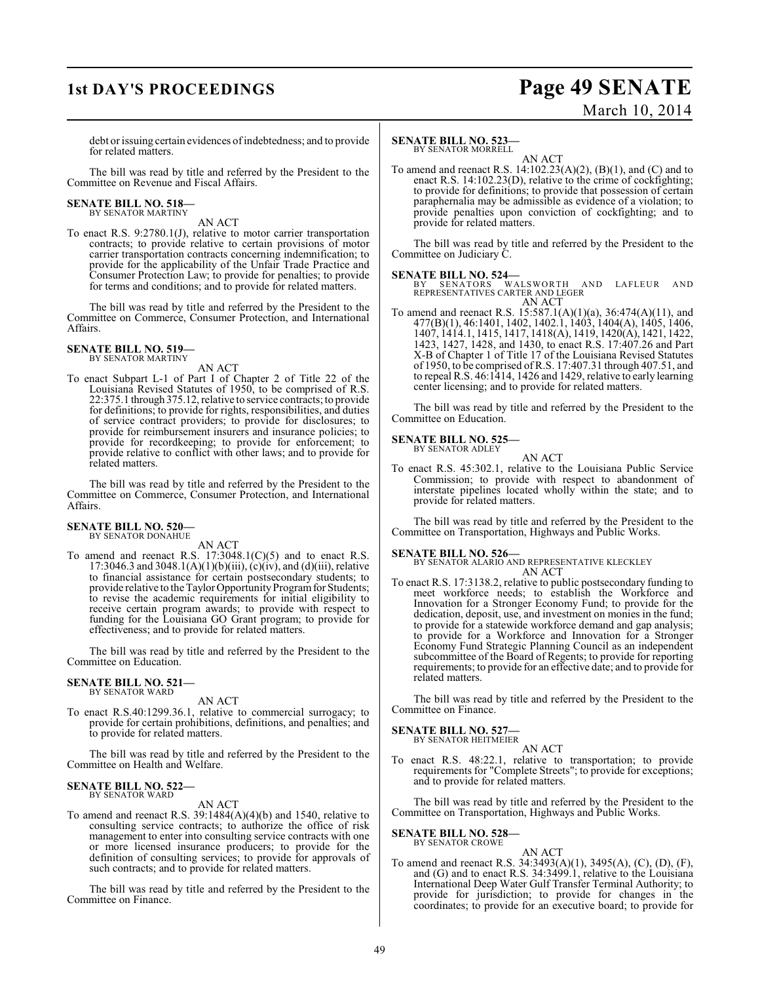# **1st DAY'S PROCEEDINGS Page 49 SENATE** March 10, 2014

debt or issuing certain evidences of indebtedness; and to provide for related matters.

The bill was read by title and referred by the President to the Committee on Revenue and Fiscal Affairs.

# **SENATE BILL NO. 518—** BY SENATOR MARTINY

AN ACT

To enact R.S. 9:2780.1(J), relative to motor carrier transportation contracts; to provide relative to certain provisions of motor carrier transportation contracts concerning indemnification; to provide for the applicability of the Unfair Trade Practice and Consumer Protection Law; to provide for penalties; to provide for terms and conditions; and to provide for related matters.

The bill was read by title and referred by the President to the Committee on Commerce, Consumer Protection, and International Affairs.

**SENATE BILL NO. 519—** BY SENATOR MARTINY

# AN ACT

To enact Subpart L-1 of Part I of Chapter 2 of Title 22 of the Louisiana Revised Statutes of 1950, to be comprised of R.S. 22:375.1 through 375.12, relative to service contracts; to provide for definitions; to provide for rights, responsibilities, and duties of service contract providers; to provide for disclosures; to provide for reimbursement insurers and insurance policies; to provide for recordkeeping; to provide for enforcement; to provide relative to conflict with other laws; and to provide for related matters.

The bill was read by title and referred by the President to the Committee on Commerce, Consumer Protection, and International Affairs.

#### **SENATE BILL NO. 520—** BY SENATOR DONAHUE

AN ACT

To amend and reenact R.S. 17:3048.1(C)(5) and to enact R.S. 17:3046.3 and 3048.1(A)(1)(b)(iii), (c)(iv), and (d)(iii), relative to financial assistance for certain postsecondary students; to provide relative to the Taylor Opportunity Program for Students; to revise the academic requirements for initial eligibility to receive certain program awards; to provide with respect to funding for the Louisiana GO Grant program; to provide for effectiveness; and to provide for related matters.

The bill was read by title and referred by the President to the Committee on Education.

## **SENATE BILL NO. 521—** BY SENATOR WARD

AN ACT

To enact R.S.40:1299.36.1, relative to commercial surrogacy; to provide for certain prohibitions, definitions, and penalties; and to provide for related matters.

The bill was read by title and referred by the President to the Committee on Health and Welfare.

#### **SENATE BILL NO. 522—** BY SENATOR WARD

# AN ACT

To amend and reenact R.S. 39:1484(A)(4)(b) and 1540, relative to consulting service contracts; to authorize the office of risk management to enter into consulting service contracts with one or more licensed insurance producers; to provide for the definition of consulting services; to provide for approvals of such contracts; and to provide for related matters.

The bill was read by title and referred by the President to the Committee on Finance.

### **SENATE BILL NO. 523** BY SENATOR MORRELL

AN ACT To amend and reenact R.S. 14:102.23(A)(2), (B)(1), and (C) and to enact R.S. 14:102.23(D), relative to the crime of cockfighting; to provide for definitions; to provide that possession of certain paraphernalia may be admissible as evidence of a violation; to provide penalties upon conviction of cockfighting; and to provide for related matters.

The bill was read by title and referred by the President to the Committee on Judiciary C.

**SENATE BILL NO. 524—**<br>
BY SENATORS WALSWORTH AND LAFLEUR AND<br>
REPRESENTATIVES CARTER AND LEGER<br>
AN ACT

To amend and reenact R.S. 15:587.1(A)(1)(a), 36:474(A)(11), and 477(B)(1), 46:1401, 1402, 1402.1, 1403, 1404(A), 1405, 1406, 1407, 1414.1, 1415, 1417, 1418(A), 1419, 1420(A), 1421, 1422, 1423, 1427, 1428, and 1430, to enact R.S. 17:407.26 and Part X-B of Chapter 1 of Title 17 of the Louisiana Revised Statutes of 1950, to be comprised of R.S. 17:407.31 through 407.51, and to repeal R.S. 46:1414, 1426 and 1429, relative to early learning center licensing; and to provide for related matters.

The bill was read by title and referred by the President to the Committee on Education.

## **SENATE BILL NO. 525—** BY SENATOR ADLEY

- AN ACT
- To enact R.S. 45:302.1, relative to the Louisiana Public Service Commission; to provide with respect to abandonment of interstate pipelines located wholly within the state; and to provide for related matters.

The bill was read by title and referred by the President to the Committee on Transportation, Highways and Public Works.

## **SENATE BILL NO. 526—**

BY SENATOR ALARIO AND REPRESENTATIVE KLECKLEY AN ACT

To enact R.S. 17:3138.2, relative to public postsecondary funding to meet workforce needs; to establish the Workforce and Innovation for a Stronger Economy Fund; to provide for the dedication, deposit, use, and investment on monies in the fund; to provide for a statewide workforce demand and gap analysis; to provide for a Workforce and Innovation for a Stronger Economy Fund Strategic Planning Council as an independent subcommittee of the Board of Regents; to provide for reporting requirements; to provide for an effective date; and to provide for related matters.

The bill was read by title and referred by the President to the Committee on Finance.

# **SENATE BILL NO. 527—**

BY SENATOR HEITMEIER AN ACT

To enact R.S. 48:22.1, relative to transportation; to provide requirements for "Complete Streets"; to provide for exceptions; and to provide for related matters.

The bill was read by title and referred by the President to the Committee on Transportation, Highways and Public Works.

#### **SENATE BILL NO. 528—** BY SENATOR CROWE

AN ACT To amend and reenact R.S. 34:3493(A)(1), 3495(A), (C), (D), (F), and (G) and to enact R.S. 34:3499.1, relative to the Louisiana International Deep Water Gulf Transfer Terminal Authority; to provide for jurisdiction; to provide for changes in the coordinates; to provide for an executive board; to provide for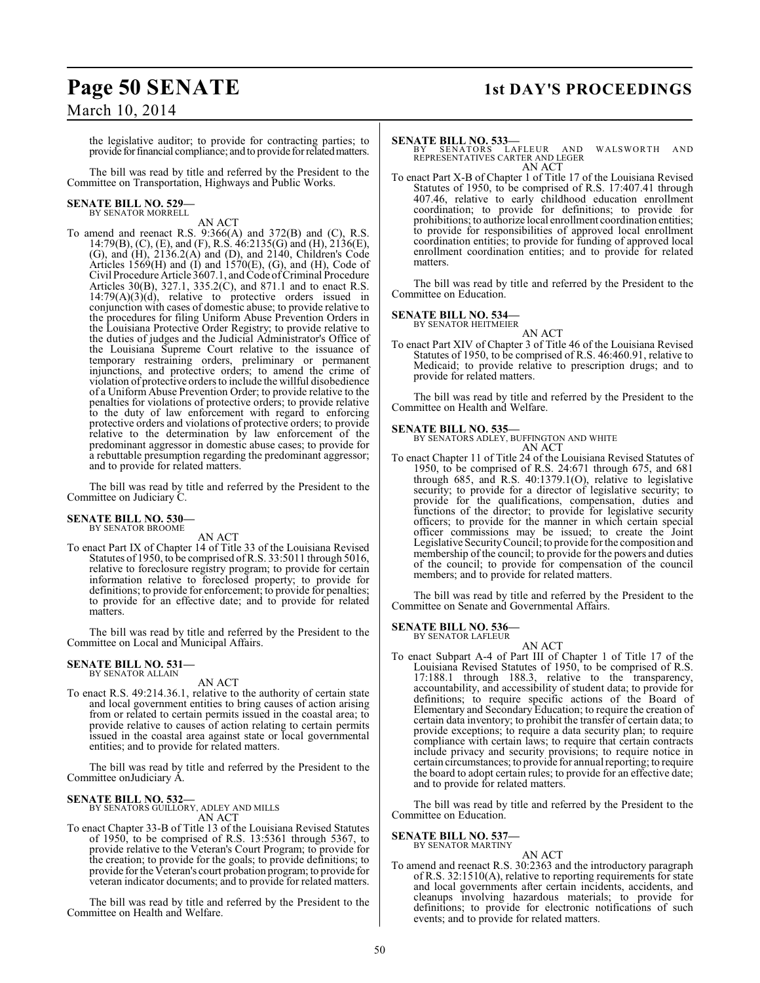# **Page 50 SENATE 1st DAY'S PROCEEDINGS**

March 10, 2014

the legislative auditor; to provide for contracting parties; to provide for financial compliance; and to provide for related matters.

The bill was read by title and referred by the President to the Committee on Transportation, Highways and Public Works.

# **SENATE BILL NO. 529—** BY SENATOR MORRELL

AN ACT

To amend and reenact R.S. 9:366(A) and 372(B) and (C), R.S. 14:79(B), (C), (E), and (F), R.S. 46:2135(G) and (H), 2136(E), (G), and (H), 2136.2(A) and (D), and 2140, Children's Code Articles  $1569$ (H) and  $(I)$  and  $1570$ (E), (G), and (H), Code of Civil Procedure Article 3607.1, and Code of Criminal Procedure Articles 30(B), 327.1, 335.2(C), and 871.1 and to enact R.S.  $14:79(A)(3)(d)$ , relative to protective orders issued in conjunction with cases of domestic abuse; to provide relative to the procedures for filing Uniform Abuse Prevention Orders in the Louisiana Protective Order Registry; to provide relative to the duties of judges and the Judicial Administrator's Office of the Louisiana Supreme Court relative to the issuance of temporary restraining orders, preliminary or permanent injunctions, and protective orders; to amend the crime of violation of protective orders to include the willful disobedience of a Uniform Abuse Prevention Order; to provide relative to the penalties for violations of protective orders; to provide relative to the duty of law enforcement with regard to enforcing protective orders and violations of protective orders; to provide relative to the determination by law enforcement of the predominant aggressor in domestic abuse cases; to provide for a rebuttable presumption regarding the predominant aggressor; and to provide for related matters.

The bill was read by title and referred by the President to the Committee on Judiciary C.

# **SENATE BILL NO. 530—** BY SENATOR BROOME

AN ACT

To enact Part IX of Chapter 14 of Title 33 of the Louisiana Revised Statutes of 1950, to be comprised of R.S. 33:5011 through 5016, relative to foreclosure registry program; to provide for certain information relative to foreclosed property; to provide for definitions; to provide for enforcement; to provide for penalties; to provide for an effective date; and to provide for related matters.

The bill was read by title and referred by the President to the Committee on Local and Municipal Affairs.

## **SENATE BILL NO. 531—** BY SENATOR ALLAIN

AN ACT

To enact R.S. 49:214.36.1, relative to the authority of certain state and local government entities to bring causes of action arising from or related to certain permits issued in the coastal area; to provide relative to causes of action relating to certain permits issued in the coastal area against state or local governmental entities; and to provide for related matters.

The bill was read by title and referred by the President to the Committee onJudiciary A.

# **SENATE BILL NO. 532—**

BY SENATORS GUILLORY, ADLEY AND MILLS AN ACT

To enact Chapter 33-B of Title 13 of the Louisiana Revised Statutes of 1950, to be comprised of R.S. 13:5361 through 5367, to provide relative to the Veteran's Court Program; to provide for the creation; to provide for the goals; to provide definitions; to provide for the Veteran's court probation program; to provide for veteran indicator documents; and to provide for related matters.

The bill was read by title and referred by the President to the Committee on Health and Welfare.

# **SENATE BILL NO. 533—**

BY SENATORS LAFLEUR AND WALSWORTH AND<br>REPRESENTATIVES CARTER AND LEGER AN ACT

To enact Part X-B of Chapter 1 of Title 17 of the Louisiana Revised Statutes of 1950, to be comprised of R.S. 17:407.41 through 407.46, relative to early childhood education enrollment coordination; to provide for definitions; to provide for prohibitions; to authorize local enrollment coordination entities; to provide for responsibilities of approved local enrollment coordination entities; to provide for funding of approved local enrollment coordination entities; and to provide for related matters.

The bill was read by title and referred by the President to the Committee on Education.

# **SENATE BILL NO. 534—** BY SENATOR HEITMEIER

AN ACT To enact Part XIV of Chapter 3 of Title 46 of the Louisiana Revised Statutes of 1950, to be comprised of R.S. 46:460.91, relative to Medicaid; to provide relative to prescription drugs; and to provide for related matters.

The bill was read by title and referred by the President to the Committee on Health and Welfare.

## **SENATE BILL NO. 535—**

BY SENATORS ADLEY, BUFFINGTON AND WHITE AN ACT

To enact Chapter 11 of Title 24 of the Louisiana Revised Statutes of 1950, to be comprised of R.S. 24:671 through 675, and 681 through 685, and R.S. 40:1379.1(O), relative to legislative security; to provide for a director of legislative security; to provide for the qualifications, compensation, duties and functions of the director; to provide for legislative security officers; to provide for the manner in which certain special officer commissions may be issued; to create the Joint Legislative Security Council; to provide for the composition and membership of the council; to provide for the powers and duties of the council; to provide for compensation of the council members; and to provide for related matters.

The bill was read by title and referred by the President to the Committee on Senate and Governmental Affairs.

# **SENATE BILL NO. 536—**

BY SENATOR LAFLEUR

AN ACT To enact Subpart A-4 of Part III of Chapter 1 of Title 17 of the Louisiana Revised Statutes of 1950, to be comprised of R.S. 17:188.1 through 188.3, relative to the transparency, accountability, and accessibility of student data; to provide for definitions; to require specific actions of the Board of Elementary and Secondary Education; to require the creation of certain data inventory; to prohibit the transfer of certain data; to provide exceptions; to require a data security plan; to require compliance with certain laws; to require that certain contracts include privacy and security provisions; to require notice in certain circumstances; to provide for annual reporting; to require the board to adopt certain rules; to provide for an effective date; and to provide for related matters.

The bill was read by title and referred by the President to the Committee on Education.

## **SENATE BILL NO. 537—**

BY SENATOR MARTINY

AN ACT To amend and reenact R.S. 30:2363 and the introductory paragraph of R.S. 32:1510(A), relative to reporting requirements for state and local governments after certain incidents, accidents, and cleanups involving hazardous materials; to provide for definitions; to provide for electronic notifications of such events; and to provide for related matters.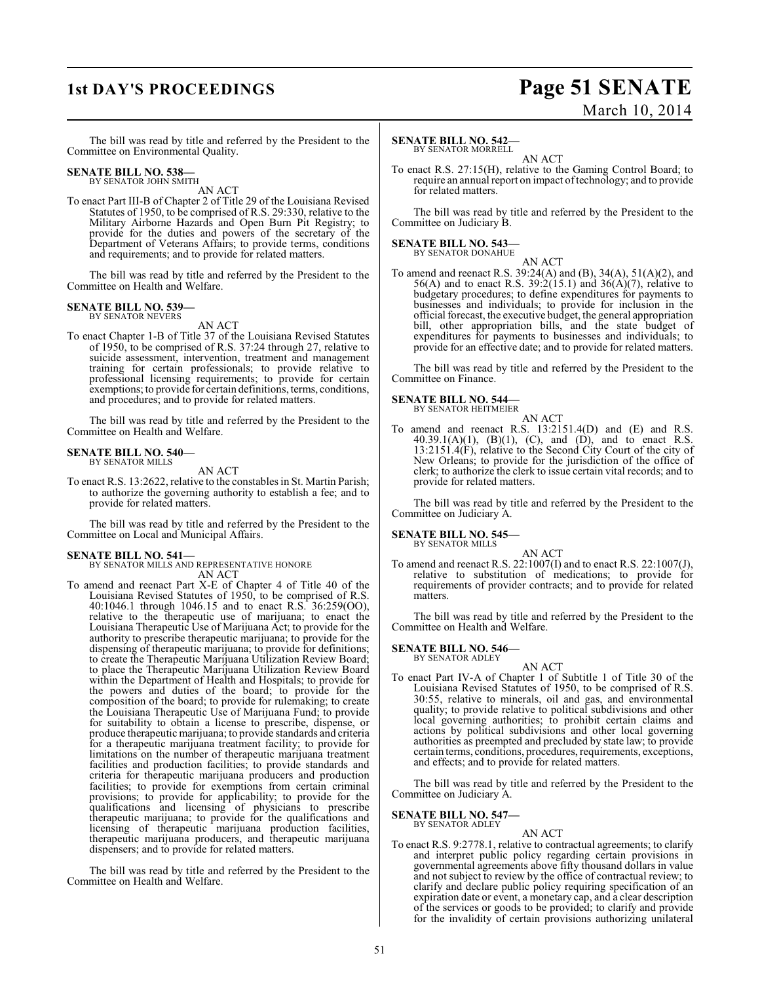# **1st DAY'S PROCEEDINGS Page 51 SENATE** March 10, 2014

The bill was read by title and referred by the President to the Committee on Environmental Quality.

# **SENATE BILL NO. 538—** BY SENATOR JOHN SMITH

AN ACT

To enact Part III-B of Chapter 2 of Title 29 of the Louisiana Revised Statutes of 1950, to be comprised of R.S. 29:330, relative to the Military Airborne Hazards and Open Burn Pit Registry; to provide for the duties and powers of the secretary of the Department of Veterans Affairs; to provide terms, conditions and requirements; and to provide for related matters.

The bill was read by title and referred by the President to the Committee on Health and Welfare.

#### **SENATE BILL NO. 539—** BY SENATOR NEVERS

AN ACT

To enact Chapter 1-B of Title 37 of the Louisiana Revised Statutes of 1950, to be comprised of R.S. 37:24 through 27, relative to suicide assessment, intervention, treatment and management training for certain professionals; to provide relative to professional licensing requirements; to provide for certain exemptions; to provide for certain definitions, terms, conditions, and procedures; and to provide for related matters.

The bill was read by title and referred by the President to the Committee on Health and Welfare.

## **SENATE BILL NO. 540—**

BY SENATOR MILLS

AN ACT To enact R.S. 13:2622, relative to the constables in St. Martin Parish; to authorize the governing authority to establish a fee; and to provide for related matters.

The bill was read by title and referred by the President to the Committee on Local and Municipal Affairs.

## **SENATE BILL NO. 541—**

BY SENATOR MILLS AND REPRESENTATIVE HONORE

AN ACT

To amend and reenact Part X-E of Chapter 4 of Title 40 of the Louisiana Revised Statutes of 1950, to be comprised of R.S. 40:1046.1 through 1046.15 and to enact R.S. 36:259(OO), relative to the therapeutic use of marijuana; to enact the Louisiana Therapeutic Use of Marijuana Act; to provide for the authority to prescribe therapeutic marijuana; to provide for the dispensing of therapeutic marijuana; to provide for definitions; to create the Therapeutic Marijuana Utilization Review Board; to place the Therapeutic Marijuana Utilization Review Board within the Department of Health and Hospitals; to provide for the powers and duties of the board; to provide for the composition of the board; to provide for rulemaking; to create the Louisiana Therapeutic Use of Marijuana Fund; to provide for suitability to obtain a license to prescribe, dispense, or produce therapeutic marijuana; to provide standards and criteria for a therapeutic marijuana treatment facility; to provide for limitations on the number of therapeutic marijuana treatment facilities and production facilities; to provide standards and criteria for therapeutic marijuana producers and production facilities; to provide for exemptions from certain criminal provisions; to provide for applicability; to provide for the qualifications and licensing of physicians to prescribe therapeutic marijuana; to provide for the qualifications and licensing of therapeutic marijuana production facilities, therapeutic marijuana producers, and therapeutic marijuana dispensers; and to provide for related matters.

The bill was read by title and referred by the President to the Committee on Health and Welfare.

### **SENATE BILL NO. 542—** BY SENATOR MORRELL

AN ACT

To enact R.S. 27:15(H), relative to the Gaming Control Board; to require an annual report on impact of technology; and to provide for related matters.

The bill was read by title and referred by the President to the Committee on Judiciary B.

# **SENATE BILL NO. 543—** BY SENATOR DONAHUE

AN ACT

To amend and reenact R.S. 39:24(A) and (B), 34(A), 51(A)(2), and 56(A) and to enact R.S. 39:2(15.1) and 36(A)(7), relative to budgetary procedures; to define expenditures for payments to businesses and individuals; to provide for inclusion in the official forecast, the executive budget, the general appropriation bill, other appropriation bills, and the state budget of expenditures for payments to businesses and individuals; to provide for an effective date; and to provide for related matters.

The bill was read by title and referred by the President to the Committee on Finance.

## **SENATE BILL NO. 544—**

BY SENATOR HEITMEIER AN ACT

To amend and reenact R.S. 13:2151.4(D) and (E) and R.S. 40.39.1(A)(1), (B)(1), (C), and (D), and to enact R.S. 13:2151.4(F), relative to the Second City Court of the city of New Orleans; to provide for the jurisdiction of the office of clerk; to authorize the clerk to issue certain vital records; and to provide for related matters.

The bill was read by title and referred by the President to the Committee on Judiciary A.

**SENATE BILL NO. 545—**

BY SENATOR MILLS

AN ACT To amend and reenact R.S. 22:1007(I) and to enact R.S. 22:1007(J), relative to substitution of medications; to provide for requirements of provider contracts; and to provide for related matters.

The bill was read by title and referred by the President to the Committee on Health and Welfare.

### **SENATE BILL NO. 546—** BY SENATOR ADLEY

AN ACT To enact Part IV-A of Chapter 1 of Subtitle 1 of Title 30 of the Louisiana Revised Statutes of 1950, to be comprised of R.S. 30:55, relative to minerals, oil and gas, and environmental quality; to provide relative to political subdivisions and other local governing authorities; to prohibit certain claims and actions by political subdivisions and other local governing authorities as preempted and precluded by state law; to provide certain terms, conditions, procedures, requirements, exceptions, and effects; and to provide for related matters.

The bill was read by title and referred by the President to the Committee on Judiciary A.

## **SENATE BILL NO. 547—** BY SENATOR ADLEY

AN ACT

To enact R.S. 9:2778.1, relative to contractual agreements; to clarify and interpret public policy regarding certain provisions in governmental agreements above fifty thousand dollars in value and not subject to review by the office of contractual review; to clarify and declare public policy requiring specification of an expiration date or event, a monetary cap, and a clear description of the services or goods to be provided; to clarify and provide for the invalidity of certain provisions authorizing unilateral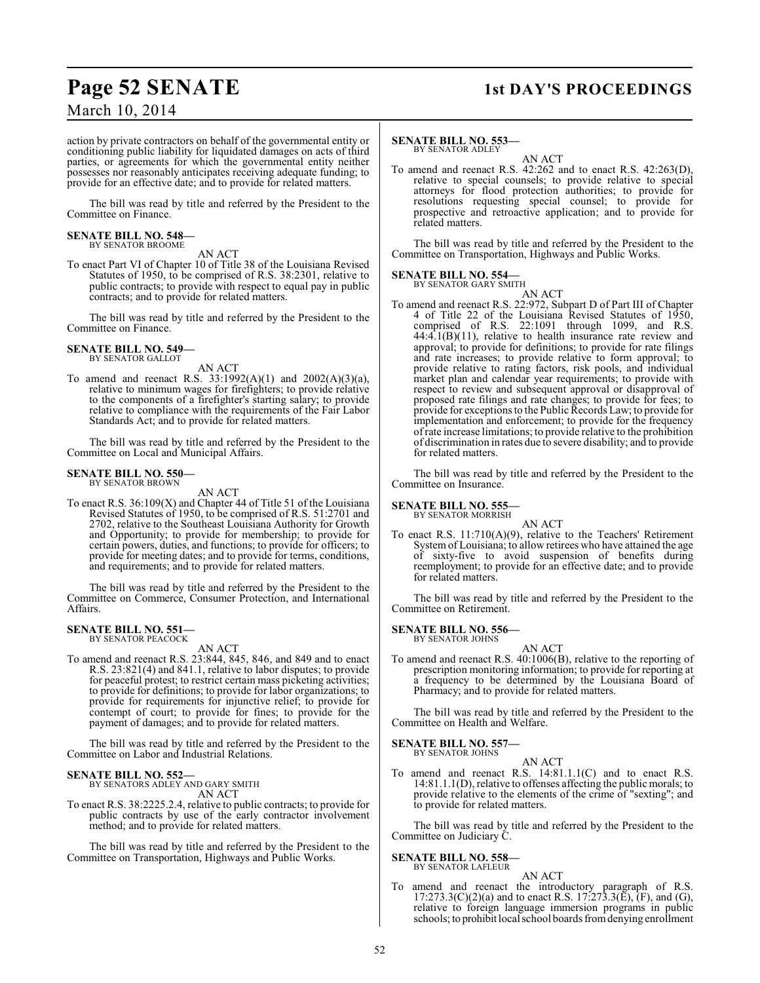# **Page 52 SENATE 1st DAY'S PROCEEDINGS**

March 10, 2014

action by private contractors on behalf of the governmental entity or conditioning public liability for liquidated damages on acts of third parties, or agreements for which the governmental entity neither possesses nor reasonably anticipates receiving adequate funding; to provide for an effective date; and to provide for related matters.

The bill was read by title and referred by the President to the Committee on Finance.

## **SENATE BILL NO. 548—** BY SENATOR BROOME

AN ACT

To enact Part VI of Chapter 10 of Title 38 of the Louisiana Revised Statutes of 1950, to be comprised of R.S. 38:2301, relative to public contracts; to provide with respect to equal pay in public contracts; and to provide for related matters.

The bill was read by title and referred by the President to the Committee on Finance.

**SENATE BILL NO. 549—** BY SENATOR GALLOT

AN ACT

To amend and reenact R.S. 33:1992(A)(1) and 2002(A)(3)(a), relative to minimum wages for firefighters; to provide relative to the components of a firefighter's starting salary; to provide relative to compliance with the requirements of the Fair Labor Standards Act; and to provide for related matters.

The bill was read by title and referred by the President to the Committee on Local and Municipal Affairs.

#### **SENATE BILL NO. 550—** BY SENATOR BROWN

AN ACT

To enact R.S. 36:109(X) and Chapter 44 of Title 51 of the Louisiana Revised Statutes of 1950, to be comprised of R.S. 51:2701 and 2702, relative to the Southeast Louisiana Authority for Growth and Opportunity; to provide for membership; to provide for certain powers, duties, and functions; to provide for officers; to provide for meeting dates; and to provide for terms, conditions, and requirements; and to provide for related matters.

The bill was read by title and referred by the President to the Committee on Commerce, Consumer Protection, and International Affairs.

# **SENATE BILL NO. 551—** BY SENATOR PEACOCK

AN ACT

To amend and reenact R.S. 23:844, 845, 846, and 849 and to enact R.S. 23:821(4) and 841.1, relative to labor disputes; to provide for peaceful protest; to restrict certain mass picketing activities; to provide for definitions; to provide for labor organizations; to provide for requirements for injunctive relief; to provide for contempt of court; to provide for fines; to provide for the payment of damages; and to provide for related matters.

The bill was read by title and referred by the President to the Committee on Labor and Industrial Relations.

# **SENATE BILL NO. 552—**

BY SENATORS ADLEY AND GARY SMITH AN ACT

To enact R.S. 38:2225.2.4, relative to public contracts; to provide for public contracts by use of the early contractor involvement method; and to provide for related matters.

The bill was read by title and referred by the President to the Committee on Transportation, Highways and Public Works.

## **SENATE BILL NO. 553—** BY SENATOR ADLEY

AN ACT

To amend and reenact R.S. 42:262 and to enact R.S. 42:263(D), relative to special counsels; to provide relative to special attorneys for flood protection authorities; to provide for resolutions requesting special counsel; to provide for prospective and retroactive application; and to provide for related matters.

The bill was read by title and referred by the President to the Committee on Transportation, Highways and Public Works.

## **SENATE BILL NO. 554—** BY SENATOR GARY SMITH

AN ACT To amend and reenact R.S. 22:972, Subpart D of Part III of Chapter 4 of Title 22 of the Louisiana Revised Statutes of 1950, comprised of R.S. 22:1091 through 1099, and R.S.  $44:4.1(B)(11)$ , relative to health insurance rate review and approval; to provide for definitions; to provide for rate filings and rate increases; to provide relative to form approval; to provide relative to rating factors, risk pools, and individual market plan and calendar year requirements; to provide with respect to review and subsequent approval or disapproval of proposed rate filings and rate changes; to provide for fees; to provide for exceptions to the Public Records Law; to provide for implementation and enforcement; to provide for the frequency of rate increase limitations; to provide relative to the prohibition of discrimination in rates due to severe disability; and to provide for related matters.

The bill was read by title and referred by the President to the Committee on Insurance.

# **SENATE BILL NO. 555—** BY SENATOR MORRISH

AN ACT To enact R.S. 11:710(A)(9), relative to the Teachers' Retirement System of Louisiana; to allow retirees who have attained the age of sixty-five to avoid suspension of benefits during reemployment; to provide for an effective date; and to provide for related matters.

The bill was read by title and referred by the President to the Committee on Retirement.

# **SENATE BILL NO. 556—** BY SENATOR JOHNS

AN ACT To amend and reenact R.S. 40:1006(B), relative to the reporting of prescription monitoring information; to provide for reporting at a frequency to be determined by the Louisiana Board of Pharmacy; and to provide for related matters.

The bill was read by title and referred by the President to the Committee on Health and Welfare.

## **SENATE BILL NO. 557—** BY SENATOR JOHNS

AN ACT To amend and reenact R.S. 14:81.1.1(C) and to enact R.S. 14:81.1.1(D), relative to offenses affecting the public morals; to provide relative to the elements of the crime of "sexting"; and to provide for related matters.

The bill was read by title and referred by the President to the Committee on Judiciary C.

# **SENATE BILL NO. 558—**

- BY SENATOR LAFLEUR
- AN ACT To amend and reenact the introductory paragraph of R.S.  $17:273.3(C)(2)(a)$  and to enact R.S.  $17:273.3(\overline{E})$ ,  $(F)$ , and  $(G)$ , relative to foreign language immersion programs in public schools; to prohibit local school boards from denying enrollment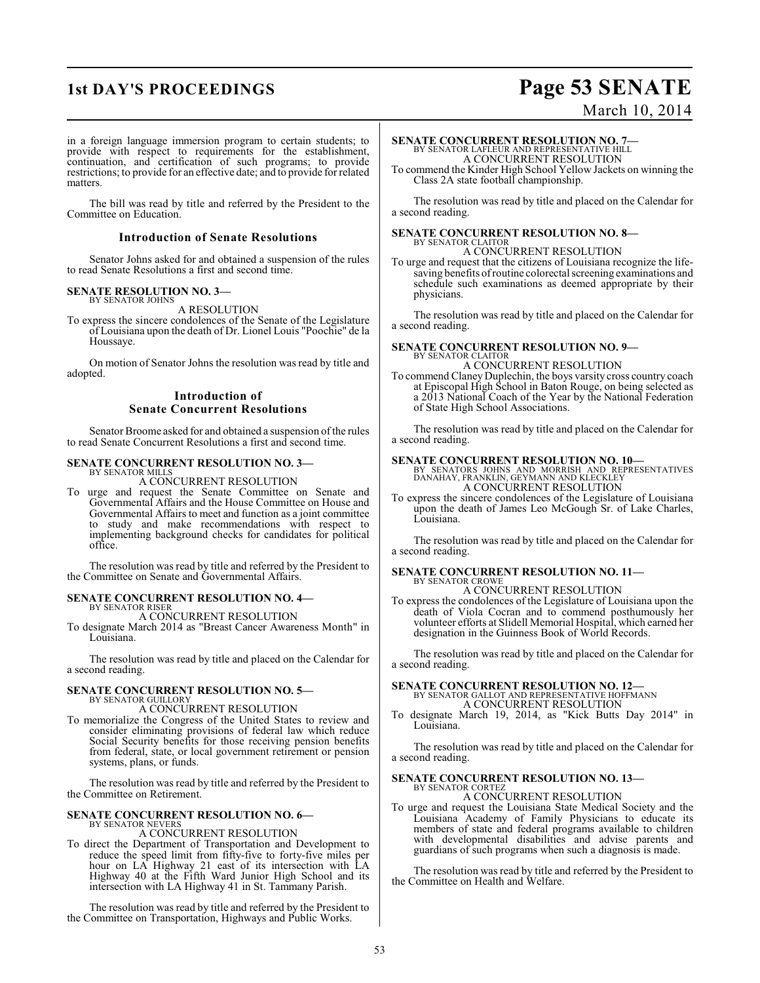# **1st DAY'S PROCEEDINGS Page 53 SENATE**

# March 10, 2014

in a foreign language immersion program to certain students; to provide with respect to requirements for the establishment, continuation, and certification of such programs; to provide restrictions; to provide for an effective date; and to provide for related matters.

The bill was read by title and referred by the President to the Committee on Education.

## **Introduction of Senate Resolutions**

Senator Johns asked for and obtained a suspension of the rules to read Senate Resolutions a first and second time.

### **SENATE RESOLUTION NO. 3—** BY SENATOR JOHNS

A RESOLUTION

To express the sincere condolences of the Senate of the Legislature of Louisiana upon the death of Dr. Lionel Louis "Poochie" de la Houssaye.

On motion of Senator Johns the resolution was read by title and adopted.

# **Introduction of Senate Concurrent Resolutions**

Senator Broome asked for and obtained a suspension of the rules to read Senate Concurrent Resolutions a first and second time.

## **SENATE CONCURRENT RESOLUTION NO. 3—**

BY SENATOR MILLS A CONCURRENT RESOLUTION

To urge and request the Senate Committee on Senate and Governmental Affairs and the House Committee on House and Governmental Affairs to meet and function as a joint committee to study and make recommendations with respect to implementing background checks for candidates for political office.

The resolution was read by title and referred by the President to the Committee on Senate and Governmental Affairs.

## **SENATE CONCURRENT RESOLUTION NO. 4—** BY SENATOR RISER

A CONCURRENT RESOLUTION

To designate March 2014 as "Breast Cancer Awareness Month" in Louisiana.

The resolution was read by title and placed on the Calendar for a second reading.

## **SENATE CONCURRENT RESOLUTION NO. 5—** BY SENATOR GUILLORY

A CONCURRENT RESOLUTION

To memorialize the Congress of the United States to review and consider eliminating provisions of federal law which reduce Social Security benefits for those receiving pension benefits from federal, state, or local government retirement or pension systems, plans, or funds.

The resolution was read by title and referred by the President to the Committee on Retirement.

## **SENATE CONCURRENT RESOLUTION NO. 6—** BY SENATOR NEVERS

A CONCURRENT RESOLUTION

To direct the Department of Transportation and Development to reduce the speed limit from fifty-five to forty-five miles per hour on LA Highway 21 east of its intersection with LA Highway 40 at the Fifth Ward Junior High School and its intersection with LA Highway 41 in St. Tammany Parish.

The resolution was read by title and referred by the President to the Committee on Transportation, Highways and Public Works.

# **SENATE CONCURRENT RESOLUTION NO. 7—**

BY SENATOR LAFLEUR AND REPRESENTATIVE HILL A CONCURRENT RESOLUTION

To commend the Kinder High School Yellow Jackets on winning the Class 2A state football championship.

The resolution was read by title and placed on the Calendar for a second reading.

# **SENATE CONCURRENT RESOLUTION NO. 8—** BY SENATOR CLAITOR A CONCURRENT RESOLUTION

To urge and request that the citizens of Louisiana recognize the lifesaving benefits of routine colorectal screening examinations and schedule such examinations as deemed appropriate by their physicians.

The resolution was read by title and placed on the Calendar for a second reading.

## **SENATE CONCURRENT RESOLUTION NO. 9—** BY SENATOR CLAITOR

A CONCURRENT RESOLUTION

To commend Claney Duplechin, the boys varsity cross country coach at Episcopal High School in Baton Rouge, on being selected as a 2013 National Coach of the Year by the National Federation of State High School Associations.

The resolution was read by title and placed on the Calendar for a second reading.

**SENATE CONCURRENT RESOLUTION NO. 10—**<br>BY SENATORS JOHNS AND MORRISH AND REPRESENTATIVES<br>DANAHAY, FRANKLIN, GEYMANN AND KLECKLEY A CONCURRENT RESOLUTION

To express the sincere condolences of the Legislature of Louisiana upon the death of James Leo McGough Sr. of Lake Charles, Louisiana.

The resolution was read by title and placed on the Calendar for a second reading.

## **SENATE CONCURRENT RESOLUTION NO. 11—** BY SENATOR CROWE

A CONCURRENT RESOLUTION

To express the condolences of the Legislature of Louisiana upon the death of Viola Cocran and to commend posthumously her volunteer efforts at Slidell Memorial Hospital, which earned her designation in the Guinness Book of World Records.

The resolution was read by title and placed on the Calendar for a second reading.

# **SENATE CONCURRENT RESOLUTION NO. 12—**<br>BY SENATOR GALLOT AND REPRESENTATIVE HOFFMANN

A CONCURRENT RESOLUTION

To designate March 19, 2014, as "Kick Butts Day 2014" in Louisiana.

The resolution was read by title and placed on the Calendar for a second reading.

# **SENATE CONCURRENT RESOLUTION NO. 13—** BY SENATOR CORTEZ

A CONCURRENT RESOLUTION

To urge and request the Louisiana State Medical Society and the Louisiana Academy of Family Physicians to educate its members of state and federal programs available to children with developmental disabilities and advise parents and guardians of such programs when such a diagnosis is made.

The resolution was read by title and referred by the President to the Committee on Health and Welfare.